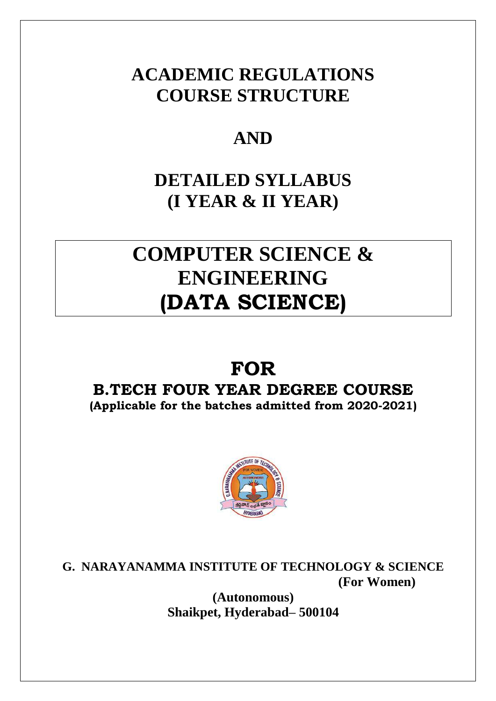# **ACADEMIC REGULATIONS COURSE STRUCTURE**

# **AND**

# **DETAILED SYLLABUS (I YEAR & II YEAR)**

# **COMPUTER SCIENCE & ENGINEERING (DATA SCIENCE)**

# **FOR**

## **B.TECH FOUR YEAR DEGREE COURSE (Applicable for the batches admitted from 2020-2021)**



**G. NARAYANAMMA INSTITUTE OF TECHNOLOGY & SCIENCE (For Women)**

> **(Autonomous) Shaikpet, Hyderabad– 500104**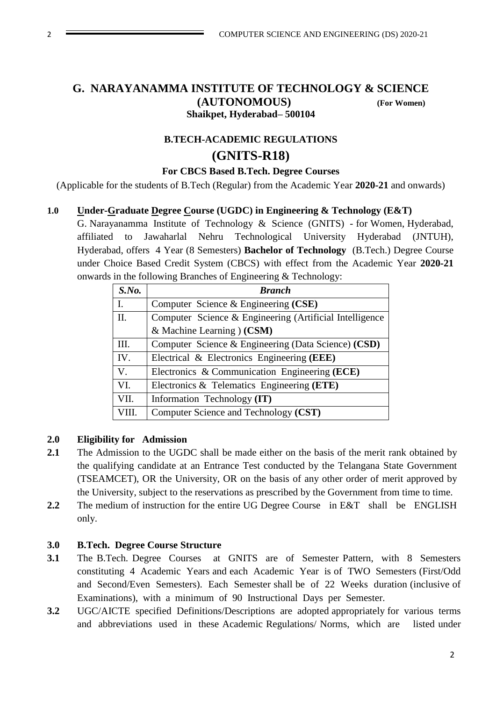### **G. NARAYANAMMA INSTITUTE OF TECHNOLOGY & SCIENCE (AUTONOMOUS) (For Women) Shaikpet, Hyderabad– 500104**

## **B.TECH-ACADEMIC REGULATIONS (GNITS-R18)**

#### **For CBCS Based B.Tech. Degree Courses**

(Applicable for the students of B.Tech (Regular) from the Academic Year **2020-21** and onwards)

#### **1.0 Under-Graduate Degree Course (UGDC) in Engineering & Technology (E&T)**

G. Narayanamma Institute of Technology & Science (GNITS) - for Women, Hyderabad, affiliated to Jawaharlal Nehru Technological University Hyderabad (JNTUH), Hyderabad, offers 4 Year (8 Semesters) **Bachelor of Technology** (B.Tech.) Degree Course under Choice Based Credit System (CBCS) with effect from the Academic Year **2020-21**  onwards in the following Branches of Engineering & Technology:

| $S$ .No.       | <b>Branch</b>                                           |
|----------------|---------------------------------------------------------|
| $\mathbf{I}$ . | Computer Science & Engineering (CSE)                    |
| II.            | Computer Science & Engineering (Artificial Intelligence |
|                | & Machine Learning $(CSM)$                              |
| Ш.             | Computer Science & Engineering (Data Science) (CSD)     |
| IV.            | Electrical & Electronics Engineering (EEE)              |
| $V_{\cdot}$    | Electronics & Communication Engineering (ECE)           |
| VI.            | Electronics & Telematics Engineering (ETE)              |
| VII.           | Information Technology (IT)                             |
| VIII.          | Computer Science and Technology (CST)                   |

#### **2.0 Eligibility for Admission**

- 2.1 The Admission to the UGDC shall be made either on the basis of the merit rank obtained by the qualifying candidate at an Entrance Test conducted by the Telangana State Government (TSEAMCET), OR the University, OR on the basis of any other order of merit approved by the University, subject to the reservations as prescribed by the Government from time to time.
- 2.2 The medium of instruction for the entire UG Degree Course in E&T shall be ENGLISH only.

#### **3.0 B.Tech. Degree Course Structure**

- **3.1** The B.Tech. Degree Courses at GNITS are of Semester Pattern, with 8 Semesters constituting 4 Academic Years and each Academic Year is of TWO Semesters (First/Odd and Second/Even Semesters). Each Semester shall be of 22 Weeks duration (inclusive of Examinations), with a minimum of 90 Instructional Days per Semester.
- **3.2** UGC/AICTE specified Definitions/Descriptions are adopted appropriately for various terms and abbreviations used in these Academic Regulations/ Norms, which are listed under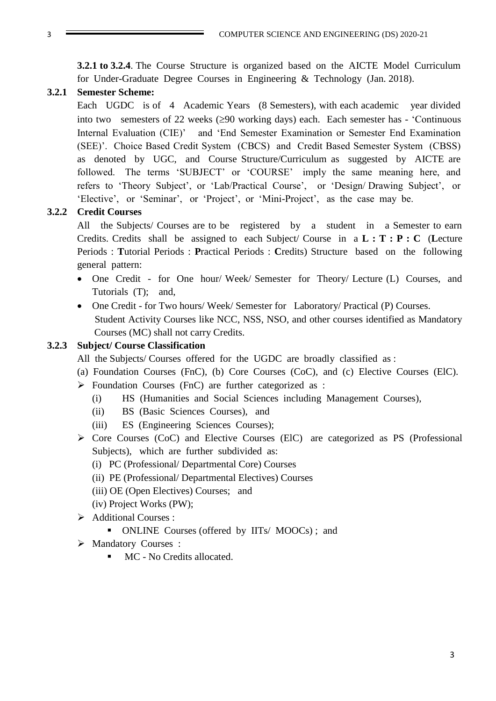**3.2.1 to 3.2.4**. The Course Structure is organized based on the AICTE Model Curriculum for Under-Graduate Degree Courses in Engineering & Technology (Jan. 2018).

#### **3.2.1 Semester Scheme:**

Each UGDC is of 4 Academic Years (8 Semesters), with each academic year divided into two semesters of 22 weeks  $(290 \text{ working days})$  each. Each semester has - 'Continuous Internal Evaluation (CIE)' and 'End Semester Examination or Semester End Examination (SEE)'. Choice Based Credit System (CBCS) and Credit Based Semester System (CBSS) as denoted by UGC, and Course Structure/Curriculum as suggested by AICTE are followed. The terms 'SUBJECT' or 'COURSE' imply the same meaning here, and refers to 'Theory Subject', or 'Lab/Practical Course', or 'Design/ Drawing Subject', or 'Elective', or 'Seminar', or 'Project', or 'Mini-Project', as the case may be.

#### **3.2.2 Credit Courses**

All the Subjects/ Courses are to be registered by a student in a Semester to earn Credits. Credits shall be assigned to each Subject/ Course in a **L : T : P : C** (**L**ecture Periods : **T**utorial Periods : **P**ractical Periods : **C**redits) Structure based on the following general pattern:

- One Credit for One hour/ Week/ Semester for Theory/ Lecture (L) Courses, and Tutorials (T); and.
- One Credit for Two hours/ Week/ Semester for Laboratory/ Practical (P) Courses. Student Activity Courses like NCC, NSS, NSO, and other courses identified as Mandatory Courses (MC) shall not carry Credits.

#### **3.2.3 Subject/ Course Classification**

All the Subjects/ Courses offered for the UGDC are broadly classified as :

- (a) Foundation Courses (FnC), (b) Core Courses (CoC), and (c) Elective Courses (ElC).
- $\triangleright$  Foundation Courses (FnC) are further categorized as :
	- (i) HS (Humanities and Social Sciences including Management Courses),
	- (ii) BS (Basic Sciences Courses), and
	- (iii) ES (Engineering Sciences Courses);
- $\triangleright$  Core Courses (CoC) and Elective Courses (ElC) are categorized as PS (Professional Subjects), which are further subdivided as:
	- (i) PC (Professional/ Departmental Core) Courses
	- (ii) PE (Professional/ Departmental Electives) Courses
	- (iii) OE (Open Electives) Courses; and
	- (iv) Project Works (PW);
- Additional Courses :
	- ONLINE Courses (offered by IITs/ MOOCs); and
- > Mandatory Courses :
	- $\blacksquare$  MC No Credits allocated.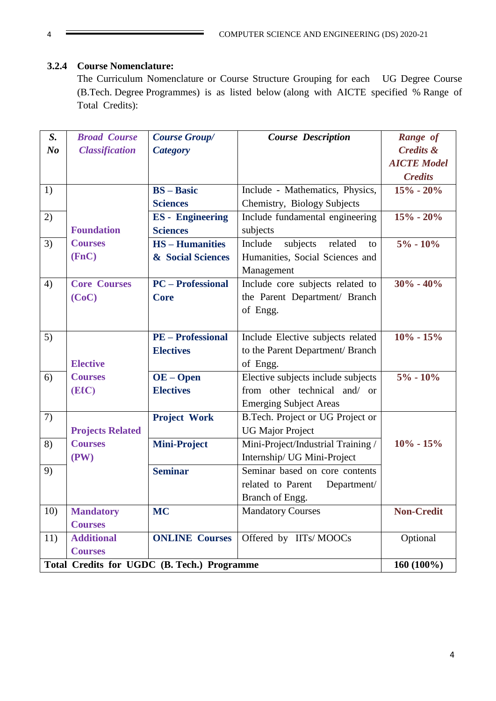### **3.2.4 Course Nomenclature:**

The Curriculum Nomenclature or Course Structure Grouping for each UG Degree Course (B.Tech. Degree Programmes) is as listed below (along with AICTE specified % Range of Total Credits):

| $S_{\cdot}$    | <b>Broad Course</b>     | <b>Course Group/</b>                        | <b>Course Description</b>            | Range of             |
|----------------|-------------------------|---------------------------------------------|--------------------------------------|----------------------|
| N <sub>o</sub> | <b>Classification</b>   | <b>Category</b>                             |                                      | <b>Credits &amp;</b> |
|                |                         |                                             |                                      | <b>AICTE Model</b>   |
|                |                         |                                             |                                      | <b>Credits</b>       |
| 1)             |                         | $BS - Basic$                                | Include - Mathematics, Physics,      | $15% - 20%$          |
|                |                         | <b>Sciences</b>                             | Chemistry, Biology Subjects          |                      |
| 2)             |                         | <b>ES</b> - Engineering                     | Include fundamental engineering      | $15% - 20%$          |
|                | <b>Foundation</b>       | <b>Sciences</b>                             | subjects                             |                      |
| 3)             | <b>Courses</b>          | <b>HS-Humanities</b>                        | Include<br>subjects<br>related<br>to | $5\% - 10\%$         |
|                | (FnC)                   | & Social Sciences                           | Humanities, Social Sciences and      |                      |
|                |                         |                                             | Management                           |                      |
| 4)             | <b>Core Courses</b>     | <b>PC</b> – Professional                    | Include core subjects related to     | $30\% - 40\%$        |
|                | (CoC)                   | <b>Core</b>                                 | the Parent Department/ Branch        |                      |
|                |                         |                                             | of Engg.                             |                      |
|                |                         |                                             |                                      |                      |
| 5)             |                         | <b>PE</b> – Professional                    | Include Elective subjects related    | $10\% - 15\%$        |
|                |                         | <b>Electives</b>                            | to the Parent Department/ Branch     |                      |
|                | <b>Elective</b>         |                                             | of Engg.                             |                      |
| 6)             | <b>Courses</b>          | $OE - Open$                                 | Elective subjects include subjects   | $5\% - 10\%$         |
|                | (EIC)                   | <b>Electives</b>                            | from other technical and/ or         |                      |
|                |                         |                                             | <b>Emerging Subject Areas</b>        |                      |
| 7)             |                         | <b>Project Work</b>                         | B.Tech. Project or UG Project or     |                      |
|                | <b>Projects Related</b> |                                             | <b>UG Major Project</b>              |                      |
| 8)             | <b>Courses</b>          | <b>Mini-Project</b>                         | Mini-Project/Industrial Training /   | $10\% - 15\%$        |
|                | (PW)                    |                                             | Internship/ UG Mini-Project          |                      |
| 9)             |                         | <b>Seminar</b>                              | Seminar based on core contents       |                      |
|                |                         |                                             | related to Parent<br>Department/     |                      |
|                |                         |                                             | Branch of Engg.                      |                      |
| 10)            | <b>Mandatory</b>        | <b>MC</b>                                   | <b>Mandatory Courses</b>             | <b>Non-Credit</b>    |
|                | <b>Courses</b>          |                                             |                                      |                      |
| 11)            | <b>Additional</b>       | <b>ONLINE Courses</b>                       | Offered by IITs/MOOCs                | Optional             |
|                | <b>Courses</b>          |                                             |                                      |                      |
|                |                         | Total Credits for UGDC (B. Tech.) Programme |                                      | 160 (100%)           |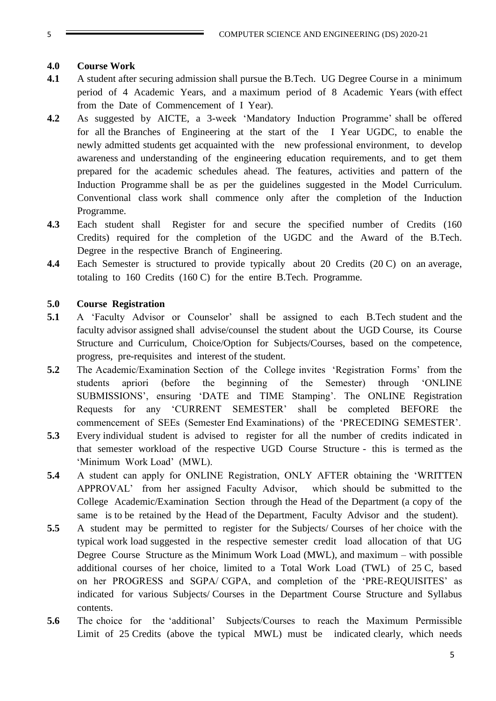#### **4.0 Course Work**

- **4.1** A student after securing admission shall pursue the B.Tech. UG Degree Course in a minimum period of 4 Academic Years, and a maximum period of 8 Academic Years (with effect from the Date of Commencement of I Year).
- **4.2** As suggested by AICTE, a 3-week 'Mandatory Induction Programme' shall be offered for all the Branches of Engineering at the start of the I Year UGDC, to enable the newly admitted students get acquainted with the new professional environment, to develop awareness and understanding of the engineering education requirements, and to get them prepared for the academic schedules ahead. The features, activities and pattern of the Induction Programme shall be as per the guidelines suggested in the Model Curriculum. Conventional class work shall commence only after the completion of the Induction Programme.
- **4.3** Each student shall Register for and secure the specified number of Credits (160 Credits) required for the completion of the UGDC and the Award of the B.Tech. Degree in the respective Branch of Engineering.
- **4.4** Each Semester is structured to provide typically about 20 Credits (20 C) on an average, totaling to 160 Credits (160 C) for the entire B.Tech. Programme.

#### **5.0 Course Registration**

- **5.1** A 'Faculty Advisor or Counselor' shall be assigned to each B.Tech student and the faculty advisor assigned shall advise/counsel the student about the UGD Course, its Course Structure and Curriculum, Choice/Option for Subjects/Courses, based on the competence, progress, pre-requisites and interest of the student.
- **5.2** The Academic/Examination Section of the College invites 'Registration Forms' from the students apriori (before the beginning of the Semester) through 'ONLINE SUBMISSIONS', ensuring 'DATE and TIME Stamping'. The ONLINE Registration Requests for any 'CURRENT SEMESTER' shall be completed BEFORE the commencement of SEEs (Semester End Examinations) of the 'PRECEDING SEMESTER'.
- **5.3** Every individual student is advised to register for all the number of credits indicated in that semester workload of the respective UGD Course Structure - this is termed as the 'Minimum Work Load' (MWL).
- **5.4** A student can apply for ONLINE Registration, ONLY AFTER obtaining the 'WRITTEN APPROVAL' from her assigned Faculty Advisor, which should be submitted to the College Academic/Examination Section through the Head of the Department (a copy of the same is to be retained by the Head of the Department, Faculty Advisor and the student).
- **5.5** A student may be permitted to register for the Subjects/ Courses of her choice with the typical work load suggested in the respective semester credit load allocation of that UG Degree Course Structure as the Minimum Work Load (MWL), and maximum – with possible additional courses of her choice, limited to a Total Work Load (TWL) of 25 C, based on her PROGRESS and SGPA/ CGPA, and completion of the 'PRE-REQUISITES' as indicated for various Subjects/ Courses in the Department Course Structure and Syllabus contents.
- **5.6** The choice for the 'additional' Subjects/Courses to reach the Maximum Permissible Limit of 25 Credits (above the typical MWL) must be indicated clearly, which needs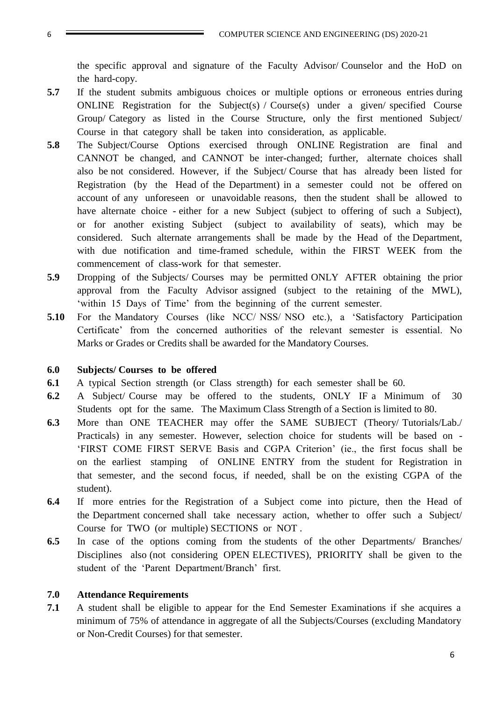the specific approval and signature of the Faculty Advisor/ Counselor and the HoD on the hard-copy.

- **5.7** If the student submits ambiguous choices or multiple options or erroneous entries during ONLINE Registration for the Subject(s) / Course(s) under a given/ specified Course Group/ Category as listed in the Course Structure, only the first mentioned Subject/ Course in that category shall be taken into consideration, as applicable.
- **5.8** The Subject/Course Options exercised through ONLINE Registration are final and CANNOT be changed, and CANNOT be inter-changed; further, alternate choices shall also be not considered. However, if the Subject/ Course that has already been listed for Registration (by the Head of the Department) in a semester could not be offered on account of any unforeseen or unavoidable reasons, then the student shall be allowed to have alternate choice - either for a new Subject (subject to offering of such a Subject), or for another existing Subject (subject to availability of seats), which may be considered. Such alternate arrangements shall be made by the Head of the Department, with due notification and time-framed schedule, within the FIRST WEEK from the commencement of class-work for that semester.
- **5.9** Dropping of the Subjects/ Courses may be permitted ONLY AFTER obtaining the prior approval from the Faculty Advisor assigned (subject to the retaining of the MWL), 'within 15 Days of Time' from the beginning of the current semester.
- **5.10** For the Mandatory Courses (like NCC/ NSS/ NSO etc.), a 'Satisfactory Participation Certificate' from the concerned authorities of the relevant semester is essential. No Marks or Grades or Credits shall be awarded for the Mandatory Courses.

#### **6.0 Subjects/ Courses to be offered**

- **6.1** A typical Section strength (or Class strength) for each semester shall be 60.
- **6.2** A Subject/ Course may be offered to the students, ONLY IF a Minimum of 30 Students opt for the same. The Maximum Class Strength of a Section is limited to 80.
- **6.3** More than ONE TEACHER may offer the SAME SUBJECT (Theory/ Tutorials/Lab./ Practicals) in any semester. However, selection choice for students will be based on - 'FIRST COME FIRST SERVE Basis and CGPA Criterion' (ie., the first focus shall be on the earliest stamping of ONLINE ENTRY from the student for Registration in that semester, and the second focus, if needed, shall be on the existing CGPA of the student).
- **6.4** If more entries for the Registration of a Subject come into picture, then the Head of the Department concerned shall take necessary action, whether to offer such a Subject/ Course for TWO (or multiple) SECTIONS or NOT .
- **6.5** In case of the options coming from the students of the other Departments/ Branches/ Disciplines also (not considering OPEN ELECTIVES), PRIORITY shall be given to the student of the 'Parent Department/Branch' first.

#### **7.0 Attendance Requirements**

**7.1** A student shall be eligible to appear for the End Semester Examinations if she acquires a minimum of 75% of attendance in aggregate of all the Subjects/Courses (excluding Mandatory or Non-Credit Courses) for that semester.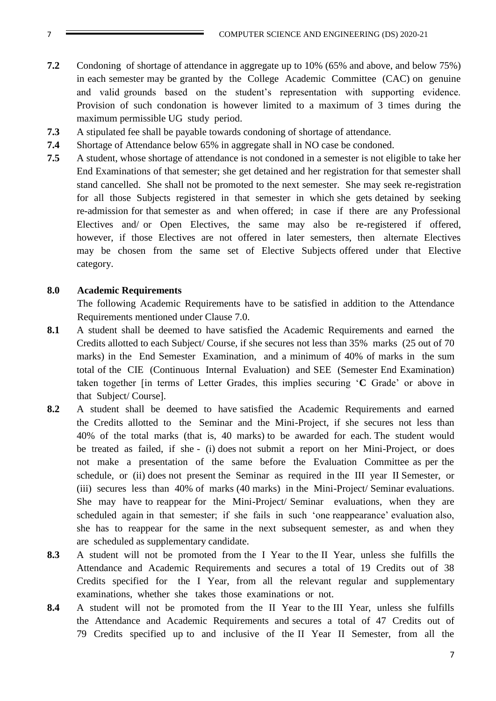- **7.2** Condoning of shortage of attendance in aggregate up to 10% (65% and above, and below 75%) in each semester may be granted by the College Academic Committee (CAC) on genuine and valid grounds based on the student's representation with supporting evidence. Provision of such condonation is however limited to a maximum of 3 times during the maximum permissible UG study period.
- **7.3** A stipulated fee shall be payable towards condoning of shortage of attendance.
- **7.4** Shortage of Attendance below 65% in aggregate shall in NO case be condoned.
- **7.5** A student, whose shortage of attendance is not condoned in a semester is not eligible to take her End Examinations of that semester; she get detained and her registration for that semester shall stand cancelled. She shall not be promoted to the next semester. She may seek re-registration for all those Subjects registered in that semester in which she gets detained by seeking re-admission for that semester as and when offered; in case if there are any Professional Electives and/ or Open Electives, the same may also be re-registered if offered, however, if those Electives are not offered in later semesters, then alternate Electives may be chosen from the same set of Elective Subjects offered under that Elective category.

#### **8.0 Academic Requirements**

The following Academic Requirements have to be satisfied in addition to the Attendance Requirements mentioned under Clause 7.0.

- **8.1** A student shall be deemed to have satisfied the Academic Requirements and earned the Credits allotted to each Subject/ Course, if she secures not less than 35% marks (25 out of 70 marks) in the End Semester Examination, and a minimum of 40% of marks in the sum total of the CIE (Continuous Internal Evaluation) and SEE (Semester End Examination) taken together [in terms of Letter Grades, this implies securing '**C** Grade' or above in that Subject/ Course].
- **8.2** A student shall be deemed to have satisfied the Academic Requirements and earned the Credits allotted to the Seminar and the Mini-Project, if she secures not less than 40% of the total marks (that is, 40 marks) to be awarded for each. The student would be treated as failed, if she - (i) does not submit a report on her Mini-Project, or does not make a presentation of the same before the Evaluation Committee as per the schedule, or (ii) does not present the Seminar as required in the III year II Semester, or (iii) secures less than 40% of marks (40 marks) in the Mini-Project/ Seminar evaluations. She may have to reappear for the Mini-Project/ Seminar evaluations, when they are scheduled again in that semester; if she fails in such 'one reappearance' evaluation also, she has to reappear for the same in the next subsequent semester, as and when they are scheduled as supplementary candidate.
- **8.3** A student will not be promoted from the I Year to the II Year, unless she fulfills the Attendance and Academic Requirements and secures a total of 19 Credits out of 38 Credits specified for the I Year, from all the relevant regular and supplementary examinations, whether she takes those examinations or not.
- **8.4** A student will not be promoted from the II Year to the III Year, unless she fulfills the Attendance and Academic Requirements and secures a total of 47 Credits out of 79 Credits specified up to and inclusive of the II Year II Semester, from all the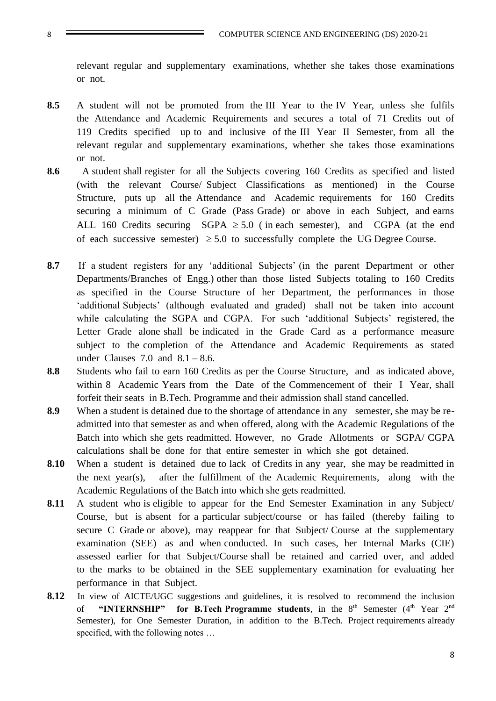relevant regular and supplementary examinations, whether she takes those examinations or not.

- **8.5** A student will not be promoted from the III Year to the IV Year, unless she fulfils the Attendance and Academic Requirements and secures a total of 71 Credits out of 119 Credits specified up to and inclusive of the III Year II Semester, from all the relevant regular and supplementary examinations, whether she takes those examinations or not.
- **8.6** A student shall register for all the Subjects covering 160 Credits as specified and listed (with the relevant Course/ Subject Classifications as mentioned) in the Course Structure, puts up all the Attendance and Academic requirements for 160 Credits securing a minimum of C Grade (Pass Grade) or above in each Subject, and earns ALL 160 Credits securing SGPA  $\geq$  5.0 (in each semester), and CGPA (at the end of each successive semester)  $\geq 5.0$  to successfully complete the UG Degree Course.
- **8.7** If a student registers for any 'additional Subjects' (in the parent Department or other Departments/Branches of Engg.) other than those listed Subjects totaling to 160 Credits as specified in the Course Structure of her Department, the performances in those 'additional Subjects' (although evaluated and graded) shall not be taken into account while calculating the SGPA and CGPA. For such 'additional Subjects' registered, the Letter Grade alone shall be indicated in the Grade Card as a performance measure subject to the completion of the Attendance and Academic Requirements as stated under Clauses 7.0 and  $8.1 - 8.6$ .
- **8.8** Students who fail to earn 160 Credits as per the Course Structure, and as indicated above, within 8 Academic Years from the Date of the Commencement of their I Year, shall forfeit their seats in B.Tech. Programme and their admission shall stand cancelled.
- **8.9** When a student is detained due to the shortage of attendance in any semester, she may be readmitted into that semester as and when offered, along with the Academic Regulations of the Batch into which she gets readmitted. However, no Grade Allotments or SGPA/ CGPA calculations shall be done for that entire semester in which she got detained.
- **8.10** When a student is detained due to lack of Credits in any year, she may be readmitted in the next year(s), after the fulfillment of the Academic Requirements, along with the Academic Regulations of the Batch into which she gets readmitted.
- **8.11** A student who is eligible to appear for the End Semester Examination in any Subject/ Course, but is absent for a particular subject/course or has failed (thereby failing to secure C Grade or above), may reappear for that Subject/ Course at the supplementary examination (SEE) as and when conducted. In such cases, her Internal Marks (CIE) assessed earlier for that Subject/Course shall be retained and carried over, and added to the marks to be obtained in the SEE supplementary examination for evaluating her performance in that Subject.
- 8.12 In view of AICTE/UGC suggestions and guidelines, it is resolved to recommend the inclusion of "INTERNSHIP" for B.Tech Programme students, in the 8<sup>th</sup> Semester (4<sup>th</sup> Year 2<sup>nd</sup> Semester), for One Semester Duration, in addition to the B.Tech. Project requirements already specified, with the following notes …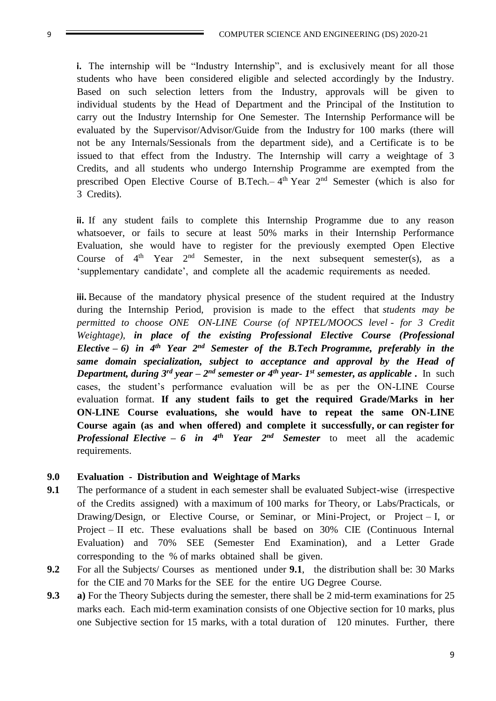**i.** The internship will be "Industry Internship", and is exclusively meant for all those students who have been considered eligible and selected accordingly by the Industry. Based on such selection letters from the Industry, approvals will be given to individual students by the Head of Department and the Principal of the Institution to carry out the Industry Internship for One Semester. The Internship Performance will be evaluated by the Supervisor/Advisor/Guide from the Industry for 100 marks (there will not be any Internals/Sessionals from the department side), and a Certificate is to be issued to that effect from the Industry. The Internship will carry a weightage of 3 Credits, and all students who undergo Internship Programme are exempted from the prescribed Open Elective Course of B.Tech. $-4<sup>th</sup>$  Year  $2<sup>nd</sup>$  Semester (which is also for 3 Credits).

**ii.** If any student fails to complete this Internship Programme due to any reason whatsoever, or fails to secure at least 50% marks in their Internship Performance Evaluation, she would have to register for the previously exempted Open Elective Course of  $4<sup>th</sup>$  Year  $2<sup>nd</sup>$  Semester, in the next subsequent semester(s), as a 'supplementary candidate', and complete all the academic requirements as needed.

**iii.** Because of the mandatory physical presence of the student required at the Industry during the Internship Period, provision is made to the effect that *students may be permitted to choose ONE ON-LINE Course (of NPTEL/MOOCS level - for 3 Credit Weightage), in place of the existing Professional Elective Course (Professional Elective – 6) in 4th Year 2nd Semester of the B.Tech Programme, preferably in the same domain specialization, subject to acceptance and approval by the Head of Department, during 3<sup>rd</sup> year – 2<sup>nd</sup> semester or 4<sup>th</sup> year- 1<sup>st</sup> semester, as applicable . In such* cases, the student's performance evaluation will be as per the ON-LINE Course evaluation format. **If any student fails to get the required Grade/Marks in her ON-LINE Course evaluations, she would have to repeat the same ON-LINE Course again (as and when offered) and complete it successfully, or can register for**  *Professional Elective – 6 in 4th Year 2nd Semester* to meet all the academic requirements.

#### **9.0 Evaluation - Distribution and Weightage of Marks**

- **9.1** The performance of a student in each semester shall be evaluated Subject-wise (irrespective of the Credits assigned) with a maximum of 100 marks for Theory, or Labs/Practicals, or Drawing/Design, or Elective Course, or Seminar, or Mini-Project, or Project – I, or Project – II etc. These evaluations shall be based on 30% CIE (Continuous Internal Evaluation) and 70% SEE (Semester End Examination), and a Letter Grade corresponding to the % of marks obtained shall be given.
- **9.2** For all the Subjects/ Courses as mentioned under **9.1**, the distribution shall be: 30 Marks for the CIE and 70 Marks for the SEE for the entire UG Degree Course.
- **9.3 a)** For the Theory Subjects during the semester, there shall be 2 mid-term examinations for 25 marks each. Each mid-term examination consists of one Objective section for 10 marks, plus one Subjective section for 15 marks, with a total duration of 120 minutes. Further, there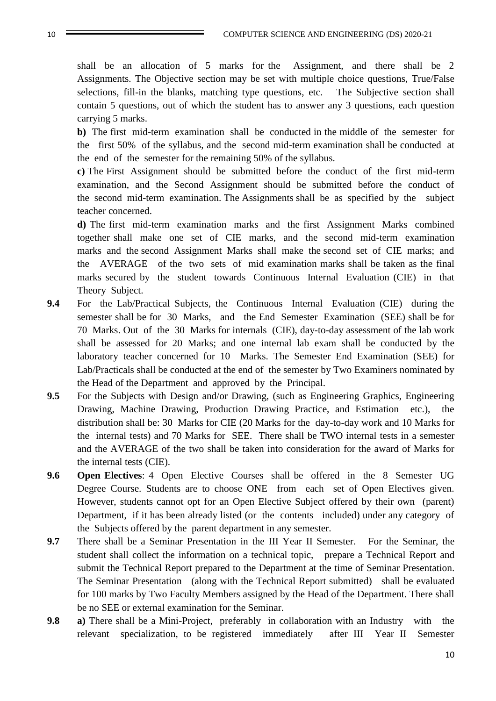shall be an allocation of 5 marks for the Assignment, and there shall be 2 Assignments. The Objective section may be set with multiple choice questions, True/False selections, fill-in the blanks, matching type questions, etc. The Subjective section shall contain 5 questions, out of which the student has to answer any 3 questions, each question carrying 5 marks.

**b)** The first mid-term examination shall be conducted in the middle of the semester for the first 50% of the syllabus, and the second mid-term examination shall be conducted at the end of the semester for the remaining 50% of the syllabus.

**c)** The First Assignment should be submitted before the conduct of the first mid-term examination, and the Second Assignment should be submitted before the conduct of the second mid-term examination. The Assignments shall be as specified by the subject teacher concerned.

**d)** The first mid-term examination marks and the first Assignment Marks combined together shall make one set of CIE marks, and the second mid-term examination marks and the second Assignment Marks shall make the second set of CIE marks; and the AVERAGE of the two sets of mid examination marks shall be taken as the final marks secured by the student towards Continuous Internal Evaluation (CIE) in that Theory Subject.

- **9.4** For the Lab/Practical Subjects, the Continuous Internal Evaluation (CIE) during the semester shall be for 30 Marks, and the End Semester Examination (SEE) shall be for 70 Marks. Out of the 30 Marks for internals (CIE), day-to-day assessment of the lab work shall be assessed for 20 Marks; and one internal lab exam shall be conducted by the laboratory teacher concerned for 10 Marks. The Semester End Examination (SEE) for Lab/Practicals shall be conducted at the end of the semester by Two Examiners nominated by the Head of the Department and approved by the Principal.
- **9.5** For the Subjects with Design and/or Drawing, (such as Engineering Graphics, Engineering Drawing, Machine Drawing, Production Drawing Practice, and Estimation etc.), the distribution shall be: 30 Marks for CIE (20 Marks for the day-to-day work and 10 Marks for the internal tests) and 70 Marks for SEE. There shall be TWO internal tests in a semester and the AVERAGE of the two shall be taken into consideration for the award of Marks for the internal tests (CIE).
- **9.6 Open Electives**: 4 Open Elective Courses shall be offered in the 8 Semester UG Degree Course. Students are to choose ONE from each set of Open Electives given. However, students cannot opt for an Open Elective Subject offered by their own (parent) Department, if it has been already listed (or the contents included) under any category of the Subjects offered by the parent department in any semester.
- **9.7** There shall be a Seminar Presentation in the III Year II Semester. For the Seminar, the student shall collect the information on a technical topic, prepare a Technical Report and submit the Technical Report prepared to the Department at the time of Seminar Presentation. The Seminar Presentation (along with the Technical Report submitted) shall be evaluated for 100 marks by Two Faculty Members assigned by the Head of the Department. There shall be no SEE or external examination for the Seminar.
- **9.8 a**) There shall be a Mini-Project, preferably in collaboration with an Industry with the relevant specialization, to be registered immediately after III Year II Semester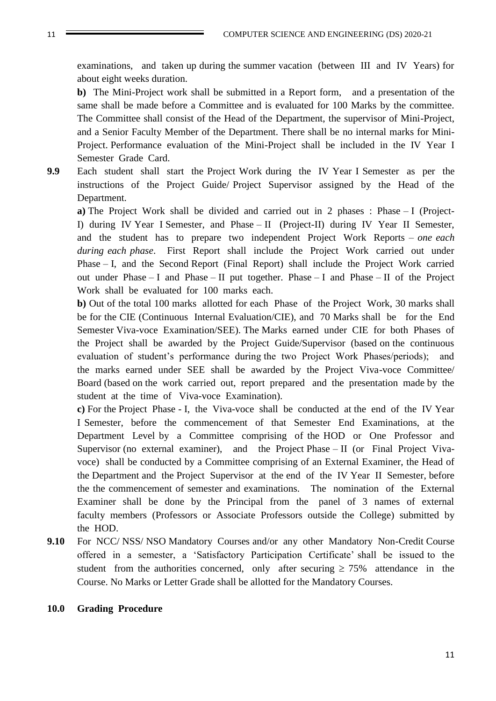examinations, and taken up during the summer vacation (between III and IV Years) for about eight weeks duration.

**b)** The Mini-Project work shall be submitted in a Report form, and a presentation of the same shall be made before a Committee and is evaluated for 100 Marks by the committee. The Committee shall consist of the Head of the Department, the supervisor of Mini-Project, and a Senior Faculty Member of the Department. There shall be no internal marks for Mini-Project. Performance evaluation of the Mini-Project shall be included in the IV Year I Semester Grade Card.

**9.9** Each student shall start the Project Work during the IV Year I Semester as per the instructions of the Project Guide/ Project Supervisor assigned by the Head of the Department.

**a)** The Project Work shall be divided and carried out in 2 phases : Phase – I (Project-I) during IV Year I Semester, and Phase – II (Project-II) during IV Year II Semester, and the student has to prepare two independent Project Work Reports – *one each during each phase*. First Report shall include the Project Work carried out under Phase – I, and the Second Report (Final Report) shall include the Project Work carried out under Phase – I and Phase – II put together. Phase – I and Phase – II of the Project Work shall be evaluated for 100 marks each.

**b)** Out of the total 100 marks allotted for each Phase of the Project Work, 30 marks shall be for the CIE (Continuous Internal Evaluation/CIE), and 70 Marks shall be for the End Semester Viva-voce Examination/SEE). The Marks earned under CIE for both Phases of the Project shall be awarded by the Project Guide/Supervisor (based on the continuous evaluation of student's performance during the two Project Work Phases/periods); and the marks earned under SEE shall be awarded by the Project Viva-voce Committee/ Board (based on the work carried out, report prepared and the presentation made by the student at the time of Viva-voce Examination).

**c)** For the Project Phase - I, the Viva-voce shall be conducted at the end of the IV Year I Semester, before the commencement of that Semester End Examinations, at the Department Level by a Committee comprising of the HOD or One Professor and Supervisor (no external examiner), and the Project Phase – II (or Final Project Vivavoce) shall be conducted by a Committee comprising of an External Examiner, the Head of the Department and the Project Supervisor at the end of the IV Year II Semester, before the the commencement of semester and examinations. The nomination of the External Examiner shall be done by the Principal from the panel of 3 names of external faculty members (Professors or Associate Professors outside the College) submitted by the HOD.

**9.10** For NCC/ NSS/ NSO Mandatory Courses and/or any other Mandatory Non-Credit Course offered in a semester, a 'Satisfactory Participation Certificate' shall be issued to the student from the authorities concerned, only after securing  $\geq 75\%$  attendance in the Course. No Marks or Letter Grade shall be allotted for the Mandatory Courses.

#### **10.0 Grading Procedure**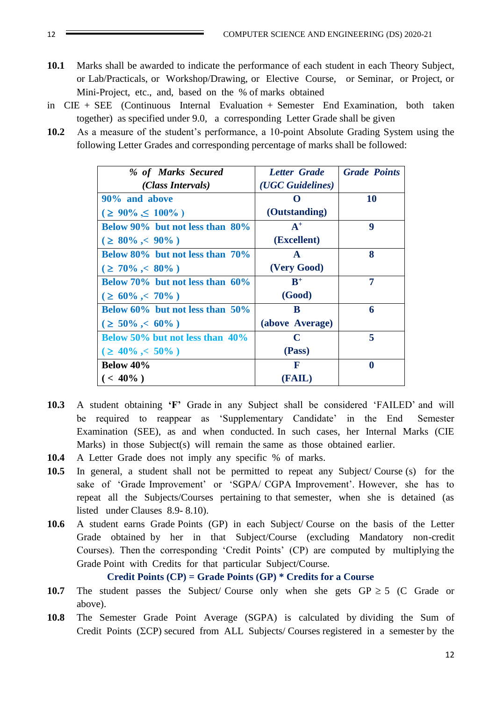- **10.1** Marks shall be awarded to indicate the performance of each student in each Theory Subject, or Lab/Practicals, or Workshop/Drawing, or Elective Course, or Seminar, or Project, or Mini-Project, etc., and, based on the % of marks obtained
- in CIE + SEE (Continuous Internal Evaluation + Semester End Examination, both taken together) as specified under 9.0, a corresponding Letter Grade shall be given
- **10.2** As a measure of the student's performance, a 10-point Absolute Grading System using the following Letter Grades and corresponding percentage of marks shall be followed:

| % of Marks Secured                     | <b>Letter Grade</b> | <b>Grade Points</b> |
|----------------------------------------|---------------------|---------------------|
| (Class Intervals)                      | (UGC Guidelines)    |                     |
| 90% and above                          |                     | <b>10</b>           |
| $( \geq 90\% \leq 100\%)$              | (Outstanding)       |                     |
| Below $90\%$ but not less than $80\%$  | $A^+$               | 9                   |
| $( \geq 80\% < 90\%)$                  | (Excellent)         |                     |
| Below $80\%$ but not less than $70\%$  | $\mathbf{A}$        | 8                   |
| $( \geq 70\% < 80\% )$                 | (Very Good)         |                     |
| Below 70% but not less than $60\%$     | $B^+$               | 7                   |
| $( \geq 60\% < 70\%)$                  | (Good)              |                     |
| Below $60\%$ but not less than $50\%$  | B                   | 6                   |
| $( \geq 50\% < 60\%)$                  | (above Average)     |                     |
| <b>Below 50% but not less than 40%</b> | C                   | 5                   |
| $( \geq 40\% < 50\% )$                 | (Pass)              |                     |
| <b>Below 40%</b>                       | F                   | $\bf{0}$            |
| $(< 40\%$ )                            | (FAIL)              |                     |

- **10.3** A student obtaining **'F'** Grade in any Subject shall be considered 'FAILED' and will be required to reappear as 'Supplementary Candidate' in the End Semester Examination (SEE), as and when conducted. In such cases, her Internal Marks (CIE Marks) in those Subject(s) will remain the same as those obtained earlier.
- **10.4** A Letter Grade does not imply any specific % of marks.
- **10.5** In general, a student shall not be permitted to repeat any Subject/ Course (s) for the sake of 'Grade Improvement' or 'SGPA/ CGPA Improvement'. However, she has to repeat all the Subjects/Courses pertaining to that semester, when she is detained (as listed under Clauses 8.9- 8.10).
- **10.6** A student earns Grade Points (GP) in each Subject/ Course on the basis of the Letter Grade obtained by her in that Subject/Course (excluding Mandatory non-credit Courses). Then the corresponding 'Credit Points' (CP) are computed by multiplying the Grade Point with Credits for that particular Subject/Course.

**Credit Points (CP) = Grade Points (GP) \* Credits for a Course**

- **10.7** The student passes the Subject/ Course only when she gets  $GP \ge 5$  (C Grade or above).
- **10.8** The Semester Grade Point Average (SGPA) is calculated by dividing the Sum of Credit Points ( $\Sigma$ CP) secured from ALL Subjects/ Courses registered in a semester by the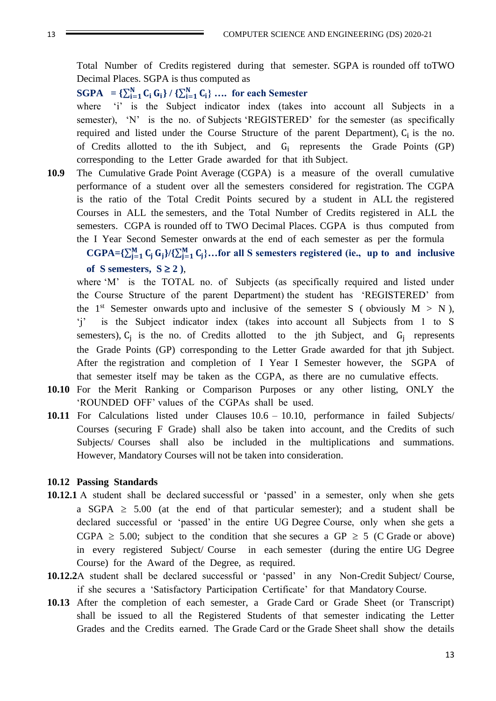Total Number of Credits registered during that semester. SGPA is rounded off toTWO Decimal Places. SGPA is thus computed as

**SGPA** = { $\sum_{i=1}^{N} C_i G_i$ } / { $\sum_{i=1}^{N} C_i$ } ... for each Semester

where 'i' is the Subject indicator index (takes into account all Subjects in a semester), 'N' is the no. of Subjects 'REGISTERED' for the semester (as specifically required and listed under the Course Structure of the parent Department),  $C_i$  is the no. of Credits allotted to the ith Subject, and  $G_i$  represents the Grade Points (GP) corresponding to the Letter Grade awarded for that ith Subject.

**10.9** The Cumulative Grade Point Average (CGPA) is a measure of the overall cumulative performance of a student over all the semesters considered for registration. The CGPA is the ratio of the Total Credit Points secured by a student in ALL the registered Courses in ALL the semesters, and the Total Number of Credits registered in ALL the semesters. CGPA is rounded off to TWO Decimal Places. CGPA is thus computed from the I Year Second Semester onwards at the end of each semester as per the formula

 $CGPA = \{\sum_{j=1}^{M} C_j G_j\} / {\sum_{j=1}^{M} C_j}.$  for all S semesters registered (ie., up to and inclusive of S semesters,  $S \ge 2$ ),

where 'M' is the TOTAL no. of Subjects (as specifically required and listed under the Course Structure of the parent Department) the student has 'REGISTERED' from the 1<sup>st</sup> Semester onwards upto and inclusive of the semester S (obviously  $M > N$ ), 'j' is the Subject indicator index (takes into account all Subjects from 1 to S semesters),  $C_j$  is the no. of Credits allotted to the jth Subject, and  $G_j$  represents the Grade Points (GP) corresponding to the Letter Grade awarded for that jth Subject. After the registration and completion of I Year I Semester however, the SGPA of that semester itself may be taken as the CGPA, as there are no cumulative effects.

- **10.10** For the Merit Ranking or Comparison Purposes or any other listing, ONLY the 'ROUNDED OFF' values of the CGPAs shall be used.
- **10.11** For Calculations listed under Clauses 10.6 10.10, performance in failed Subjects/ Courses (securing F Grade) shall also be taken into account, and the Credits of such Subjects/ Courses shall also be included in the multiplications and summations. However, Mandatory Courses will not be taken into consideration.

#### **10.12 Passing Standards**

- **10.12.1** A student shall be declared successful or 'passed' in a semester, only when she gets a SGPA  $\geq$  5.00 (at the end of that particular semester); and a student shall be declared successful or 'passed' in the entire UG Degree Course, only when she gets a CGPA  $\geq$  5.00; subject to the condition that she secures a GP  $\geq$  5 (C Grade or above) in every registered Subject/ Course in each semester (during the entire UG Degree Course) for the Award of the Degree, as required.
- **10.12.2**A student shall be declared successful or 'passed' in any Non-Credit Subject/ Course, if she secures a 'Satisfactory Participation Certificate' for that Mandatory Course.
- **10.13** After the completion of each semester, a Grade Card or Grade Sheet (or Transcript) shall be issued to all the Registered Students of that semester indicating the Letter Grades and the Credits earned. The Grade Card or the Grade Sheet shall show the details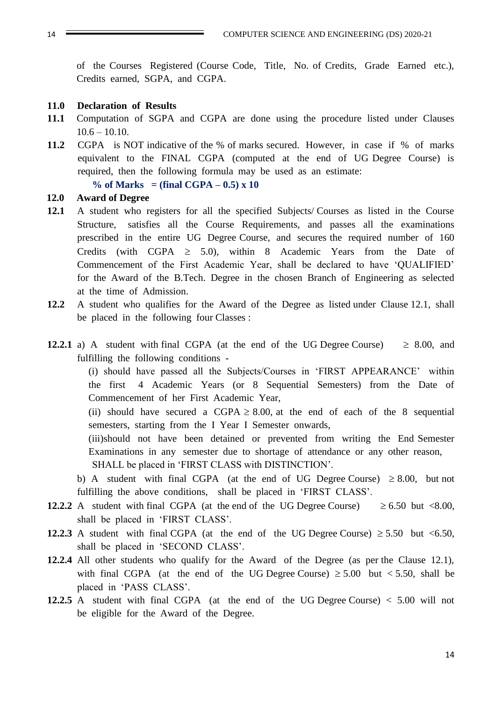of the Courses Registered (Course Code, Title, No. of Credits, Grade Earned etc.), Credits earned, SGPA, and CGPA.

#### **11.0 Declaration of Results**

- **11.1** Computation of SGPA and CGPA are done using the procedure listed under Clauses  $10.6 - 10.10$ .
- **11.2** CGPA is NOT indicative of the % of marks secured. However, in case if % of marks equivalent to the FINAL CGPA (computed at the end of UG Degree Course) is required, then the following formula may be used as an estimate:

% of Marks  $=$  (final CGPA  $-0.5$ ) x 10

#### **12.0 Award of Degree**

- **12.1** A student who registers for all the specified Subjects/ Courses as listed in the Course Structure, satisfies all the Course Requirements, and passes all the examinations prescribed in the entire UG Degree Course, and secures the required number of 160 Credits (with CGPA  $\geq$  5.0), within 8 Academic Years from the Date of Commencement of the First Academic Year, shall be declared to have 'QUALIFIED' for the Award of the B.Tech. Degree in the chosen Branch of Engineering as selected at the time of Admission.
- **12.2** A student who qualifies for the Award of the Degree as listed under Clause 12.1, shall be placed in the following four Classes :
- **12.2.1** a) A student with final CGPA (at the end of the UG Degree Course)  $\geq 8.00$ , and fulfilling the following conditions -

(i) should have passed all the Subjects/Courses in 'FIRST APPEARANCE' within the first 4 Academic Years (or 8 Sequential Semesters) from the Date of Commencement of her First Academic Year,

(ii) should have secured a CGPA  $\geq 8.00$ , at the end of each of the 8 sequential semesters, starting from the I Year I Semester onwards,

(iii)should not have been detained or prevented from writing the End Semester Examinations in any semester due to shortage of attendance or any other reason, SHALL be placed in 'FIRST CLASS with DISTINCTION'.

b) A student with final CGPA (at the end of UG Degree Course)  $\geq 8.00$ , but not fulfilling the above conditions, shall be placed in 'FIRST CLASS'.

- **12.2.2** A student with final CGPA (at the end of the UG Degree Course)  $\geq 6.50$  but <8.00, shall be placed in 'FIRST CLASS'.
- **12.2.3** A student with final CGPA (at the end of the UG Degree Course)  $\geq 5.50$  but <6.50, shall be placed in 'SECOND CLASS'.
- **12.2.4** All other students who qualify for the Award of the Degree (as per the Clause 12.1), with final CGPA (at the end of the UG Degree Course)  $\geq 5.00$  but  $\lt 5.50$ , shall be placed in 'PASS CLASS'.
- **12.2.5** A student with final CGPA (at the end of the UG Degree Course) < 5.00 will not be eligible for the Award of the Degree.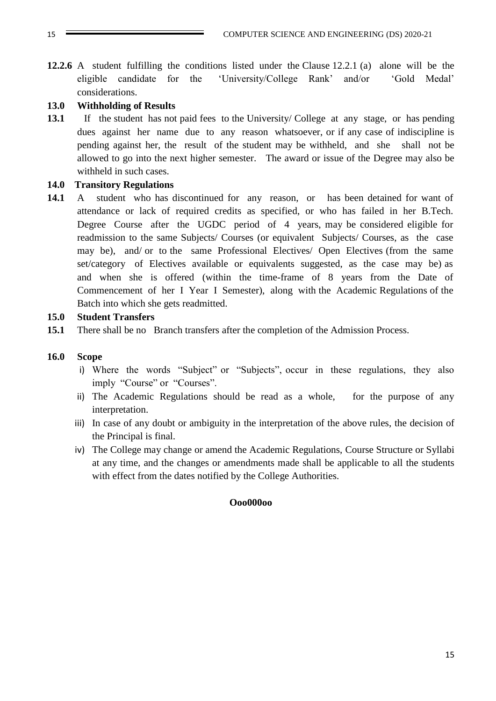**12.2.6** A student fulfilling the conditions listed under the Clause 12.2.1 (a) alone will be the eligible candidate for the 'University/College Rank' and/or 'Gold Medal' considerations.

### **13.0 Withholding of Results**

**13.1** If the student has not paid fees to the University/ College at any stage, or has pending dues against her name due to any reason whatsoever, or if any case of indiscipline is pending against her, the result of the student may be withheld, and she shall not be allowed to go into the next higher semester. The award or issue of the Degree may also be withheld in such cases.

#### **14.0 Transitory Regulations**

**14.1** A student who has discontinued for any reason, or has been detained for want of attendance or lack of required credits as specified, or who has failed in her B.Tech. Degree Course after the UGDC period of 4 years, may be considered eligible for readmission to the same Subjects/ Courses (or equivalent Subjects/ Courses, as the case may be), and/ or to the same Professional Electives/ Open Electives (from the same set/category of Electives available or equivalents suggested, as the case may be) as and when she is offered (within the time-frame of 8 years from the Date of Commencement of her I Year I Semester), along with the Academic Regulations of the Batch into which she gets readmitted.

#### **15.0 Student Transfers**

**15.1** There shall be no Branch transfers after the completion of the Admission Process.

#### **16.0 Scope**

- i) Where the words "Subject" or "Subjects", occur in these regulations, they also imply "Course" or "Courses".
- ii) The Academic Regulations should be read as a whole, for the purpose of any interpretation.
- iii) In case of any doubt or ambiguity in the interpretation of the above rules, the decision of the Principal is final.
- iv) The College may change or amend the Academic Regulations, Course Structure or Syllabi at any time, and the changes or amendments made shall be applicable to all the students with effect from the dates notified by the College Authorities.

#### **Ooo000oo**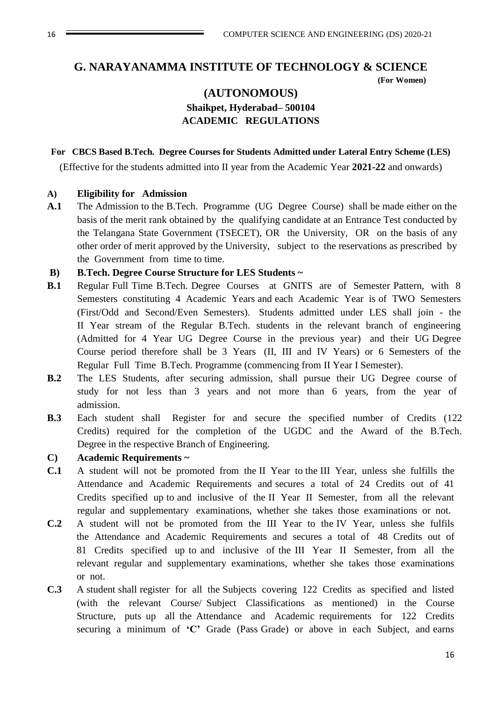#### **G. NARAYANAMMA INSTITUTE OF TECHNOLOGY & SCIENCE**

 **(For Women)** 

### **(AUTONOMOUS) Shaikpet, Hyderabad– 500104 ACADEMIC REGULATIONS**

#### **For CBCS Based B.Tech. Degree Courses for Students Admitted under Lateral Entry Scheme (LES)**

(Effective for the students admitted into II year from the Academic Year **2021-22** and onwards)

#### **A) Eligibility for Admission**

**A.1** The Admission to the B.Tech. Programme (UG Degree Course) shall be made either on the basis of the merit rank obtained by the qualifying candidate at an Entrance Test conducted by the Telangana State Government (TSECET), OR the University, OR on the basis of any other order of merit approved by the University, subject to the reservations as prescribed by the Government from time to time.

#### **B) B.Tech. Degree Course Structure for LES Students ~**

- **B.1** Regular Full Time B.Tech. Degree Courses at GNITS are of Semester Pattern, with 8 Semesters constituting 4 Academic Years and each Academic Year is of TWO Semesters (First/Odd and Second/Even Semesters). Students admitted under LES shall join - the II Year stream of the Regular B.Tech. students in the relevant branch of engineering (Admitted for 4 Year UG Degree Course in the previous year) and their UG Degree Course period therefore shall be 3 Years (II, III and IV Years) or 6 Semesters of the Regular Full Time B.Tech. Programme (commencing from II Year I Semester).
- **B.2** The LES Students, after securing admission, shall pursue their UG Degree course of study for not less than 3 years and not more than 6 years, from the year of admission.
- **B.3** Each student shall Register for and secure the specified number of Credits (122 Credits) required for the completion of the UGDC and the Award of the B.Tech. Degree in the respective Branch of Engineering.

#### **C) Academic Requirements ~**

- **C.1** A student will not be promoted from the II Year to the III Year, unless she fulfills the Attendance and Academic Requirements and secures a total of 24 Credits out of 41 Credits specified up to and inclusive of the II Year II Semester, from all the relevant regular and supplementary examinations, whether she takes those examinations or not.
- **C.2** A student will not be promoted from the III Year to the IV Year, unless she fulfils the Attendance and Academic Requirements and secures a total of 48 Credits out of 81 Credits specified up to and inclusive of the III Year II Semester, from all the relevant regular and supplementary examinations, whether she takes those examinations or not.
- **C.3** A student shall register for all the Subjects covering 122 Credits as specified and listed (with the relevant Course/ Subject Classifications as mentioned) in the Course Structure, puts up all the Attendance and Academic requirements for 122 Credits securing a minimum of **'C'** Grade (Pass Grade) or above in each Subject, and earns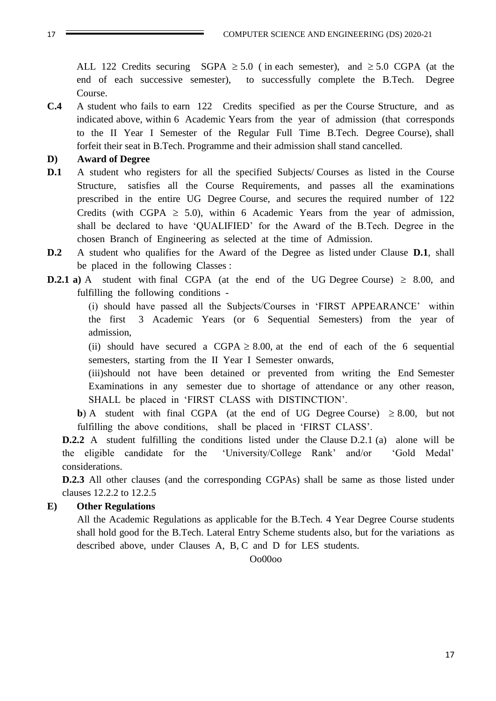ALL 122 Credits securing SGPA  $\geq 5.0$  (in each semester), and  $\geq 5.0$  CGPA (at the end of each successive semester), to successfully complete the B.Tech. Degree Course.

**C.4** A student who fails to earn 122 Credits specified as per the Course Structure, and as indicated above, within 6 Academic Years from the year of admission (that corresponds to the II Year I Semester of the Regular Full Time B.Tech. Degree Course), shall forfeit their seat in B.Tech. Programme and their admission shall stand cancelled.

#### **D) Award of Degree**

- **D.1** A student who registers for all the specified Subjects/ Courses as listed in the Course Structure, satisfies all the Course Requirements, and passes all the examinations prescribed in the entire UG Degree Course, and secures the required number of 122 Credits (with CGPA  $\geq$  5.0), within 6 Academic Years from the year of admission, shall be declared to have 'QUALIFIED' for the Award of the B.Tech. Degree in the chosen Branch of Engineering as selected at the time of Admission.
- **D.2** A student who qualifies for the Award of the Degree as listed under Clause **D.1**, shall be placed in the following Classes :
- **D.2.1 a**) A student with final CGPA (at the end of the UG Degree Course)  $\geq 8.00$ , and fulfilling the following conditions -

(i) should have passed all the Subjects/Courses in 'FIRST APPEARANCE' within the first 3 Academic Years (or 6 Sequential Semesters) from the year of admission,

(ii) should have secured a CGPA  $\geq 8.00$ , at the end of each of the 6 sequential semesters, starting from the II Year I Semester onwards,

(iii)should not have been detained or prevented from writing the End Semester Examinations in any semester due to shortage of attendance or any other reason, SHALL be placed in 'FIRST CLASS with DISTINCTION'.

**b**) A student with final CGPA (at the end of UG Degree Course)  $\geq 8.00$ , but not fulfilling the above conditions, shall be placed in 'FIRST CLASS'.

**D.2.2** A student fulfilling the conditions listed under the Clause D.2.1 (a) alone will be the eligible candidate for the 'University/College Rank' and/or 'Gold Medal' considerations.

**D.2.3** All other clauses (and the corresponding CGPAs) shall be same as those listed under clauses 12.2.2 to 12.2.5

#### **E) Other Regulations**

All the Academic Regulations as applicable for the B.Tech. 4 Year Degree Course students shall hold good for the B.Tech. Lateral Entry Scheme students also, but for the variations as described above, under Clauses A, B, C and D for LES students.

Oo00oo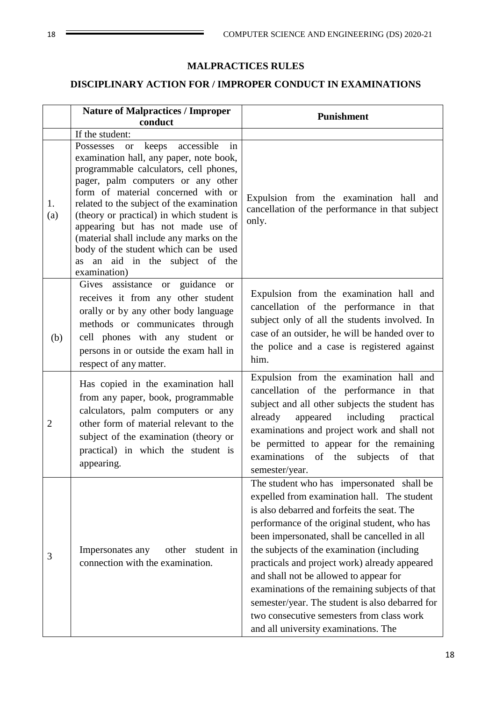### **MALPRACTICES RULES**

### **DISCIPLINARY ACTION FOR / IMPROPER CONDUCT IN EXAMINATIONS**

|                | <b>Nature of Malpractices / Improper</b><br>conduct                                                                                                                                                                                                                                                                                                                                                                                                                            | Punishment                                                                                                                                                                                                                                                                                                                                                                                                                                                                                                                                                                 |
|----------------|--------------------------------------------------------------------------------------------------------------------------------------------------------------------------------------------------------------------------------------------------------------------------------------------------------------------------------------------------------------------------------------------------------------------------------------------------------------------------------|----------------------------------------------------------------------------------------------------------------------------------------------------------------------------------------------------------------------------------------------------------------------------------------------------------------------------------------------------------------------------------------------------------------------------------------------------------------------------------------------------------------------------------------------------------------------------|
|                | If the student:                                                                                                                                                                                                                                                                                                                                                                                                                                                                |                                                                                                                                                                                                                                                                                                                                                                                                                                                                                                                                                                            |
| 1.<br>(a)      | or keeps accessible<br>in<br>Possesses<br>examination hall, any paper, note book,<br>programmable calculators, cell phones,<br>pager, palm computers or any other<br>form of material concerned with or<br>related to the subject of the examination<br>(theory or practical) in which student is<br>appearing but has not made use of<br>(material shall include any marks on the<br>body of the student which can be used<br>as an aid in the subject of the<br>examination) | Expulsion from the examination hall and<br>cancellation of the performance in that subject<br>only.                                                                                                                                                                                                                                                                                                                                                                                                                                                                        |
| (b)            | Gives assistance or guidance or<br>receives it from any other student<br>orally or by any other body language<br>methods or communicates through<br>cell phones with any student or<br>persons in or outside the exam hall in<br>respect of any matter.                                                                                                                                                                                                                        | Expulsion from the examination hall and<br>cancellation of the performance in that<br>subject only of all the students involved. In<br>case of an outsider, he will be handed over to<br>the police and a case is registered against<br>him.                                                                                                                                                                                                                                                                                                                               |
| $\overline{2}$ | Has copied in the examination hall<br>from any paper, book, programmable<br>calculators, palm computers or any<br>other form of material relevant to the<br>subject of the examination (theory or<br>practical) in which the student is<br>appearing.                                                                                                                                                                                                                          | Expulsion from the examination hall and<br>cancellation of the performance in that<br>subject and all other subjects the student has<br>already<br>appeared including practical<br>examinations and project work and shall not<br>be permitted to appear for the remaining<br>examinations<br>of the<br>subjects<br>of<br>that<br>semester/year.                                                                                                                                                                                                                           |
| 3              | Impersonates any<br>other<br>student in<br>connection with the examination.                                                                                                                                                                                                                                                                                                                                                                                                    | The student who has impersonated shall be<br>expelled from examination hall. The student<br>is also debarred and forfeits the seat. The<br>performance of the original student, who has<br>been impersonated, shall be cancelled in all<br>the subjects of the examination (including<br>practicals and project work) already appeared<br>and shall not be allowed to appear for<br>examinations of the remaining subjects of that<br>semester/year. The student is also debarred for<br>two consecutive semesters from class work<br>and all university examinations. The |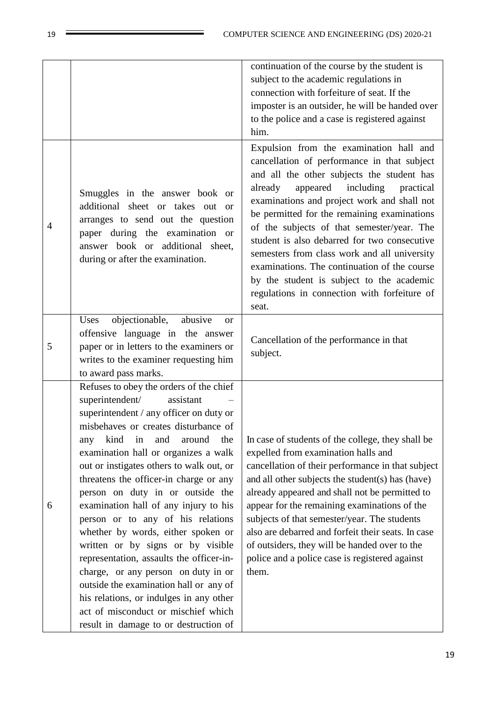|   |                                                                                                                                                                                                                                                                                                                                                                                                                                                                                                                                                                                                                                                                                                                                                                                            | continuation of the course by the student is<br>subject to the academic regulations in<br>connection with forfeiture of seat. If the<br>imposter is an outsider, he will be handed over<br>to the police and a case is registered against<br>him.                                                                                                                                                                                                                                                                                                                                       |
|---|--------------------------------------------------------------------------------------------------------------------------------------------------------------------------------------------------------------------------------------------------------------------------------------------------------------------------------------------------------------------------------------------------------------------------------------------------------------------------------------------------------------------------------------------------------------------------------------------------------------------------------------------------------------------------------------------------------------------------------------------------------------------------------------------|-----------------------------------------------------------------------------------------------------------------------------------------------------------------------------------------------------------------------------------------------------------------------------------------------------------------------------------------------------------------------------------------------------------------------------------------------------------------------------------------------------------------------------------------------------------------------------------------|
| 4 | Smuggles in the answer book or<br>additional sheet or takes out or<br>arranges to send out the question<br>paper during the examination or<br>answer book or additional sheet,<br>during or after the examination.                                                                                                                                                                                                                                                                                                                                                                                                                                                                                                                                                                         | Expulsion from the examination hall and<br>cancellation of performance in that subject<br>and all the other subjects the student has<br>appeared<br>including<br>practical<br>already<br>examinations and project work and shall not<br>be permitted for the remaining examinations<br>of the subjects of that semester/year. The<br>student is also debarred for two consecutive<br>semesters from class work and all university<br>examinations. The continuation of the course<br>by the student is subject to the academic<br>regulations in connection with forfeiture of<br>seat. |
| 5 | objectionable,<br>Uses<br>abusive<br><sub>or</sub><br>offensive language in the answer<br>paper or in letters to the examiners or<br>writes to the examiner requesting him<br>to award pass marks.                                                                                                                                                                                                                                                                                                                                                                                                                                                                                                                                                                                         | Cancellation of the performance in that<br>subject.                                                                                                                                                                                                                                                                                                                                                                                                                                                                                                                                     |
| 6 | Refuses to obey the orders of the chief<br>superintendent/<br>assistant<br>superintendent / any officer on duty or<br>misbehaves or creates disturbance of<br>kind<br>the<br>in<br>and<br>around<br>any<br>examination hall or organizes a walk<br>out or instigates others to walk out, or<br>threatens the officer-in charge or any<br>person on duty in or outside the<br>examination hall of any injury to his<br>person or to any of his relations<br>whether by words, either spoken or<br>written or by signs or by visible<br>representation, assaults the officer-in-<br>charge, or any person on duty in or<br>outside the examination hall or any of<br>his relations, or indulges in any other<br>act of misconduct or mischief which<br>result in damage to or destruction of | In case of students of the college, they shall be<br>expelled from examination halls and<br>cancellation of their performance in that subject<br>and all other subjects the student(s) has (have)<br>already appeared and shall not be permitted to<br>appear for the remaining examinations of the<br>subjects of that semester/year. The students<br>also are debarred and forfeit their seats. In case<br>of outsiders, they will be handed over to the<br>police and a police case is registered against<br>them.                                                                   |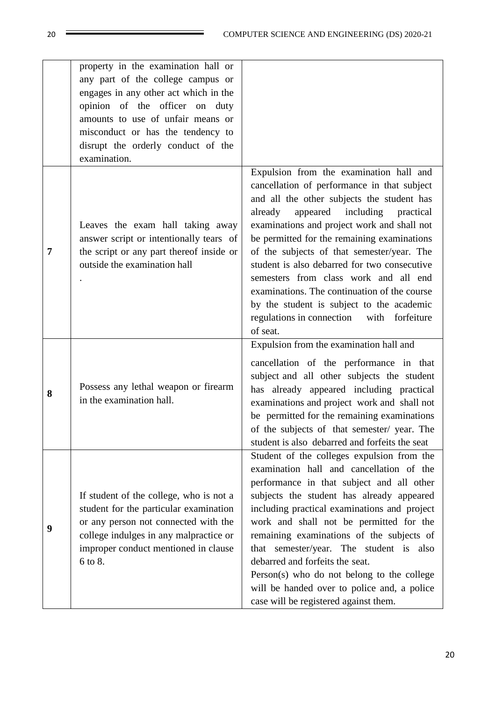|   | property in the examination hall or<br>any part of the college campus or<br>engages in any other act which in the<br>opinion of the officer on duty<br>amounts to use of unfair means or<br>misconduct or has the tendency to<br>disrupt the orderly conduct of the<br>examination. |                                                                                                                                                                                                                                                                                                                                                                                                                                                                                                                                                                               |
|---|-------------------------------------------------------------------------------------------------------------------------------------------------------------------------------------------------------------------------------------------------------------------------------------|-------------------------------------------------------------------------------------------------------------------------------------------------------------------------------------------------------------------------------------------------------------------------------------------------------------------------------------------------------------------------------------------------------------------------------------------------------------------------------------------------------------------------------------------------------------------------------|
| 7 | Leaves the exam hall taking away<br>answer script or intentionally tears of<br>the script or any part thereof inside or<br>outside the examination hall                                                                                                                             | Expulsion from the examination hall and<br>cancellation of performance in that subject<br>and all the other subjects the student has<br>appeared including<br>already<br>practical<br>examinations and project work and shall not<br>be permitted for the remaining examinations<br>of the subjects of that semester/year. The<br>student is also debarred for two consecutive<br>semesters from class work and all end<br>examinations. The continuation of the course<br>by the student is subject to the academic<br>regulations in connection with forfeiture<br>of seat. |
| 8 | Possess any lethal weapon or firearm<br>in the examination hall.                                                                                                                                                                                                                    | Expulsion from the examination hall and<br>cancellation of the performance in that<br>subject and all other subjects the student<br>has already appeared including practical<br>examinations and project work and shall not<br>be permitted for the remaining examinations<br>of the subjects of that semester/ year. The<br>student is also debarred and forfeits the seat                                                                                                                                                                                                   |
| 9 | If student of the college, who is not a<br>student for the particular examination<br>or any person not connected with the<br>college indulges in any malpractice or<br>improper conduct mentioned in clause<br>6 to 8.                                                              | Student of the colleges expulsion from the<br>examination hall and cancellation of the<br>performance in that subject and all other<br>subjects the student has already appeared<br>including practical examinations and project<br>work and shall not be permitted for the<br>remaining examinations of the subjects of<br>that semester/year. The student is also<br>debarred and forfeits the seat.<br>Person(s) who do not belong to the college<br>will be handed over to police and, a police<br>case will be registered against them.                                  |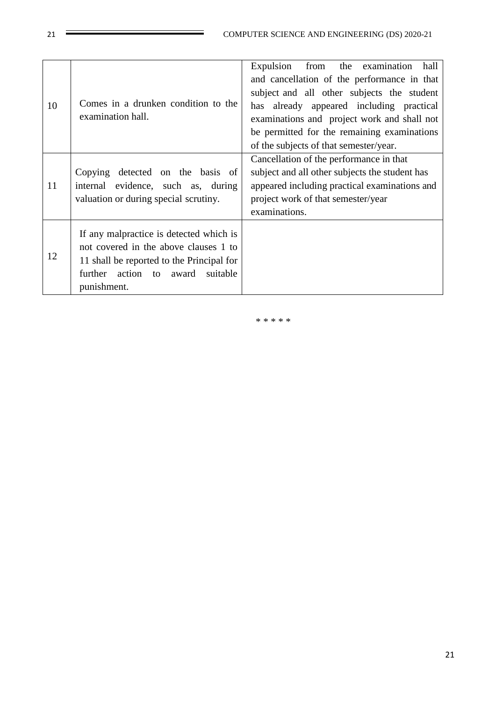| 10 | Comes in a drunken condition to the<br>examination hall.                                                                                                                                  | Expulsion<br>from the examination<br>hall<br>and cancellation of the performance in that<br>subject and all other subjects the student<br>has already appeared including practical<br>examinations and project work and shall not<br>be permitted for the remaining examinations<br>of the subjects of that semester/year. |
|----|-------------------------------------------------------------------------------------------------------------------------------------------------------------------------------------------|----------------------------------------------------------------------------------------------------------------------------------------------------------------------------------------------------------------------------------------------------------------------------------------------------------------------------|
| 11 | Copying detected on the basis of<br>evidence, such as, during<br>internal<br>valuation or during special scrutiny.                                                                        | Cancellation of the performance in that<br>subject and all other subjects the student has<br>appeared including practical examinations and<br>project work of that semester/year<br>examinations.                                                                                                                          |
| 12 | If any malpractice is detected which is<br>not covered in the above clauses 1 to<br>11 shall be reported to the Principal for<br>action to<br>further<br>award<br>suitable<br>punishment. |                                                                                                                                                                                                                                                                                                                            |

\* \* \* \* \*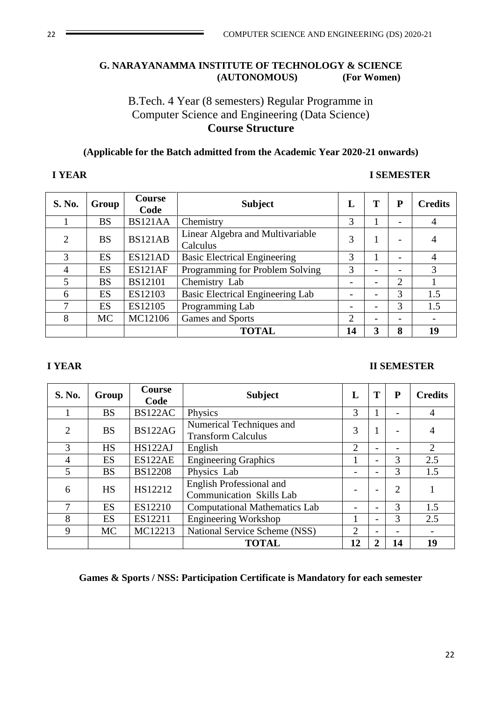#### **G. NARAYANAMMA INSTITUTE OF TECHNOLOGY & SCIENCE (AUTONOMOUS) (For Women)**

### B.Tech. 4 Year (8 semesters) Regular Programme in Computer Science and Engineering (Data Science) **Course Structure**

### **(Applicable for the Batch admitted from the Academic Year 2020-21 onwards)**

#### **I YEAR I SEMESTER**

| S. No.         | Group     | <b>Course</b><br>Code | <b>Subject</b>                               | L              | Т                        | P                        | <b>Credits</b> |
|----------------|-----------|-----------------------|----------------------------------------------|----------------|--------------------------|--------------------------|----------------|
|                | <b>BS</b> | BS121AA               | Chemistry                                    | 3              |                          |                          | 4              |
| 2              | <b>BS</b> | <b>BS121AB</b>        | Linear Algebra and Multivariable<br>Calculus | 3              |                          |                          | 4              |
| 3              | ES        | ES121AD               | <b>Basic Electrical Engineering</b>          | 3              |                          | $\overline{\phantom{a}}$ | 4              |
| $\overline{4}$ | ES        | ES121AF               | Programming for Problem Solving              | 3              |                          | $\overline{\phantom{a}}$ | 3              |
| 5              | <b>BS</b> | <b>BS12101</b>        | Chemistry Lab                                |                |                          | $\overline{2}$           |                |
| 6              | ES        | ES12103               | <b>Basic Electrical Engineering Lab</b>      |                | -                        | 3                        | 1.5            |
| 7              | ES        | ES12105               | Programming Lab                              | -              | $\overline{\phantom{0}}$ | 3                        | 1.5            |
| 8              | <b>MC</b> | MC12106               | Games and Sports                             | $\overline{2}$ |                          |                          |                |
|                |           |                       | <b>TOTAL</b>                                 | 14             | 3                        | 8                        | 19             |

#### **I YEAR II SEMESTER**

| S. No.         | Group     | <b>Course</b><br>Code | <b>Subject</b>                                                     | L  | T                        | P              | <b>Credits</b> |
|----------------|-----------|-----------------------|--------------------------------------------------------------------|----|--------------------------|----------------|----------------|
|                | <b>BS</b> | BS122AC               | Physics                                                            | 3  | 1                        |                | $\overline{4}$ |
| 2              | <b>BS</b> | <b>BS122AG</b>        | Numerical Techniques and<br><b>Transform Calculus</b>              | 3  | 1                        |                | 4              |
| 3              | <b>HS</b> | HS122AJ               | English                                                            | 2  | $\overline{a}$           |                | $\overline{2}$ |
| $\overline{4}$ | ES        | ES122AE               | <b>Engineering Graphics</b>                                        | 1  | $\overline{\phantom{0}}$ | 3              | 2.5            |
| 5              | <b>BS</b> | <b>BS12208</b>        | Physics Lab                                                        |    | $\overline{\phantom{0}}$ | 3              | 1.5            |
| 6              | <b>HS</b> | HS12212               | <b>English Professional and</b><br><b>Communication Skills Lab</b> |    |                          | $\overline{2}$ |                |
|                | ES        | ES12210               | <b>Computational Mathematics Lab</b>                               | -  | $\overline{\phantom{0}}$ | 3              | 1.5            |
| 8              | ES        | ES12211               | <b>Engineering Workshop</b>                                        |    | $\overline{\phantom{0}}$ | 3              | 2.5            |
| 9              | <b>MC</b> | MC12213               | National Service Scheme (NSS)                                      | 2  | $\overline{\phantom{0}}$ |                |                |
|                |           |                       | <b>TOTAL</b>                                                       | 12 | $\overline{2}$           | 14             | 19             |

**Games & Sports / NSS: Participation Certificate is Mandatory for each semester**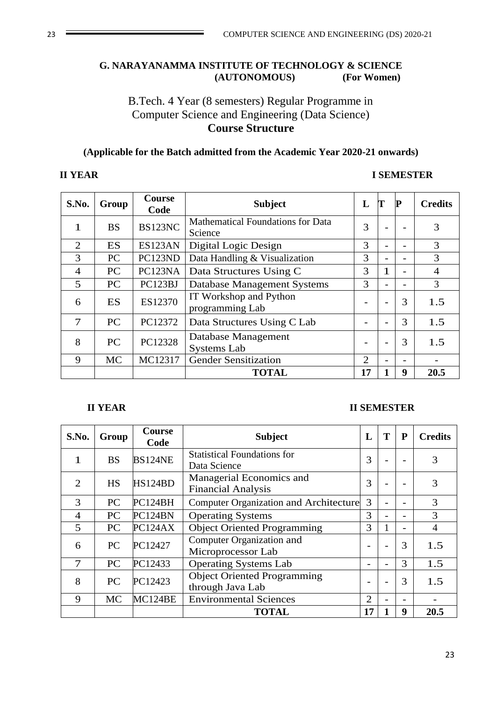#### **G. NARAYANAMMA INSTITUTE OF TECHNOLOGY & SCIENCE (AUTONOMOUS) (For Women)**

## B.Tech. 4 Year (8 semesters) Regular Programme in Computer Science and Engineering (Data Science) **Course Structure**

### **(Applicable for the Batch admitted from the Academic Year 2020-21 onwards)**

#### **II YEAR I SEMESTER**

| S.No.          | Group     | <b>Course</b><br>Code | <b>Subject</b>                                      | L              | Т | P                        | <b>Credits</b> |
|----------------|-----------|-----------------------|-----------------------------------------------------|----------------|---|--------------------------|----------------|
| 1              | <b>BS</b> | BS123NC               | <b>Mathematical Foundations for Data</b><br>Science | 3              |   |                          | 3              |
| 2              | <b>ES</b> | ES123AN               | Digital Logic Design                                | 3              |   |                          | 3              |
| 3              | PC        | PC123ND               | Data Handling & Visualization                       | 3              |   |                          | 3              |
| $\overline{4}$ | PC        | PC123NA               | Data Structures Using C                             | 3              |   |                          | $\overline{4}$ |
| 5              | PC        | PC123BJ               | Database Management Systems                         | 3              |   | $\overline{\phantom{0}}$ | 3              |
| 6              | ES        | ES12370               | IT Workshop and Python<br>programming Lab           |                |   | 3                        | 1.5            |
| 7              | <b>PC</b> | PC12372               | Data Structures Using C Lab                         |                |   | 3                        | 1.5            |
| 8              | PC        | PC12328               | Database Management<br><b>Systems Lab</b>           |                |   | 3                        | 1.5            |
| 9              | <b>MC</b> | MC12317               | <b>Gender Sensitization</b>                         | $\mathfrak{2}$ |   |                          |                |
|                |           |                       | <b>TOTAL</b>                                        | 17             |   | 9                        | 20.5           |

#### **II YEAR II SEMESTER**

| S.No.          | Group     | <b>Course</b><br>Code | <b>Subject</b>                                         | L                        | T | P | <b>Credits</b> |
|----------------|-----------|-----------------------|--------------------------------------------------------|--------------------------|---|---|----------------|
| 1              | <b>BS</b> | <b>BS124NE</b>        | <b>Statistical Foundations for</b><br>Data Science     | 3                        |   |   | 3              |
| $\mathfrak{D}$ | <b>HS</b> | HS124BD               | Managerial Economics and<br><b>Financial Analysis</b>  | 3                        |   |   | 3              |
| 3              | <b>PC</b> | PC124BH               | <b>Computer Organization and Architecture</b>          | 3                        |   |   | 3              |
| 4              | <b>PC</b> | PC124BN               | <b>Operating Systems</b>                               | 3                        |   |   | 3              |
| 5              | PC        | PC124AX               | <b>Object Oriented Programming</b>                     | 3                        |   |   | 4              |
| 6              | <b>PC</b> | PC12427               | Computer Organization and<br>Microprocessor Lab        | $\overline{\phantom{0}}$ |   | 3 | 1.5            |
| 7              | PC        | PC12433               | <b>Operating Systems Lab</b>                           | $\overline{\phantom{a}}$ |   | 3 | 1.5            |
| 8              | PC        | PC12423               | <b>Object Oriented Programming</b><br>through Java Lab | $\overline{\phantom{a}}$ |   | 3 | 1.5            |
| 9              | <b>MC</b> | MC124BE               | <b>Environmental Sciences</b>                          | 2                        |   |   |                |
|                |           |                       | <b>TOTAL</b>                                           | 17                       |   | 9 | 20.5           |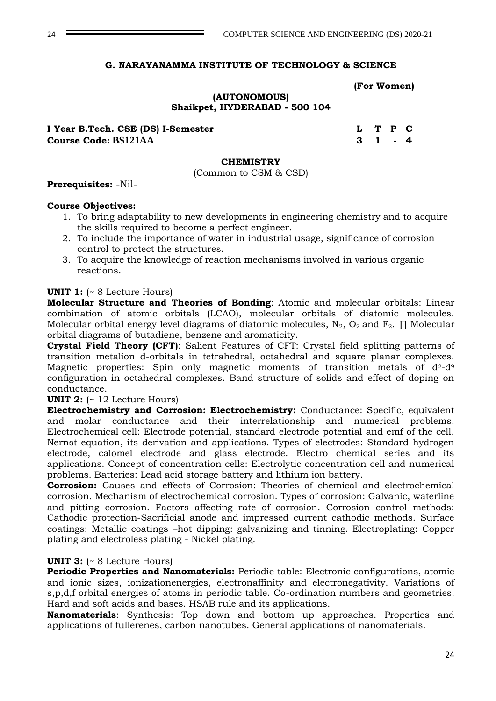#### **G. NARAYANAMMA INSTITUTE OF TECHNOLOGY & SCIENCE**

 **(For Women)**

#### **(AUTONOMOUS) Shaikpet, HYDERABAD - 500 104**

**I Year B.Tech. CSE (DS) I-Semester L T P C Course Code: BS121AA 3 1 - 4** 

#### **CHEMISTRY**

(Common to CSM & CSD)

**Prerequisites:** -Nil-

#### **Course Objectives:**

- 1. To bring adaptability to new developments in engineering chemistry and to acquire the skills required to become a perfect engineer.
- 2. To include the importance of water in industrial usage, significance of corrosion control to protect the structures.
- 3. To acquire the knowledge of reaction mechanisms involved in various organic reactions.

#### **UNIT 1:** (~ 8 Lecture Hours)

**Molecular Structure and Theories of Bonding**: Atomic and molecular orbitals: Linear combination of atomic orbitals (LCAO), molecular orbitals of diatomic molecules. Molecular orbital energy level diagrams of diatomic molecules,  $N_2$ ,  $O_2$  and  $F_2$ .  $\Pi$  Molecular orbital diagrams of butadiene, benzene and aromaticity.

**Crystal Field Theory (CFT)**: Salient Features of CFT: Crystal field splitting patterns of transition metalion d-orbitals in tetrahedral, octahedral and square planar complexes. Magnetic properties: Spin only magnetic moments of transition metals of  $d^2-d^9$ configuration in octahedral complexes. Band structure of solids and effect of doping on conductance.

#### **UNIT 2:** (~ 12 Lecture Hours)

**Electrochemistry and Corrosion: Electrochemistry:** Conductance: Specific, equivalent and molar conductance and their interrelationship and numerical problems. Electrochemical cell: Electrode potential, standard electrode potential and emf of the cell. Nernst equation, its derivation and applications. Types of electrodes: Standard hydrogen electrode, calomel electrode and glass electrode. Electro chemical series and its applications. Concept of concentration cells: Electrolytic concentration cell and numerical problems. Batteries: Lead acid storage battery and lithium ion battery.

**Corrosion:** Causes and effects of Corrosion: Theories of chemical and electrochemical corrosion. Mechanism of electrochemical corrosion. Types of corrosion: Galvanic, waterline and pitting corrosion. Factors affecting rate of corrosion. Corrosion control methods: Cathodic protection-Sacrificial anode and impressed current cathodic methods. Surface coatings: Metallic coatings –hot dipping: galvanizing and tinning. Electroplating: Copper plating and electroless plating - Nickel plating.

#### **UNIT 3:** (~ 8 Lecture Hours)

**Periodic Properties and Nanomaterials:** Periodic table: Electronic configurations, atomic and ionic sizes, ionizationenergies, electronaffinity and electronegativity. Variations of s,p,d,f orbital energies of atoms in periodic table. Co-ordination numbers and geometries. Hard and soft acids and bases. HSAB rule and its applications.

**Nanomaterials**: Synthesis: Top down and bottom up approaches. Properties and applications of fullerenes, carbon nanotubes. General applications of nanomaterials.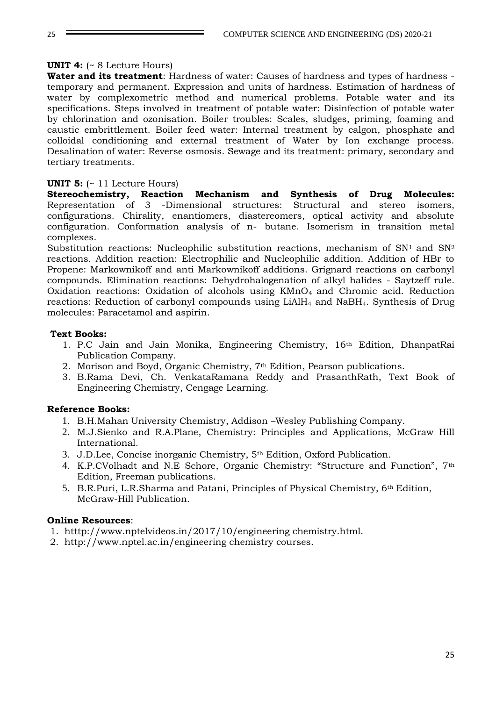#### **UNIT 4:** (~ 8 Lecture Hours)

**Water and its treatment**: Hardness of water: Causes of hardness and types of hardness temporary and permanent. Expression and units of hardness. Estimation of hardness of water by complexometric method and numerical problems. Potable water and its specifications. Steps involved in treatment of potable water: Disinfection of potable water by chlorination and ozonisation. Boiler troubles: Scales, sludges, priming, foaming and caustic embrittlement. Boiler feed water: Internal treatment by calgon, phosphate and colloidal conditioning and external treatment of Water by Ion exchange process. Desalination of water: Reverse osmosis. Sewage and its treatment: primary, secondary and tertiary treatments.

#### **UNIT 5:** (~ 11 Lecture Hours)

**Stereochemistry, Reaction Mechanism and Synthesis of Drug Molecules:**  Representation of 3 -Dimensional structures: Structural and stereo isomers, configurations. Chirality, enantiomers, diastereomers, optical activity and absolute configuration. Conformation analysis of n- butane. Isomerism in transition metal complexes.

Substitution reactions: Nucleophilic substitution reactions, mechanism of  $SN<sup>1</sup>$  and  $SN<sup>2</sup>$ reactions. Addition reaction: Electrophilic and Nucleophilic addition. Addition of HBr to Propene: Markownikoff and anti Markownikoff additions. Grignard reactions on carbonyl compounds. Elimination reactions: Dehydrohalogenation of alkyl halides - Saytzeff rule. Oxidation reactions: Oxidation of alcohols using  $KMnO<sub>4</sub>$  and Chromic acid. Reduction reactions: Reduction of carbonyl compounds using LiAlH<sub>4</sub> and NaBH<sub>4</sub>. Synthesis of Drug molecules: Paracetamol and aspirin.

#### **Text Books:**

- 1. P.C Jain and Jain Monika, Engineering Chemistry, 16th Edition, DhanpatRai Publication Company.
- 2. Morison and Boyd, Organic Chemistry, 7th Edition, Pearson publications.
- 3. B.Rama Devi, Ch. VenkataRamana Reddy and PrasanthRath, Text Book of Engineering Chemistry, Cengage Learning.

#### **Reference Books:**

- 1. B.H.Mahan University Chemistry, Addison –Wesley Publishing Company.
- 2. M.J.Sienko and R.A.Plane, Chemistry: Principles and Applications, McGraw Hill International.
- 3. J.D.Lee, Concise inorganic Chemistry, 5th Edition, Oxford Publication.
- 4. K.P.CVolhadt and N.E Schore, Organic Chemistry: "Structure and Function", 7th Edition, Freeman publications.
- 5. B.R.Puri, L.R.Sharma and Patani, Principles of Physical Chemistry, 6th Edition, McGraw-Hill Publication.

#### **Online Resources**:

- 1. htttp://www.nptelvideos.in/2017/10/engineering chemistry.html.
- 2. http://www.nptel.ac.in/engineering chemistry courses.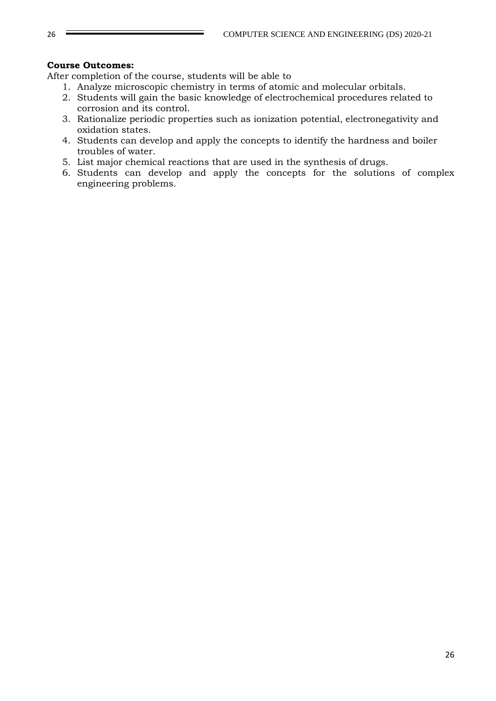#### **Course Outcomes:**

After completion of the course, students will be able to

- 1. Analyze microscopic chemistry in terms of atomic and molecular orbitals.
- 2. Students will gain the basic knowledge of electrochemical procedures related to corrosion and its control.
- 3. Rationalize periodic properties such as ionization potential, electronegativity and oxidation states.
- 4. Students can develop and apply the concepts to identify the hardness and boiler troubles of water.
- 5. List major chemical reactions that are used in the synthesis of drugs.
- 6. Students can develop and apply the concepts for the solutions of complex engineering problems.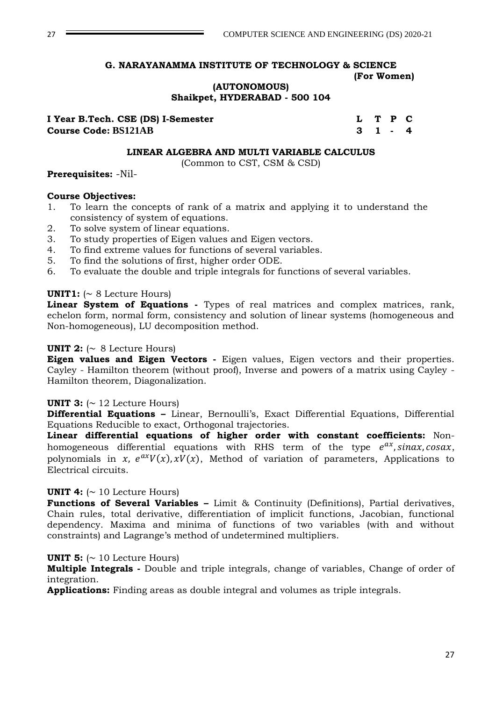#### **G. NARAYANAMMA INSTITUTE OF TECHNOLOGY & SCIENCE (For Women)**

**(AUTONOMOUS)**

**Shaikpet, HYDERABAD - 500 104**

| I Year B.Tech. CSE (DS) I-Semester | L T P C |  |  |
|------------------------------------|---------|--|--|
| <b>Course Code: BS121AB</b>        | 3 1 - 4 |  |  |

#### **LINEAR ALGEBRA AND MULTI VARIABLE CALCULUS**

(Common to CST, CSM & CSD)

#### **Prerequisites:** -Nil-

#### **Course Objectives:**

- 1. To learn the concepts of rank of a matrix and applying it to understand the consistency of system of equations.
- 2. To solve system of linear equations.
- 3. To study properties of Eigen values and Eigen vectors.
- 4. To find extreme values for functions of several variables.
- 5. To find the solutions of first, higher order ODE.
- 6. To evaluate the double and triple integrals for functions of several variables.

#### **UNIT1:**  $( \sim 8$  Lecture Hours)

**Linear System of Equations -** Types of real matrices and complex matrices, rank, echelon form, normal form, consistency and solution of linear systems (homogeneous and Non-homogeneous), LU decomposition method.

#### **UNIT 2:**  $\sim$  8 Lecture Hours)

**Eigen values and Eigen Vectors -** Eigen values, Eigen vectors and their properties. Cayley - Hamilton theorem (without proof), Inverse and powers of a matrix using Cayley - Hamilton theorem, Diagonalization.

#### **UNIT 3:**  $\sim$  12 Lecture Hours)

**Differential Equations –** Linear, Bernoulli's, Exact Differential Equations, Differential Equations Reducible to exact, Orthogonal trajectories.

**Linear differential equations of higher order with constant coefficients:** Nonhomogeneous differential equations with RHS term of the type  $e^{ax}$ , sinax, cosax, polynomials in x,  $e^{ax}V(x)$ ,  $xV(x)$ , Method of variation of parameters, Applications to Electrical circuits.

#### **UNIT 4:**  $( \sim 10$  Lecture Hours)

**Functions of Several Variables –** Limit & Continuity (Definitions), Partial derivatives, Chain rules, total derivative, differentiation of implicit functions, Jacobian, functional dependency. Maxima and minima of functions of two variables (with and without constraints) and Lagrange's method of undetermined multipliers.

#### **UNIT 5:**  $\sim$  10 Lecture Hours)

**Multiple Integrals -** Double and triple integrals, change of variables, Change of order of integration.

**Applications:** Finding areas as double integral and volumes as triple integrals.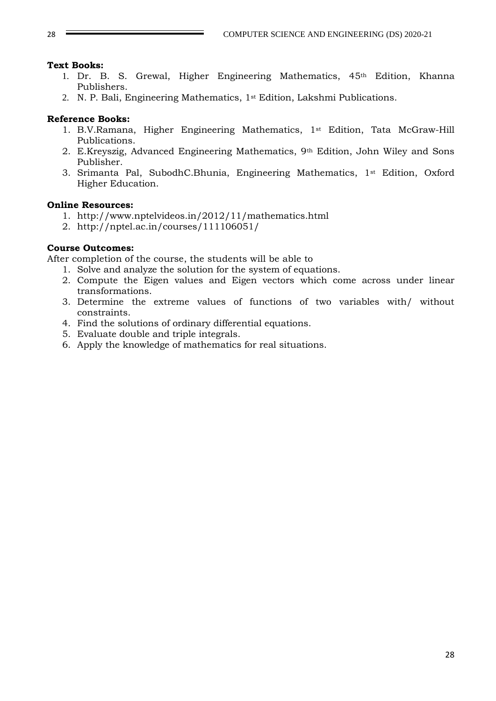#### **Text Books:**

- 1. Dr. B. S. Grewal, Higher Engineering Mathematics, 45th Edition, Khanna Publishers.
- 2. N. P. Bali, Engineering Mathematics, 1st Edition, Lakshmi Publications.

#### **Reference Books:**

- 1. B.V.Ramana, Higher Engineering Mathematics, 1st Edition, [Tata McGraw-Hill](http://www.tatamcgrawhill.com/) Publications.
- 2. E.Kreyszig, Advanced Engineering Mathematics, 9th Edition, John Wiley and Sons Publisher.
- 3. Srimanta Pal, SubodhC.Bhunia, Engineering Mathematics, 1st Edition, Oxford Higher Education.

#### **Online Resources:**

- 1. http://www.nptelvideos.in/2012/11/mathematics.html
- 2. http://nptel.ac.in/courses/111106051/

#### **Course Outcomes:**

After completion of the course, the students will be able to

- 1. Solve and analyze the solution for the system of equations.
- 2. Compute the Eigen values and Eigen vectors which come across under linear transformations.
- 3. Determine the extreme values of functions of two variables with/ without constraints.
- 4. Find the solutions of ordinary differential equations.
- 5. Evaluate double and triple integrals.
- 6. Apply the knowledge of mathematics for real situations.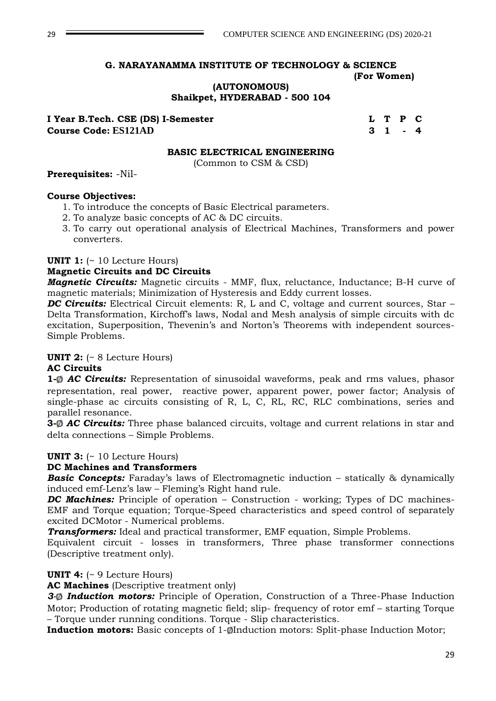#### **G. NARAYANAMMA INSTITUTE OF TECHNOLOGY & SCIENCE (For Women)**

#### **(AUTONOMOUS) Shaikpet, HYDERABAD - 500 104**

**I Year B.Tech. CSE (DS) I-Semester L L T P C Course Code: ES121AD 3 1 - 4** 

#### **BASIC ELECTRICAL ENGINEERING**

(Common to CSM & CSD)

#### **Prerequisites:** -Nil-

#### **Course Objectives:**

- 1. To introduce the concepts of Basic Electrical parameters.
- 2. To analyze basic concepts of AC & DC circuits.
- 3. To carry out operational analysis of Electrical Machines, Transformers and power converters.

#### **UNIT 1:** (~ 10 Lecture Hours)

#### **Magnetic Circuits and DC Circuits**

*Magnetic Circuits:* Magnetic circuits - MMF, flux, reluctance, Inductance; B-H curve of magnetic materials; Minimization of Hysteresis and Eddy current losses.

*DC Circuits:* Electrical Circuit elements: R, L and C, voltage and current sources, Star – Delta Transformation, Kirchoff's laws, Nodal and Mesh analysis of simple circuits with dc excitation, Superposition, Thevenin's and Norton's Theorems with independent sources-Simple Problems.

#### **UNIT 2:** (~ 8 Lecture Hours)

#### **AC Circuits**

**1-**<sup> $\phi$ </sup> *AC Circuits:* Representation of sinusoidal waveforms, peak and rms values, phasor representation, real power, reactive power, apparent power, power factor; Analysis of single-phase ac circuits consisting of R, L, C, RL, RC, RLC combinations, series and parallel resonance.

**3-**<sup> $\phi$ </sup> **AC Circuits:** Three phase balanced circuits, voltage and current relations in star and delta connections – Simple Problems.

#### **UNIT 3:** (~ 10 Lecture Hours)

#### **DC Machines and Transformers**

**Basic Concepts:** Faraday's laws of Electromagnetic induction – statically & dynamically induced emf-Lenz's law – Fleming's Right hand rule.

*DC Machines:* Principle of operation – Construction - working; Types of DC machines-EMF and Torque equation; Torque-Speed characteristics and speed control of separately excited DCMotor - Numerical problems.

*Transformers:* Ideal and practical transformer, EMF equation, Simple Problems.

Equivalent circuit - losses in transformers, Three phase transformer connections (Descriptive treatment only).

#### **UNIT 4:** (~ 9 Lecture Hours)

**AC Machines** (Descriptive treatment only)

3-<sup>0</sup> *Induction motors:* Principle of Operation, Construction of a Three-Phase Induction Motor; Production of rotating magnetic field; slip- frequency of rotor emf – starting Torque – Torque under running conditions. Torque - Slip characteristics.

**Induction motors:** Basic concepts of 1-ØInduction motors: Split-phase Induction Motor;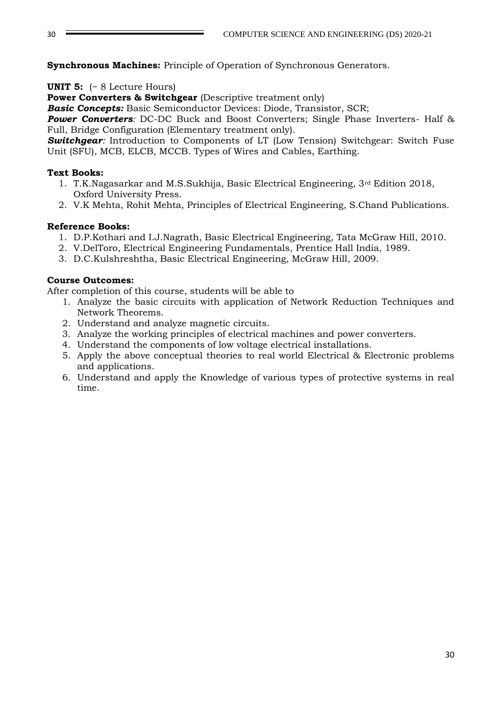**Synchronous Machines:** Principle of Operation of Synchronous Generators.

**UNIT 5:** (~ 8 Lecture Hours)

**Power Converters & Switchgear** (Descriptive treatment only)

*Basic Concepts:* Basic Semiconductor Devices: Diode, Transistor, SCR;

**Power Converters**: DC-DC Buck and Boost Converters; Single Phase Inverters- Half & Full, Bridge Configuration (Elementary treatment only).

**Switchgear**: Introduction to Components of LT (Low Tension) Switchgear: Switch Fuse Unit (SFU), MCB, ELCB, MCCB. Types of Wires and Cables, Earthing.

### **Text Books:**

- 1. T.K.Nagasarkar and M.S.Sukhija, Basic Electrical Engineering, 3rd Edition 2018, Oxford University Press.
- 2. V.K Mehta, Rohit Mehta, Principles of Electrical Engineering, S.Chand Publications.

### **Reference Books:**

- 1. D.P.Kothari and I.J.Nagrath, Basic Electrical Engineering, Tata McGraw Hill, 2010.
- 2. V.DelToro, Electrical Engineering Fundamentals, Prentice Hall India, 1989.
- 3. D.C.Kulshreshtha, Basic Electrical Engineering, McGraw Hill, 2009.

### **Course Outcomes:**

After completion of this course, students will be able to

- 1. Analyze the basic circuits with application of Network Reduction Techniques and Network Theorems.
- 2. Understand and analyze magnetic circuits.
- 3. Analyze the working principles of electrical machines and power converters.
- 4. Understand the components of low voltage electrical installations.
- 5. Apply the above conceptual theories to real world Electrical & Electronic problems and applications.
- 6. Understand and apply the Knowledge of various types of protective systems in real time.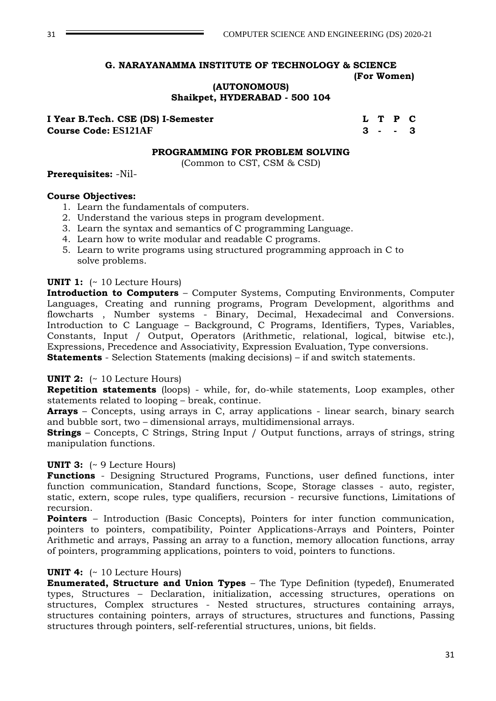#### **G. NARAYANAMMA INSTITUTE OF TECHNOLOGY & SCIENCE (For Women)**

**(AUTONOMOUS)**

**Shaikpet, HYDERABAD - 500 104**

**I Year B.Tech. CSE (DS) I-Semester LET LET P C Course Code: ES121AF 3 - - 3** 

#### **PROGRAMMING FOR PROBLEM SOLVING**

(Common to CST, CSM & CSD)

#### **Prerequisites:** -Nil-

#### **Course Objectives:**

- 1. Learn the fundamentals of computers.
- 2. Understand the various steps in program development.
- 3. Learn the syntax and semantics of C programming Language.
- 4. Learn how to write modular and readable C programs.
- 5. Learn to write programs using structured programming approach in C to solve problems.

#### **UNIT 1:** (~ 10 Lecture Hours)

**Introduction to Computers** – Computer Systems, Computing Environments, Computer Languages, Creating and running programs, Program Development, algorithms and flowcharts , Number systems - Binary, Decimal, Hexadecimal and Conversions. Introduction to C Language – Background, C Programs, Identifiers, Types, Variables, Constants, Input / Output, Operators (Arithmetic, relational, logical, bitwise etc.), Expressions, Precedence and Associativity, Expression Evaluation, Type conversions. **Statements** - Selection Statements (making decisions) – if and switch statements.

#### **UNIT 2:** (~ 10 Lecture Hours)

**Repetition statements** (loops) - while, for, do-while statements, Loop examples, other statements related to looping – break, continue.

**Arrays** – Concepts, using arrays in C, array applications - linear search, binary search and bubble sort, two – dimensional arrays, multidimensional arrays.

**Strings** – Concepts, C Strings, String Input / Output functions, arrays of strings, string manipulation functions.

#### **UNIT 3:** (~ 9 Lecture Hours)

**Functions** - Designing Structured Programs, Functions, user defined functions, inter function communication, Standard functions, Scope, Storage classes - auto, register, static, extern, scope rules, type qualifiers, recursion - recursive functions, Limitations of recursion.

**Pointers** – Introduction (Basic Concepts), Pointers for inter function communication, pointers to pointers, compatibility, Pointer Applications-Arrays and Pointers, Pointer Arithmetic and arrays, Passing an array to a function, memory allocation functions, array of pointers, programming applications, pointers to void, pointers to functions.

#### **UNIT 4:** (~ 10 Lecture Hours)

**Enumerated, Structure and Union Types** – The Type Definition (typedef), Enumerated types, Structures – Declaration, initialization, accessing structures, operations on structures, Complex structures - Nested structures, structures containing arrays, structures containing pointers, arrays of structures, structures and functions, Passing structures through pointers, self-referential structures, unions, bit fields.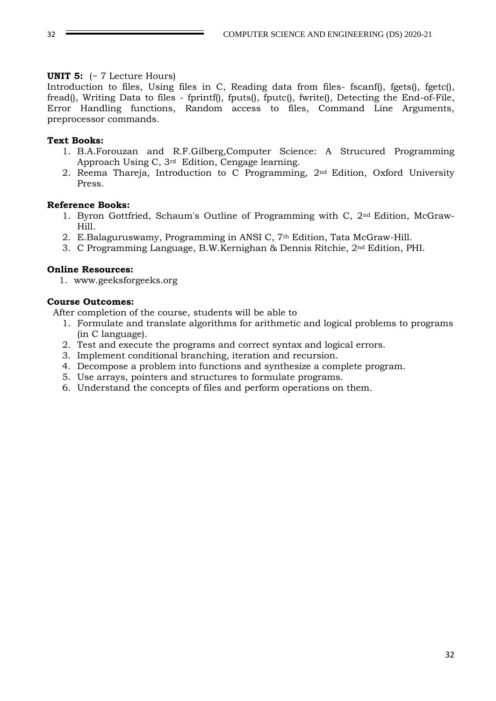#### **UNIT 5:** (~ 7 Lecture Hours)

Introduction to files, Using files in C, Reading data from files- fscanf(), fgets(), fgetc(), fread(), Writing Data to files - fprintf(), fputs(), fputc(), fwrite(), Detecting the End-of-File, Error Handling functions, Random access to files, Command Line Arguments, preprocessor commands.

#### **Text Books:**

- 1. B.A.Forouzan and R.F.Gilberg,Computer Science: A Strucured Programming Approach Using C, 3rd Edition, Cengage learning.
- 2. Reema Thareja, Introduction to C Programming, 2nd Edition, Oxford University Press.

#### **Reference Books:**

- 1. Byron Gottfried, Schaum's Outline of Programming with C, 2nd Edition, McGraw-Hill.
- 2. E.Balaguruswamy, Programming in ANSI C, 7th Edition, Tata McGraw-Hill.
- 3. C Programming Language, B.W.Kernighan & Dennis Ritchie, 2nd Edition, PHI.

#### **Online Resources:**

1. www.geeksforgeeks.org

#### **Course Outcomes:**

After completion of the course, students will be able to

- 1. Formulate and translate algorithms for arithmetic and logical problems to programs (in C language).
- 2. Test and execute the programs and correct syntax and logical errors.
- 3. Implement conditional branching, iteration and recursion.
- 4. Decompose a problem into functions and synthesize a complete program.
- 5. Use arrays, pointers and structures to formulate programs.
- 6. Understand the concepts of files and perform operations on them.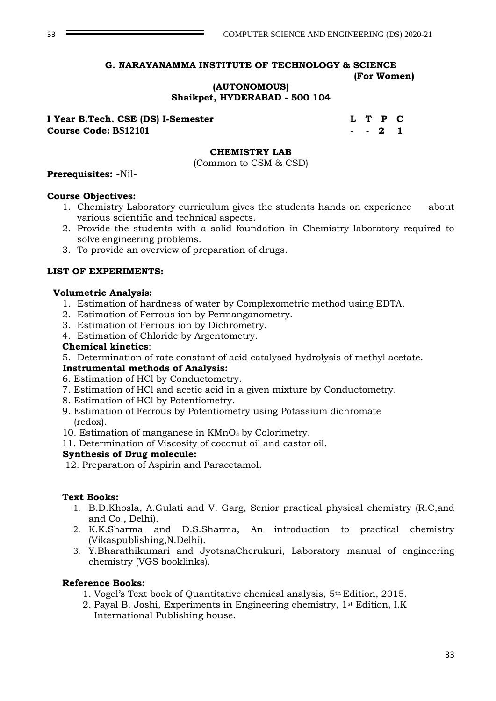## **G. NARAYANAMMA INSTITUTE OF TECHNOLOGY & SCIENCE**

#### **(For Women)**

#### **(AUTONOMOUS) Shaikpet, HYDERABAD - 500 104**

**I Year B.Tech. CSE (DS) I-Semester L T P C Course Code: BS12101 - - 2 1**

#### **CHEMISTRY LAB**

(Common to CSM & CSD)

#### **Prerequisites:** -Nil-

#### **Course Objectives:**

- 1. Chemistry Laboratory curriculum gives the students hands on experience about various scientific and technical aspects.
- 2. Provide the students with a solid foundation in Chemistry laboratory required to solve engineering problems.
- 3. To provide an overview of preparation of drugs.

#### **LIST OF EXPERIMENTS:**

#### **Volumetric Analysis:**

- 1. Estimation of hardness of water by Complexometric method using EDTA.
- 2. Estimation of Ferrous ion by Permanganometry.
- 3. Estimation of Ferrous ion by Dichrometry.
- 4. Estimation of Chloride by Argentometry.

#### **Chemical kinetics**:

5. Determination of rate constant of acid catalysed hydrolysis of methyl acetate.

#### **Instrumental methods of Analysis:**

- 6. Estimation of HCl by Conductometry.
- 7. Estimation of HCl and acetic acid in a given mixture by Conductometry.
- 8. Estimation of HCl by Potentiometry.
- 9. Estimation of Ferrous by Potentiometry using Potassium dichromate (redox).
- 10. Estimation of manganese in KMnO4 by Colorimetry.
- 11. Determination of Viscosity of coconut oil and castor oil.

#### **Synthesis of Drug molecule:**

12. Preparation of Aspirin and Paracetamol.

#### **Text Books:**

- 1. B.D.Khosla, A.Gulati and V. Garg, Senior practical physical chemistry (R.C,and and Co., Delhi).
- 2. K.K.Sharma and D.S.Sharma, An introduction to practical chemistry (Vikaspublishing,N.Delhi).
- 3. Y.Bharathikumari and JyotsnaCherukuri, Laboratory manual of engineering chemistry (VGS booklinks).

#### **Reference Books:**

- 1. Vogel's Text book of Quantitative chemical analysis, 5th Edition, 2015.
- 2. Payal B. Joshi, Experiments in Engineering chemistry, 1st Edition, I.K International Publishing house.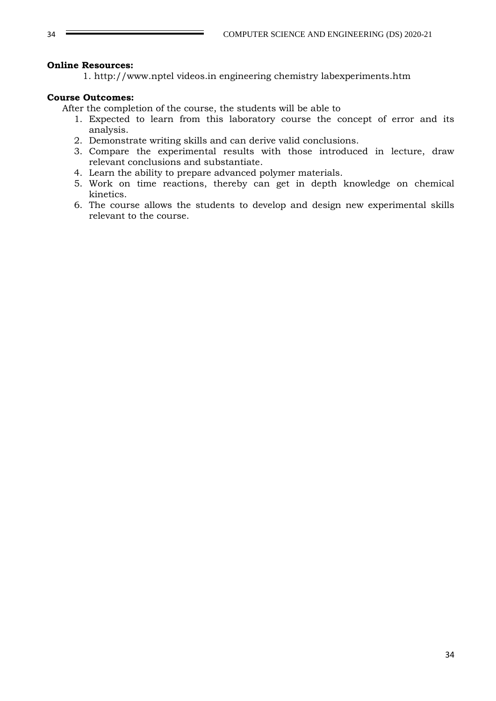#### **Online Resources:**

1. http://www.nptel videos.in engineering chemistry labexperiments.htm

#### **Course Outcomes:**

After the completion of the course, the students will be able to

- 1. Expected to learn from this laboratory course the concept of error and its analysis.
- 2. Demonstrate writing skills and can derive valid conclusions.
- 3. Compare the experimental results with those introduced in lecture, draw relevant conclusions and substantiate.
- 4. Learn the ability to prepare advanced polymer materials.
- 5. Work on time reactions, thereby can get in depth knowledge on chemical kinetics.
- 6. The course allows the students to develop and design new experimental skills relevant to the course.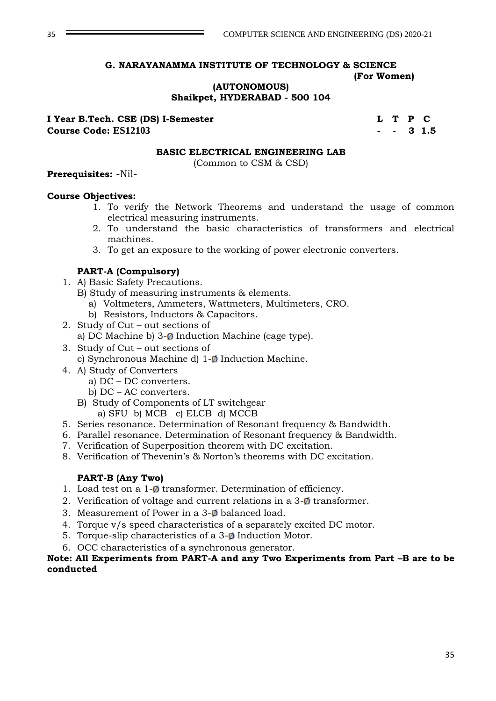#### **G. NARAYANAMMA INSTITUTE OF TECHNOLOGY & SCIENCE (For Women)**

**(AUTONOMOUS)**

**Shaikpet, HYDERABAD - 500 104**

**I Year B.Tech. CSE (DS) I-Semester L T P C Course Code: ES12103 - - 3 1.5**

#### **BASIC ELECTRICAL ENGINEERING LAB**

(Common to CSM & CSD)

#### **Prerequisites:** -Nil-

#### **Course Objectives:**

- 1. To verify the Network Theorems and understand the usage of common electrical measuring instruments.
- 2. To understand the basic characteristics of transformers and electrical machines.
- 3. To get an exposure to the working of power electronic converters.

#### **PART-A (Compulsory)**

- 1. A) Basic Safety Precautions.
	- B) Study of measuring instruments & elements.
		- a) Voltmeters, Ammeters, Wattmeters, Multimeters, CRO.
		- b) Resistors, Inductors & Capacitors.
- 2. Study of Cut out sections of
	- a) DC Machine b)  $3-\phi$  Induction Machine (cage type).
- 3. Study of Cut out sections of
	- c) Synchronous Machine d)  $1-\emptyset$  Induction Machine.
- 4. A) Study of Converters
	- a) DC DC converters.
	- b) DC AC converters.
	- B) Study of Components of LT switchgear a) SFU b) MCB c) ELCB d) MCCB
- 5. Series resonance. Determination of Resonant frequency & Bandwidth.
- 6. Parallel resonance. Determination of Resonant frequency & Bandwidth.
- 7. Verification of Superposition theorem with DC excitation.
- 8. Verification of Thevenin's & Norton's theorems with DC excitation.

#### **PART-B (Any Two)**

- 1. Load test on a  $1-\emptyset$  transformer. Determination of efficiency.
- 2. Verification of voltage and current relations in a  $3-\phi$  transformer.
- 3. Measurement of Power in a  $3-\phi$  balanced load.
- 4. Torque v/s speed characteristics of a separately excited DC motor.
- 5. Torque-slip characteristics of a  $3-*o*$  Induction Motor.
- 6. OCC characteristics of a synchronous generator.

#### **Note: All Experiments from PART-A and any Two Experiments from Part –B are to be conducted**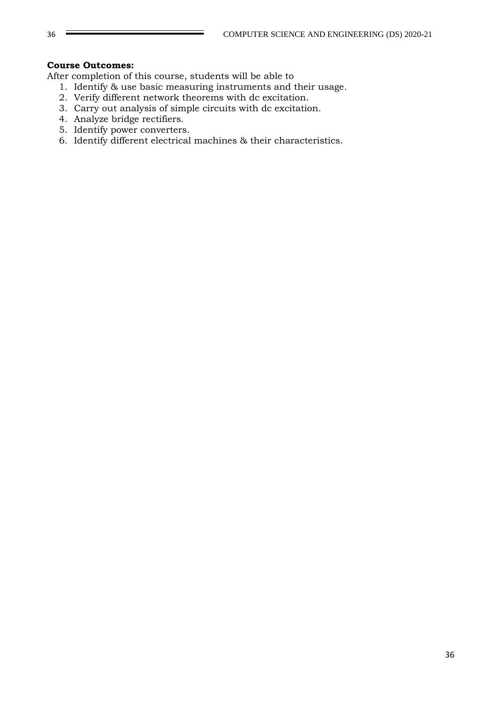#### **Course Outcomes:**

After completion of this course, students will be able to

- 1. Identify & use basic measuring instruments and their usage.
- 2. Verify different network theorems with dc excitation.
- 3. Carry out analysis of simple circuits with dc excitation.
- 4. Analyze bridge rectifiers.
- 5. Identify power converters.
- 6. Identify different electrical machines & their characteristics.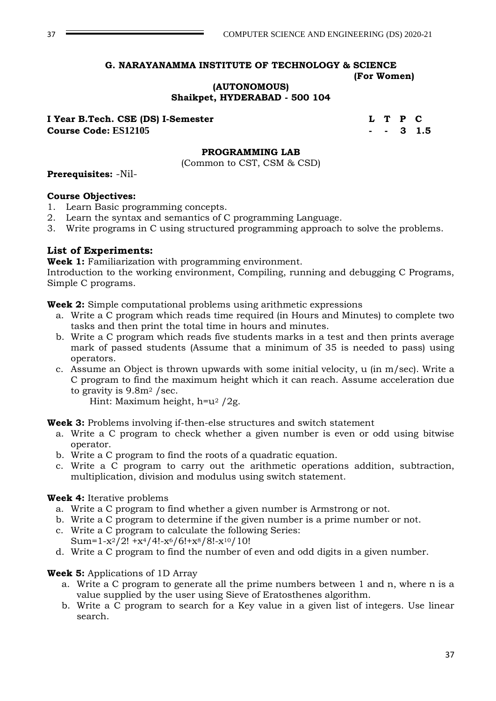# **G. NARAYANAMMA INSTITUTE OF TECHNOLOGY & SCIENCE**

#### **(For Women)**

**(AUTONOMOUS)**

**Shaikpet, HYDERABAD - 500 104**

**I Year B.Tech. CSE (DS) I-Semester Let Let A Let A Let A Let A Let A Let A Let A Let A Let A Let A Let A Let A Course Code: ES12105 - - 3 1.5**

### **PROGRAMMING LAB**

(Common to CST, CSM & CSD)

### **Prerequisites:** -Nil-

### **Course Objectives:**

- 1. Learn Basic programming concepts.
- 2. Learn the syntax and semantics of C programming Language.
- 3. Write programs in C using structured programming approach to solve the problems.

### **List of Experiments:**

**Week 1:** Familiarization with programming environment.

Introduction to the working environment, Compiling, running and debugging C Programs, Simple C programs.

**Week 2:** Simple computational problems using arithmetic expressions

- a. Write a C program which reads time required (in Hours and Minutes) to complete two tasks and then print the total time in hours and minutes.
- b. Write a C program which reads five students marks in a test and then prints average mark of passed students (Assume that a minimum of 35 is needed to pass) using operators.
- c. Assume an Object is thrown upwards with some initial velocity, u (in m/sec). Write a C program to find the maximum height which it can reach. Assume acceleration due to gravity is  $9.8m^2$  /sec.

Hint: Maximum height, h=u<sup>2</sup> /2g.

**Week 3:** Problems involving if-then-else structures and switch statement

- a. Write a C program to check whether a given number is even or odd using bitwise operator.
- b. Write a C program to find the roots of a quadratic equation.
- c. Write a C program to carry out the arithmetic operations addition, subtraction, multiplication, division and modulus using switch statement.

### **Week 4:** Iterative problems

- a. Write a C program to find whether a given number is Armstrong or not.
- b. Write a C program to determine if the given number is a prime number or not.
- c. Write a C program to calculate the following Series: Sum= $1-x^2/2!$  +x<sup>4</sup>/4!-x<sup>6</sup>/6!+x<sup>8</sup>/8!-x<sup>10</sup>/10!
- d. Write a C program to find the number of even and odd digits in a given number.

### **Week 5:** Applications of 1D Array

- a. Write a C program to generate all the prime numbers between 1 and n, where n is a value supplied by the user using Sieve of Eratosthenes algorithm.
- b. Write a C program to search for a Key value in a given list of integers. Use linear search.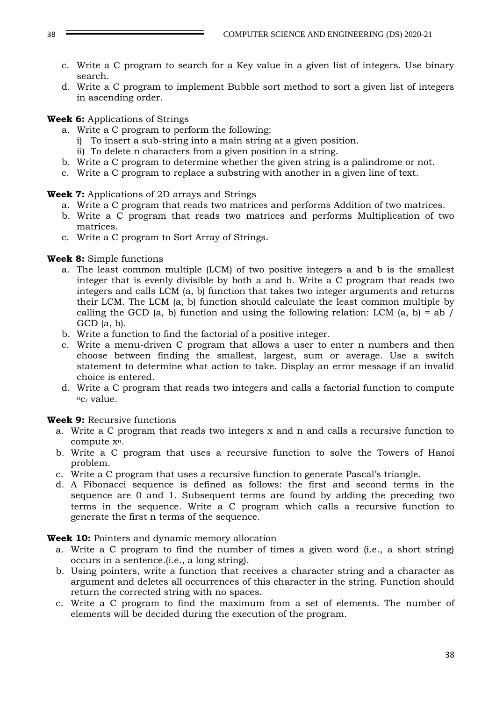- c. Write a C program to search for a Key value in a given list of integers. Use binary search.
- d. Write a C program to implement Bubble sort method to sort a given list of integers in ascending order.

### **Week 6:** Applications of Strings

- a. Write a C program to perform the following:
	- i) To insert a sub-string into a main string at a given position.
	- ii) To delete n characters from a given position in a string.
- b. Write a C program to determine whether the given string is a palindrome or not.
- c. Write a C program to replace a substring with another in a given line of text.

### **Week 7:** Applications of 2D arrays and Strings

- a. Write a C program that reads two matrices and performs Addition of two matrices.
- b. Write a C program that reads two matrices and performs Multiplication of two matrices.
- c. Write a C program to Sort Array of Strings.

### **Week 8:** Simple functions

- a. The least common multiple (LCM) of two positive integers a and b is the smallest integer that is evenly divisible by both a and b. Write a C program that reads two integers and calls LCM (a, b) function that takes two integer arguments and returns their LCM. The LCM (a, b) function should calculate the least common multiple by calling the GCD (a, b) function and using the following relation: LCM (a, b) = ab /  $GCD$  (a, b).
- b. Write a function to find the factorial of a positive integer.
- c. Write a menu-driven C program that allows a user to enter n numbers and then choose between finding the smallest, largest, sum or average. Use a switch statement to determine what action to take. Display an error message if an invalid choice is entered.
- d. Write a C program that reads two integers and calls a factorial function to compute  $nc_r$  value.

# **Week 9:** Recursive functions

- a. Write a C program that reads two integers x and n and calls a recursive function to compute xn.
- b. Write a C program that uses a recursive function to solve the Towers of Hanoi problem.
- c. Write a C program that uses a recursive function to generate Pascal's triangle.
- d. A Fibonacci sequence is defined as follows: the first and second terms in the sequence are 0 and 1. Subsequent terms are found by adding the preceding two terms in the sequence. Write a C program which calls a recursive function to generate the first n terms of the sequence.

**Week 10:** Pointers and dynamic memory allocation

- a. Write a C program to find the number of times a given word (i.e., a short string) occurs in a sentence.(i.e., a long string).
- b. Using pointers, write a function that receives a character string and a character as argument and deletes all occurrences of this character in the string. Function should return the corrected string with no spaces.
- c. Write a C program to find the maximum from a set of elements. The number of elements will be decided during the execution of the program.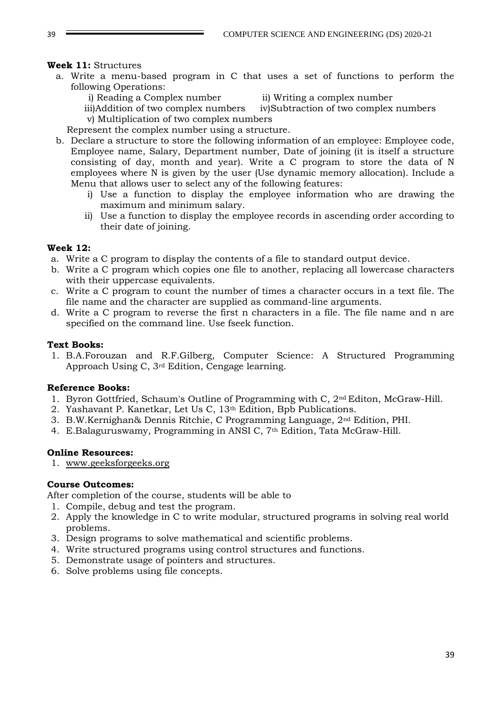### **Week 11:** Structures

a. Write a menu-based program in C that uses a set of functions to perform the following Operations:

i) Reading a Complex number ii) Writing a complex number

 iii)Addition of two complex numbers iv)Subtraction of two complex numbers v) Multiplication of two complex numbers

Represent the complex number using a structure.

- b. Declare a structure to store the following information of an employee: Employee code, Employee name, Salary, Department number, Date of joining (it is itself a structure consisting of day, month and year). Write a C program to store the data of N employees where N is given by the user (Use dynamic memory allocation). Include a Menu that allows user to select any of the following features:
	- i) Use a function to display the employee information who are drawing the maximum and minimum salary.
	- ii) Use a function to display the employee records in ascending order according to their date of joining.

### **Week 12:**

- a. Write a C program to display the contents of a file to standard output device.
- b. Write a C program which copies one file to another, replacing all lowercase characters with their uppercase equivalents.
- c. Write a C program to count the number of times a character occurs in a text file. The file name and the character are supplied as command-line arguments.
- d. Write a C program to reverse the first n characters in a file. The file name and n are specified on the command line. Use fseek function.

#### **Text Books:**

1. B.A.Forouzan and R.F.Gilberg, Computer Science: A Structured Programming Approach Using C, 3rd Edition, Cengage learning.

### **Reference Books:**

- 1. Byron Gottfried, Schaum's Outline of Programming with C, 2nd Editon, McGraw-Hill.
- 2. Yashavant P. Kanetkar, Let Us C, 13th Edition, Bpb Publications.
- 3. B.W.Kernighan& Dennis Ritchie, C Programming Language, 2nd Edition, PHI.
- 4. E.Balaguruswamy, Programming in ANSI C, 7<sup>th</sup> Edition, Tata McGraw-Hill.

#### **Online Resources:**

1. [www.geeksforgeeks.org](http://www.geeksforgeeks.org/)

#### **Course Outcomes:**

After completion of the course, students will be able to

- 1. Compile, debug and test the program.
- 2. Apply the knowledge in C to write modular, structured programs in solving real world problems.
- 3. Design programs to solve mathematical and scientific problems.
- 4. Write structured programs using control structures and functions.
- 5. Demonstrate usage of pointers and structures.
- 6. Solve problems using file concepts.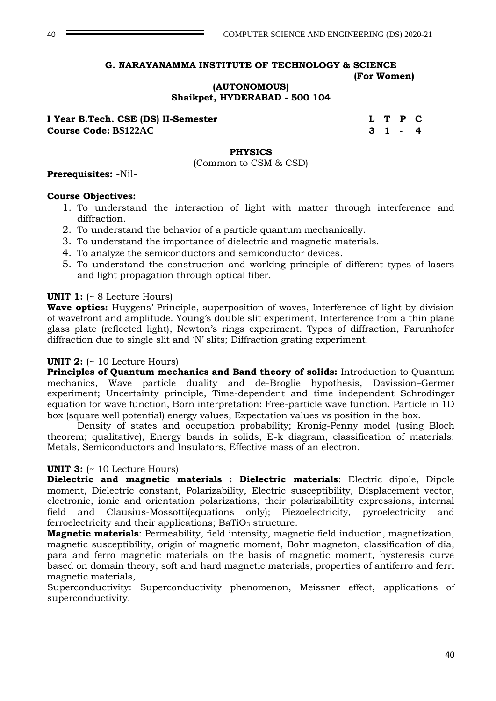**(AUTONOMOUS)**

### **Shaikpet, HYDERABAD - 500 104**

**I Year B.Tech.** CSE (DS) II-Semester **L C L T P C Course Code: BS122AC 3 1 - 4**

### **PHYSICS**

(Common to CSM & CSD)

#### **Prerequisites:** -Nil-

#### **Course Objectives:**

- 1. To understand the interaction of light with matter through interference and diffraction.
- 2. To understand the behavior of a particle quantum mechanically.
- 3. To understand the importance of dielectric and magnetic materials.
- 4. To analyze the semiconductors and semiconductor devices.
- 5. To understand the construction and working principle of different types of lasers and light propagation through optical fiber.

#### **UNIT 1:** (~ 8 Lecture Hours)

**Wave optics:** Huygens' Principle, superposition of waves, Interference of light by division of wavefront and amplitude. Young's double slit experiment, Interference from a thin plane glass plate (reflected light), Newton's rings experiment. Types of diffraction, Farunhofer diffraction due to single slit and 'N' slits; Diffraction grating experiment.

#### **UNIT 2:** (~ 10 Lecture Hours)

**Principles of Quantum mechanics and Band theory of solids:** Introduction to Quantum mechanics, Wave particle duality and de-Broglie hypothesis, Davission–Germer experiment; Uncertainty principle, Time-dependent and time independent Schrodinger equation for wave function, Born interpretation; Free-particle wave function, Particle in 1D box (square well potential) energy values, Expectation values vs position in the box.

Density of states and occupation probability; Kronig-Penny model (using Bloch theorem; qualitative), Energy bands in solids, E-k diagram, classification of materials: Metals, Semiconductors and Insulators, Effective mass of an electron.

#### **UNIT 3:**  $(-10$  Lecture Hours)

**Dielectric and magnetic materials : Dielectric materials**: Electric dipole, Dipole moment, Dielectric constant, Polarizability, Electric susceptibility, Displacement vector, electronic, ionic and orientation polarizations, their polarizabilitity expressions, internal field and Clausius-Mossotti(equations only); Piezoelectricity, pyroelectricity and ferroelectricity and their applications;  $BaTiO<sub>3</sub>$  structure.

**Magnetic materials**: Permeability, field intensity, magnetic field induction, magnetization, magnetic susceptibility, origin of magnetic moment, Bohr magneton, classification of dia, para and ferro magnetic materials on the basis of magnetic moment, hysteresis curve based on domain theory, soft and hard magnetic materials, properties of antiferro and ferri magnetic materials,

Superconductivity: Superconductivity phenomenon, Meissner effect, applications of superconductivity.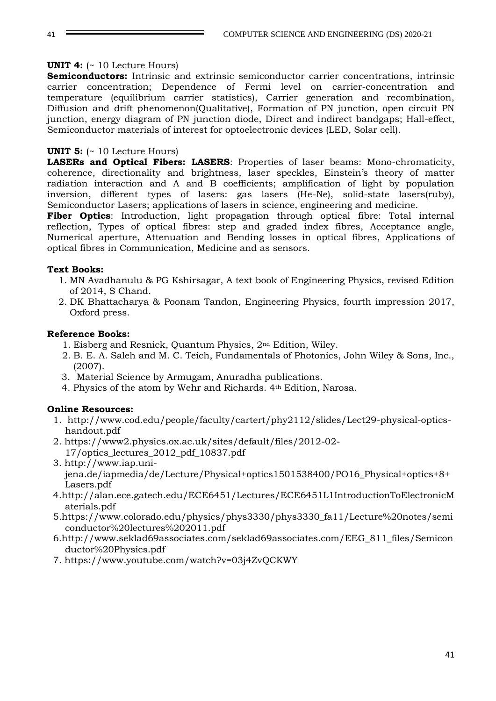### **UNIT 4:** (~ 10 Lecture Hours)

**Semiconductors:** Intrinsic and extrinsic semiconductor carrier concentrations, intrinsic carrier concentration; Dependence of Fermi level on carrier-concentration and temperature (equilibrium carrier statistics), Carrier generation and recombination, Diffusion and drift phenomenon(Qualitative), Formation of PN junction, open circuit PN junction, energy diagram of PN junction diode, Direct and indirect bandgaps; Hall-effect, Semiconductor materials of interest for optoelectronic devices (LED, Solar cell).

### **UNIT 5:** (~ 10 Lecture Hours)

**LASERs and Optical Fibers: LASERS**: Properties of laser beams: Mono-chromaticity, coherence, directionality and brightness, laser speckles, Einstein's theory of matter radiation interaction and A and B coefficients; amplification of light by population inversion, different types of lasers: gas lasers (He-Ne), solid-state lasers(ruby), Semiconductor Lasers; applications of lasers in science, engineering and medicine.

**Fiber Optics**: Introduction, light propagation through optical fibre: Total internal reflection, Types of optical fibres: step and graded index fibres, Acceptance angle, Numerical aperture, Attenuation and Bending losses in optical fibres, Applications of optical fibres in Communication, Medicine and as sensors.

### **Text Books:**

- 1. MN Avadhanulu & PG Kshirsagar, A text book of Engineering Physics, revised Edition of 2014, S Chand.
- 2. DK Bhattacharya & Poonam Tandon, Engineering Physics, fourth impression 2017, Oxford press.

### **Reference Books:**

- 1. Eisberg and Resnick, Quantum Physics, 2nd Edition, Wiley.
- 2. B. E. A. Saleh and M. C. Teich, Fundamentals of Photonics, John Wiley & Sons, Inc., (2007).
- 3. Material Science by Armugam, Anuradha publications.
- 4. Physics of the atom by Wehr and Richards. 4th Edition, Narosa.

# **Online Resources:**

- 1. [http://www.cod.edu/people/faculty/cartert/phy2112/slides/Lect29-physical-optics](http://www.cod.edu/people/faculty/cartert/phy2112/slides/Lect29-physical-optics-handout.pdf)[handout.pdf](http://www.cod.edu/people/faculty/cartert/phy2112/slides/Lect29-physical-optics-handout.pdf)
- 2. [https://www2.physics.ox.ac.uk/sites/default/files/2012-02-](https://www2.physics.ox.ac.uk/sites/default/files/2012-02-17/optics_lectures_2012_pdf_10837.pdf) [17/optics\\_lectures\\_2012\\_pdf\\_10837.pdf](https://www2.physics.ox.ac.uk/sites/default/files/2012-02-17/optics_lectures_2012_pdf_10837.pdf)
- 3. [http://www.iap.uni](http://www.iap.uni-jena.de/iapmedia/de/Lecture/Physical+optics1501538400/PO16_Physical+optics+8+Lasers.pdf)[jena.de/iapmedia/de/Lecture/Physical+optics1501538400/PO16\\_Physical+optics+8+](http://www.iap.uni-jena.de/iapmedia/de/Lecture/Physical+optics1501538400/PO16_Physical+optics+8+Lasers.pdf) [Lasers.pdf](http://www.iap.uni-jena.de/iapmedia/de/Lecture/Physical+optics1501538400/PO16_Physical+optics+8+Lasers.pdf)
- 4[.http://alan.ece.gatech.edu/ECE6451/Lectures/ECE6451L1IntroductionToElectronicM](http://alan.ece.gatech.edu/ECE6451/Lectures/ECE6451L1IntroductionToElectronicMaterials.pdf) [aterials.pdf](http://alan.ece.gatech.edu/ECE6451/Lectures/ECE6451L1IntroductionToElectronicMaterials.pdf)
- 5[.https://www.colorado.edu/physics/phys3330/phys3330\\_fa11/Lecture%20notes/semi](https://www.colorado.edu/physics/phys3330/phys3330_fa11/Lecture%20notes/semiconductor%20lectures%202011.pdf) [conductor%20lectures%202011.pdf](https://www.colorado.edu/physics/phys3330/phys3330_fa11/Lecture%20notes/semiconductor%20lectures%202011.pdf)
- 6[.http://www.seklad69associates.com/seklad69associates.com/EEG\\_811\\_files/Semicon](http://www.seklad69associates.com/seklad69associates.com/EEG_811_files/Semiconductor%20Physics.pdf) [ductor%20Physics.pdf](http://www.seklad69associates.com/seklad69associates.com/EEG_811_files/Semiconductor%20Physics.pdf)
- 7.<https://www.youtube.com/watch?v=03j4ZvQCKWY>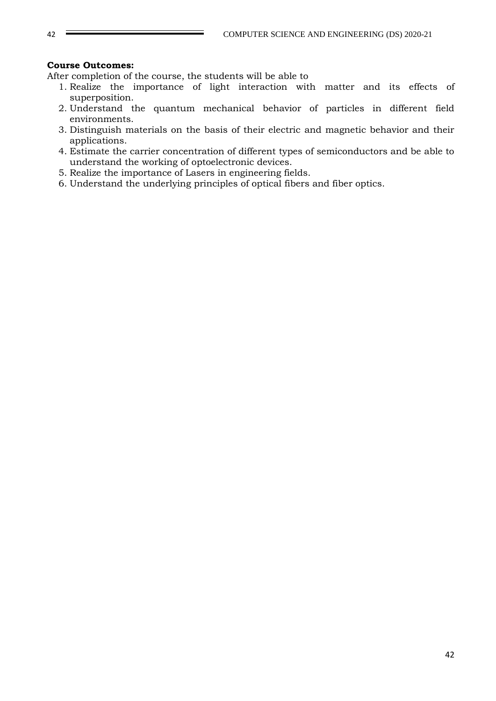### **Course Outcomes:**

After completion of the course, the students will be able to

- 1. Realize the importance of light interaction with matter and its effects of superposition.
- 2. Understand the quantum mechanical behavior of particles in different field environments.
- 3. Distinguish materials on the basis of their electric and magnetic behavior and their applications.
- 4. Estimate the carrier concentration of different types of semiconductors and be able to understand the working of optoelectronic devices.
- 5. Realize the importance of Lasers in engineering fields.
- 6. Understand the underlying principles of optical fibers and fiber optics.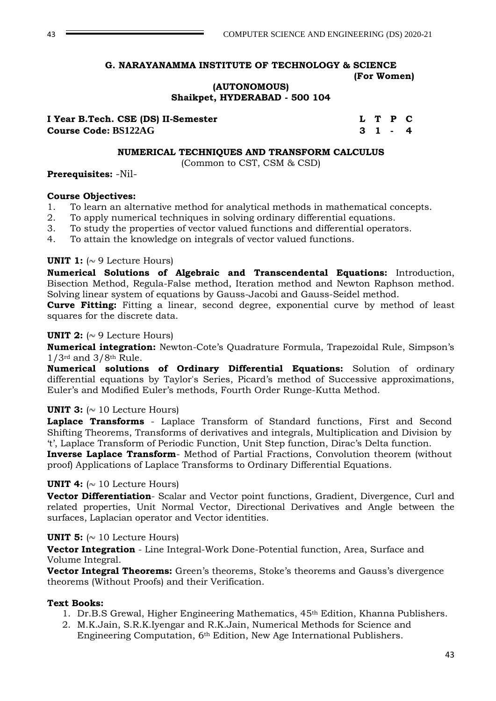### **(AUTONOMOUS) Shaikpet, HYDERABAD - 500 104**

| I Year B.Tech. CSE (DS) II-Semester |  | L T P C |  |
|-------------------------------------|--|---------|--|
| <b>Course Code: BS122AG</b>         |  | 31-4    |  |

#### **NUMERICAL TECHNIQUES AND TRANSFORM CALCULUS**

(Common to CST, CSM & CSD)

#### **Prerequisites:** -Nil-

### **Course Objectives:**

- 1. To learn an alternative method for analytical methods in mathematical concepts.
- 2. To apply numerical techniques in solving ordinary differential equations.
- 3. To study the properties of vector valued functions and differential operators.
- 4. To attain the knowledge on integrals of vector valued functions.

### **UNIT 1:**  $\sim$  9 Lecture Hours)

**Numerical Solutions of Algebraic and Transcendental Equations:** Introduction, Bisection Method, Regula-False method, Iteration method and Newton Raphson method. Solving linear system of equations by Gauss-Jacobi and Gauss-Seidel method.

**Curve Fitting:** Fitting a linear, second degree, exponential curve by method of least squares for the discrete data.

### **UNIT 2:**  $\sim$  9 Lecture Hours)

**Numerical integration:** Newton-Cote's Quadrature Formula, Trapezoidal Rule, Simpson's 1/3rd and 3/8th Rule.

**Numerical solutions of Ordinary Differential Equations:** Solution of ordinary differential equations by Taylor's Series, Picard's method of Successive approximations, Euler's and Modified Euler's methods, Fourth Order Runge-Kutta Method.

### **UNIT 3:**  $\sim$  10 Lecture Hours)

**Laplace Transforms** - Laplace Transform of Standard functions, First and Second Shifting Theorems, Transforms of derivatives and integrals, Multiplication and Division by 't', Laplace Transform of Periodic Function, Unit Step function, Dirac's Delta function.

**Inverse Laplace Transform**- Method of Partial Fractions, Convolution theorem (without proof) Applications of Laplace Transforms to Ordinary Differential Equations.

#### **UNIT 4:**  $(\sim 10$  Lecture Hours)

**Vector Differentiation**- Scalar and Vector point functions, Gradient, Divergence, Curl and related properties, Unit Normal Vector, Directional Derivatives and Angle between the surfaces, Laplacian operator and Vector identities.

### **UNIT 5:**  $\sim$  10 Lecture Hours)

**Vector Integration** - Line Integral-Work Done-Potential function, Area, Surface and Volume Integral.

**Vector Integral Theorems:** Green's theorems, Stoke's theorems and Gauss's divergence theorems (Without Proofs) and their Verification.

#### **Text Books:**

- 1. Dr.B.S Grewal, Higher Engineering Mathematics, 45th Edition, Khanna Publishers.
- 2. M.K.Jain, S.R.K.Iyengar and R.K.Jain, Numerical Methods for Science and Engineering Computation, 6th Edition, New Age International Publishers.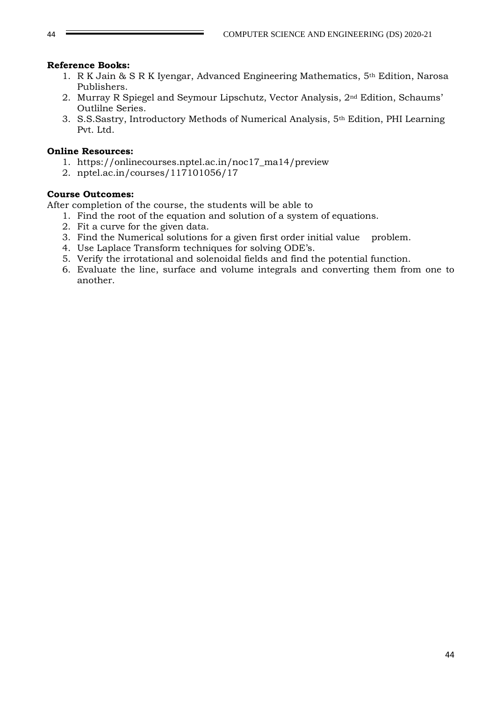### **Reference Books:**

- 1. R K Jain & S R K Iyengar, Advanced Engineering Mathematics, 5th Edition, Narosa Publishers.
- 2. Murray R Spiegel and Seymour Lipschutz, Vector Analysis, 2nd Edition, Schaums' Outlilne Series.
- 3. S.S.Sastry, Introductory Methods of Numerical Analysis, 5th Edition, PHI Learning Pvt. Ltd.

### **Online Resources:**

- 1. [https://onlinecourses.nptel.ac.in/noc17\\_ma14/preview](https://onlinecourses.nptel.ac.in/noc17_ma14/preview)
- 2. nptel.ac.in/courses/117101056/17

### **Course Outcomes:**

After completion of the course, the students will be able to

- 1. Find the root of the equation and solution of a system of equations.
- 2. Fit a curve for the given data.
- 3. Find the Numerical solutions for a given first order initial value problem.
- 4. Use Laplace Transform techniques for solving ODE's.
- 5. Verify the irrotational and solenoidal fields and find the potential function.
- 6. Evaluate the line, surface and volume integrals and converting them from one to another.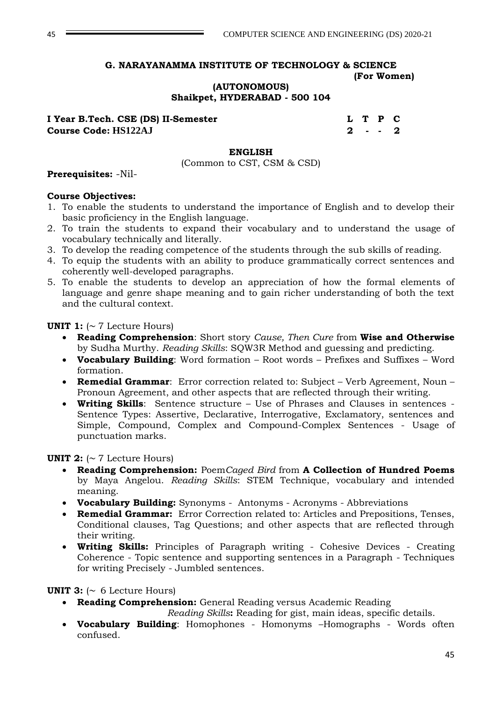# **(AUTONOMOUS) Shaikpet, HYDERABAD - 500 104**

**I Year B.Tech. CSE (DS) II-Semester L T P C Course Code: HS122AJ 2 - - 2**

### **ENGLISH**

(Common to CST, CSM & CSD)

### **Prerequisites:** -Nil-

### **Course Objectives:**

- 1. To enable the students to understand the importance of English and to develop their basic proficiency in the English language.
- 2. To train the students to expand their vocabulary and to understand the usage of vocabulary technically and literally.
- 3. To develop the reading competence of the students through the sub skills of reading.
- 4. To equip the students with an ability to produce grammatically correct sentences and coherently well-developed paragraphs.
- 5. To enable the students to develop an appreciation of how the formal elements of language and genre shape meaning and to gain richer understanding of both the text and the cultural context.

**UNIT 1:**  $( \sim 7$  Lecture Hours)

- **Reading Comprehension**: Short story *Cause, Then Cure* from **Wise and Otherwise** by Sudha Murthy. *Reading Skills*: SQW3R Method and guessing and predicting.
- **Vocabulary Building**: Word formation Root words Prefixes and Suffixes Word formation.
- **Remedial Grammar**: Error correction related to: Subject Verb Agreement, Noun Pronoun Agreement, and other aspects that are reflected through their writing.
- **Writing Skills**: Sentence structure Use of Phrases and Clauses in sentences Sentence Types: Assertive, Declarative, Interrogative, Exclamatory, sentences and Simple, Compound, Complex and Compound-Complex Sentences - Usage of punctuation marks.

### **UNIT 2:**  $( \sim 7$  Lecture Hours)

- **Reading Comprehension:** Poem*Caged Bird* from **A Collection of Hundred Poems**  by Maya Angelou. *Reading Skills*: STEM Technique, vocabulary and intended meaning.
- **Vocabulary Building:** Synonyms Antonyms Acronyms Abbreviations
- **Remedial Grammar:** Error Correction related to: Articles and Prepositions, Tenses, Conditional clauses, Tag Questions; and other aspects that are reflected through their writing.
- **Writing Skills:** Principles of Paragraph writing Cohesive Devices Creating Coherence - Topic sentence and supporting sentences in a Paragraph - Techniques for writing Precisely - Jumbled sentences.

### **UNIT 3:**  $\sim 6$  Lecture Hours)

**Reading Comprehension:** General Reading versus Academic Reading

*Reading Skills***:** Reading for gist, main ideas, specific details.

 **Vocabulary Building**: Homophones - Homonyms –Homographs - Words often confused.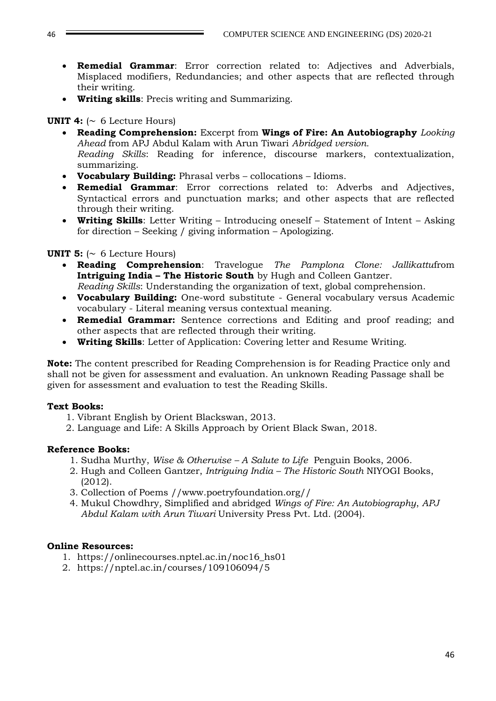- **Remedial Grammar**: Error correction related to: Adjectives and Adverbials, Misplaced modifiers, Redundancies; and other aspects that are reflected through their writing.
- **Writing skills**: Precis writing and Summarizing.

### **UNIT 4:**  $\sim 6$  Lecture Hours)

- **Reading Comprehension:** Excerpt from **Wings of Fire: An Autobiography** *Looking Ahead* from APJ Abdul Kalam with Arun Tiwari *Abridged version. Reading Skills*: Reading for inference, discourse markers, contextualization, summarizing.
- **Vocabulary Building:** Phrasal verbs collocations Idioms.
- **Remedial Grammar**: Error corrections related to: Adverbs and Adjectives, Syntactical errors and punctuation marks; and other aspects that are reflected through their writing.
- **Writing Skills**: Letter Writing Introducing oneself Statement of Intent Asking for direction – Seeking / giving information – Apologizing.

### **UNIT 5:**  $\sim 6$  Lecture Hours)

- **Reading Comprehension**: Travelogue *The Pamplona Clone: Jallikattu*from **Intriguing India – The Historic South** by Hugh and Colleen Gantzer.
- *Reading Skills*: Understanding the organization of text, global comprehension. **Vocabulary Building:** One-word substitute - General vocabulary versus Academic
- vocabulary Literal meaning versus contextual meaning.
- **Remedial Grammar:** Sentence corrections and Editing and proof reading; and other aspects that are reflected through their writing.
- **Writing Skills**: Letter of Application: Covering letter and Resume Writing.

**Note:** The content prescribed for Reading Comprehension is for Reading Practice only and shall not be given for assessment and evaluation. An unknown Reading Passage shall be given for assessment and evaluation to test the Reading Skills.

### **Text Books:**

- 1. Vibrant English by Orient Blackswan, 2013.
- 2. Language and Life: A Skills Approach by Orient Black Swan, 2018.

### **Reference Books:**

- 1. Sudha Murthy, *Wise & Otherwise – A Salute to Life* Penguin Books, 2006.
- 2. Hugh and Colleen Gantzer, *Intriguing India – The Historic South* NIYOGI Books, (2012).
- 3. Collection of Poems //www.poetryfoundation.org//
- 4. Mukul Chowdhry*,* Simplified and abridged *Wings of Fire: An Autobiography*, *APJ Abdul Kalam with Arun Tiwari* University Press Pvt. Ltd. (2004).

### **Online Resources:**

- 1. [https://onlinecourses.nptel.ac.in/noc16\\_hs01](https://onlinecourses.nptel.ac.in/noc16_hs01)
- 2. https://nptel.ac.in/courses/109106094/5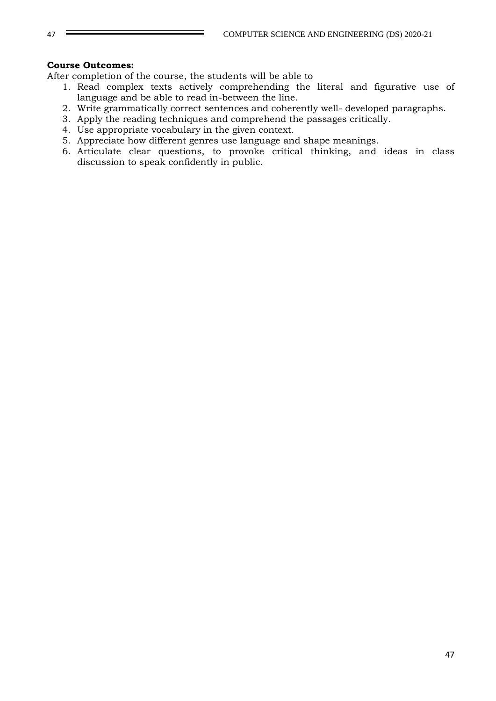### **Course Outcomes:**

After completion of the course, the students will be able to

- 1. Read complex texts actively comprehending the literal and figurative use of language and be able to read in-between the line.
- 2. Write grammatically correct sentences and coherently well- developed paragraphs.
- 3. Apply the reading techniques and comprehend the passages critically.
- 4. Use appropriate vocabulary in the given context.
- 5. Appreciate how different genres use language and shape meanings.
- 6. Articulate clear questions, to provoke critical thinking, and ideas in class discussion to speak confidently in public.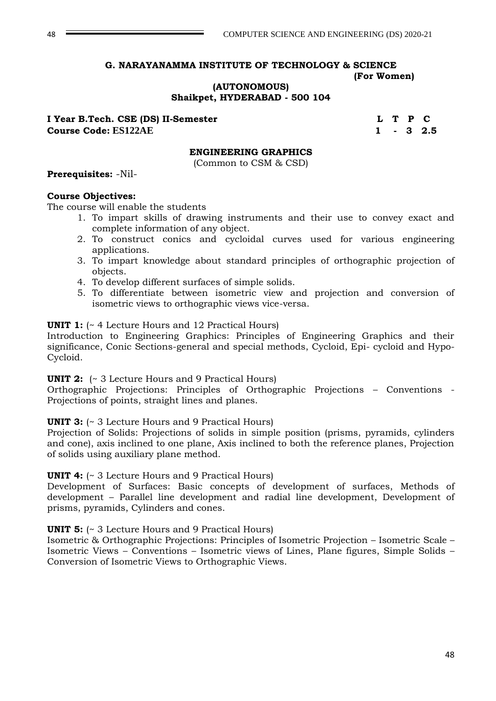**(AUTONOMOUS)**

**Shaikpet, HYDERABAD - 500 104**

**I Year B.Tech. CSE (DS) II-Semester L T P C Course Code: ES122AE 1 - 3 2.5**

#### **ENGINEERING GRAPHICS**

(Common to CSM & CSD)

#### **Prerequisites:** -Nil-

#### **Course Objectives:**

The course will enable the students

- 1. To impart skills of drawing instruments and their use to convey exact and complete information of any object.
- 2. To construct conics and cycloidal curves used for various engineering applications.
- 3. To impart knowledge about standard principles of orthographic projection of objects.
- 4. To develop different surfaces of simple solids.
- 5. To differentiate between isometric view and projection and conversion of isometric views to orthographic views vice-versa.

### **UNIT 1:**  $\left(\sim 4 \text{ Lecture Hours and } 12 \text{ Practical Hours}\right)$

Introduction to Engineering Graphics: Principles of Engineering Graphics and their significance, Conic Sections-general and special methods, Cycloid, Epi- cycloid and Hypo-Cycloid.

#### **UNIT 2:** (~ 3 Lecture Hours and 9 Practical Hours)

Orthographic Projections: Principles of Orthographic Projections – Conventions - Projections of points, straight lines and planes.

### **UNIT 3:**  $\left(\sim 3 \text{ Lecture Hours}$  and 9 Practical Hours)

Projection of Solids: Projections of solids in simple position (prisms, pyramids, cylinders and cone), axis inclined to one plane, Axis inclined to both the reference planes, Projection of solids using auxiliary plane method.

### **UNIT 4:**  $\left(\sim 3 \text{ Lecture Hours and } 9 \text{ Practical Hours}\right)$

Development of Surfaces: Basic concepts of development of surfaces, Methods of development – Parallel line development and radial line development, Development of prisms, pyramids, Cylinders and cones.

#### **UNIT 5:**  $\left(\sim 3 \text{ Lecture Hours}$  and 9 Practical Hours)

Isometric & Orthographic Projections: Principles of Isometric Projection – Isometric Scale – Isometric Views – Conventions – Isometric views of Lines, Plane figures, Simple Solids – Conversion of Isometric Views to Orthographic Views.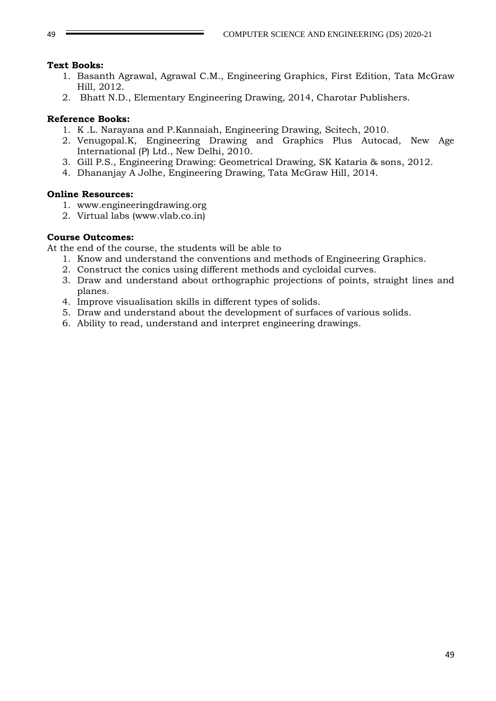### **Text Books:**

- 1. Basanth Agrawal, Agrawal C.M., Engineering Graphics, First Edition, Tata McGraw Hill, 2012.
- 2. Bhatt N.D., Elementary Engineering Drawing, 2014, Charotar Publishers.

# **Reference Books:**

- 1. K .L. Narayana and P.Kannaiah, Engineering Drawing, Scitech, 2010.
- 2. Venugopal.K, Engineering Drawing and Graphics Plus Autocad, New Age International (P) Ltd., New Delhi, 2010.
- 3. Gill P.S., Engineering Drawing: Geometrical Drawing, SK Kataria & sons, 2012.
- 4. Dhananjay A Jolhe, Engineering Drawing, Tata McGraw Hill, 2014.

### **Online Resources:**

- 1. www.engineeringdrawing.org
- 2. Virtual labs (www.vlab.co.in)

### **Course Outcomes:**

At the end of the course, the students will be able to

- 1. Know and understand the conventions and methods of Engineering Graphics.
- 2. Construct the conics using different methods and cycloidal curves.
- 3. Draw and understand about orthographic projections of points, straight lines and planes.
- 4. Improve visualisation skills in different types of solids.
- 5. Draw and understand about the development of surfaces of various solids.
- 6. Ability to read, understand and interpret engineering drawings.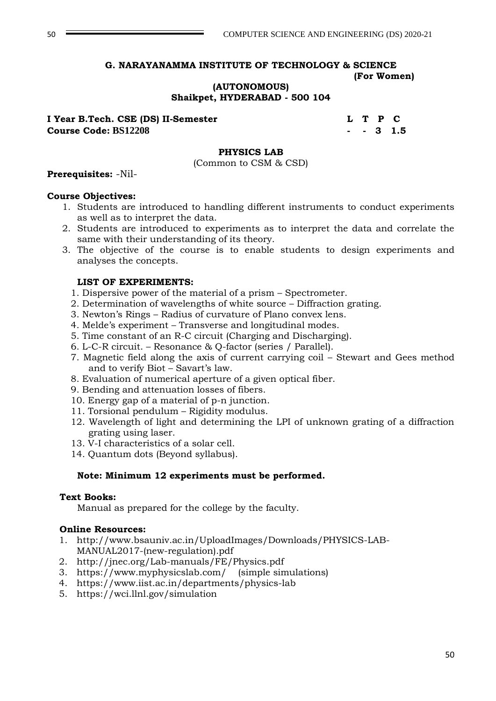# **(AUTONOMOUS)**

#### **Shaikpet, HYDERABAD - 500 104**

**I Year B.Tech. CSE (DS) II-Semester L T P C Course Code: BS12208 - - 3 1.5** 

#### **PHYSICS LAB**

(Common to CSM & CSD)

#### **Prerequisites:** -Nil-

#### **Course Objectives:**

- 1. Students are introduced to handling different instruments to conduct experiments as well as to interpret the data.
- 2. Students are introduced to experiments as to interpret the data and correlate the same with their understanding of its theory.
- 3. The objective of the course is to enable students to design experiments and analyses the concepts.

#### **LIST OF EXPERIMENTS:**

- 1. Dispersive power of the material of a prism Spectrometer.
- 2. Determination of wavelengths of white source Diffraction grating.
- 3. Newton's Rings Radius of curvature of Plano convex lens.
- 4. Melde's experiment Transverse and longitudinal modes.
- 5. Time constant of an R-C circuit (Charging and Discharging).
- 6. L-C-R circuit. Resonance & Q-factor (series / Parallel).
- 7. Magnetic field along the axis of current carrying coil Stewart and Gees method and to verify Biot – Savart's law.
- 8. Evaluation of numerical aperture of a given optical fiber.
- 9. Bending and attenuation losses of fibers.
- 10. Energy gap of a material of p-n junction.
- 11. Torsional pendulum Rigidity modulus.
- 12. Wavelength of light and determining the LPI of unknown grating of a diffraction grating using laser.
- 13. V-I characteristics of a solar cell.
- 14. Quantum dots (Beyond syllabus).

### **Note: Minimum 12 experiments must be performed.**

#### **Text Books:**

Manual as prepared for the college by the faculty.

### **Online Resources:**

- 1. http://www.bsauniv.ac.in/UploadImages/Downloads/PHYSICS-LAB-MANUAL2017-(new-regulation).pdf
- 2. <http://jnec.org/Lab-manuals/FE/Physics.pdf>
- 3. <https://www.myphysicslab.com/>(simple simulations)
- 4. <https://www.iist.ac.in/departments/physics-lab>
- 5. <https://wci.llnl.gov/simulation>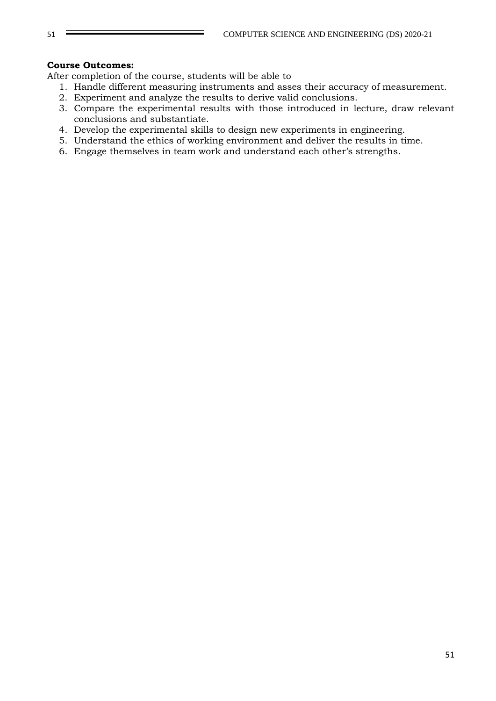### **Course Outcomes:**

After completion of the course, students will be able to

- 1. Handle different measuring instruments and asses their accuracy of measurement.
- 2. Experiment and analyze the results to derive valid conclusions.
- 3. Compare the experimental results with those introduced in lecture, draw relevant conclusions and substantiate.
- 4. Develop the experimental skills to design new experiments in engineering.
- 5. Understand the ethics of working environment and deliver the results in time.
- 6. Engage themselves in team work and understand each other's strengths.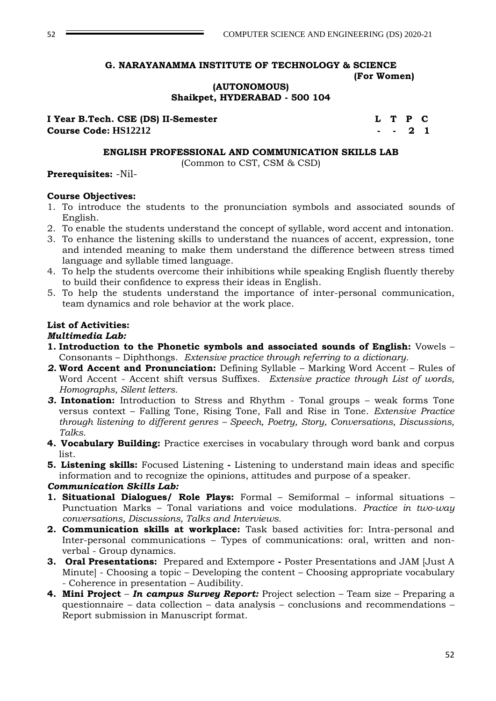**(AUTONOMOUS)**

**Shaikpet, HYDERABAD - 500 104**

**I Year B.Tech. CSE (DS) II-Semester LET LET P C Course Code: HS12212 - - 2 1**

#### **ENGLISH PROFESSIONAL AND COMMUNICATION SKILLS LAB**

(Common to CST, CSM & CSD)

#### **Prerequisites:** -Nil-

#### **Course Objectives:**

- 1. To introduce the students to the pronunciation symbols and associated sounds of English.
- 2. To enable the students understand the concept of syllable, word accent and intonation.
- 3. To enhance the listening skills to understand the nuances of accent, expression, tone and intended meaning to make them understand the difference between stress timed language and syllable timed language.
- 4. To help the students overcome their inhibitions while speaking English fluently thereby to build their confidence to express their ideas in English.
- 5. To help the students understand the importance of inter-personal communication, team dynamics and role behavior at the work place.

#### **List of Activities:**

#### *Multimedia Lab:*

- **1. Introduction to the Phonetic symbols and associated sounds of English:** Vowels Consonants – Diphthongs. *Extensive practice through referring to a dictionary.*
- *2.* **Word Accent and Pronunciation:** Defining Syllable Marking Word Accent Rules of Word Accent - Accent shift versus Suffixes. *Extensive practice through List of words, Homographs, Silent letters.*
- *3.* **Intonation:** Introduction to Stress and Rhythm Tonal groups weak forms Tone versus context – Falling Tone, Rising Tone, Fall and Rise in Tone. *Extensive Practice through listening to different genres – Speech, Poetry, Story, Conversations, Discussions, Talks.*
- **4. Vocabulary Building:** Practice exercises in vocabulary through word bank and corpus list.
- **5. Listening skills:** Focused Listening **-** Listening to understand main ideas and specific information and to recognize the opinions, attitudes and purpose of a speaker.

### *Communication Skills Lab:*

- **1. Situational Dialogues/ Role Plays:** Formal Semiformal informal situations Punctuation Marks – Tonal variations and voice modulations. *Practice in two-way conversations, Discussions, Talks and Interviews.*
- **2. Communication skills at workplace:** Task based activities for: Intra-personal and Inter-personal communications – Types of communications: oral, written and nonverbal - Group dynamics.
- **3. Oral Presentations:** Prepared and Extempore **-** Poster Presentations and JAM [Just A Minute] - Choosing a topic – Developing the content – Choosing appropriate vocabulary - Coherence in presentation – Audibility.
- **4. Mini Project** *In campus Survey Report:* Project selection Team size Preparing a questionnaire – data collection – data analysis – conclusions and recommendations – Report submission in Manuscript format.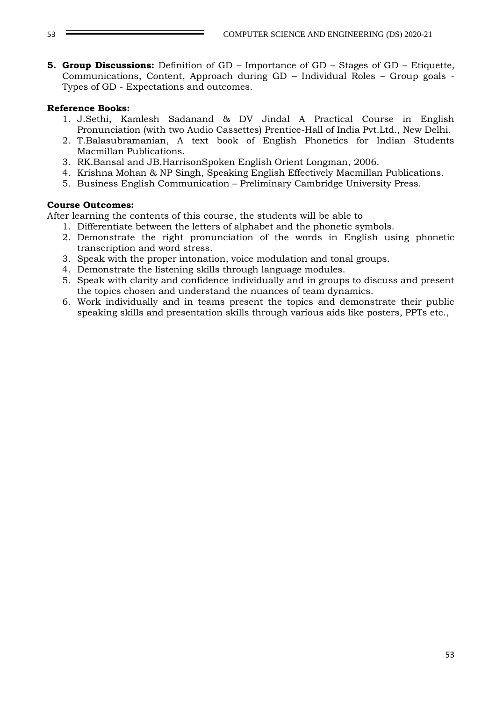**5. Group Discussions:** Definition of GD – Importance of GD – Stages of GD – Etiquette, Communications, Content, Approach during GD – Individual Roles – Group goals - Types of GD - Expectations and outcomes.

### **Reference Books:**

- 1. J.Sethi, Kamlesh Sadanand & DV Jindal A Practical Course in English Pronunciation (with two Audio Cassettes) Prentice-Hall of India Pvt.Ltd., New Delhi.
- 2. T.Balasubramanian, A text book of English Phonetics for Indian Students Macmillan Publications.
- 3. RK.Bansal and JB.HarrisonSpoken English Orient Longman, 2006.
- 4. Krishna Mohan & NP Singh, Speaking English Effectively Macmillan Publications.
- 5. Business English Communication Preliminary Cambridge University Press.

#### **Course Outcomes:**

After learning the contents of this course, the students will be able to

- 1. Differentiate between the letters of alphabet and the phonetic symbols.
- 2. Demonstrate the right pronunciation of the words in English using phonetic transcription and word stress.
- 3. Speak with the proper intonation, voice modulation and tonal groups.
- 4. Demonstrate the listening skills through language modules.
- 5. Speak with clarity and confidence individually and in groups to discuss and present the topics chosen and understand the nuances of team dynamics.
- 6. Work individually and in teams present the topics and demonstrate their public speaking skills and presentation skills through various aids like posters, PPTs etc.,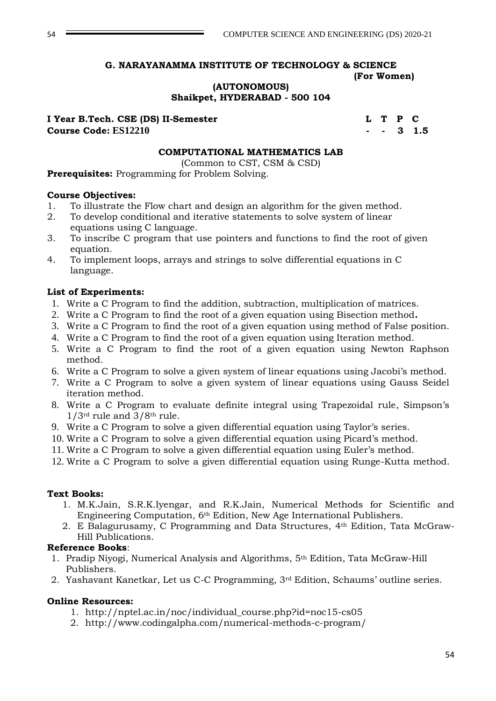**(AUTONOMOUS) Shaikpet, HYDERABAD - 500 104**

### **I Year B.Tech. CSE (DS) II-Semester LET P C Course Code: ES12210 - - 3 1.5**

### **COMPUTATIONAL MATHEMATICS LAB**

(Common to CST, CSM & CSD)

**Prerequisites:** Programming for Problem Solving.

### **Course Objectives:**

- 1. To illustrate the Flow chart and design an algorithm for the given method.
- 2. To develop conditional and iterative statements to solve system of linear equations using C language.
- 3. To inscribe C program that use pointers and functions to find the root of given equation.
- 4. To implement loops, arrays and strings to solve differential equations in C language.

#### **List of Experiments:**

- 1. Write a C Program to find the addition, subtraction, multiplication of matrices.
- 2. Write a C Program to find the root of a given equation using Bisection method**.**
- 3. Write a C Program to find the root of a given equation using method of False position.
- 4. Write a C Program to find the root of a given equation using Iteration method.
- 5. Write a C Program to find the root of a given equation using Newton Raphson method.
- 6. Write a C Program to solve a given system of linear equations using Jacobi's method.
- 7. Write a C Program to solve a given system of linear equations using Gauss Seidel iteration method.
- 8. Write a C Program to evaluate definite integral using Trapezoidal rule, Simpson's  $1/3$ <sup>rd</sup> rule and  $3/8$ <sup>th</sup> rule.
- 9. Write a C Program to solve a given differential equation using Taylor's series.
- 10. Write a C Program to solve a given differential equation using Picard's method.
- 11. Write a C Program to solve a given differential equation using Euler's method.
- 12. Write a C Program to solve a given differential equation using Runge-Kutta method.

#### **Text Books:**

- 1. M.K.Jain, S.R.K.Iyengar, and R.K.Jain, Numerical Methods for Scientific and Engineering Computation, 6th Edition, New Age International Publishers.
- 2. E Balagurusamy, C Programming and Data Structures, 4th Edition, Tata McGraw-Hill Publications.

### **Reference Books**:

- 1. Pradip Niyogi, Numerical Analysis and Algorithms, 5th Edition, Tata McGraw-Hill Publishers.
- 2. Yashavant Kanetkar, Let us C-C Programming, 3rd Edition, Schaums' outline series.

### **Online Resources:**

- 1. [http://nptel.ac.in/noc/individual\\_course.php?id=noc15-cs05](http://nptel.ac.in/noc/individual_course.php?id=noc15-cs05)
- 2. <http://www.codingalpha.com/numerical-methods-c-program/>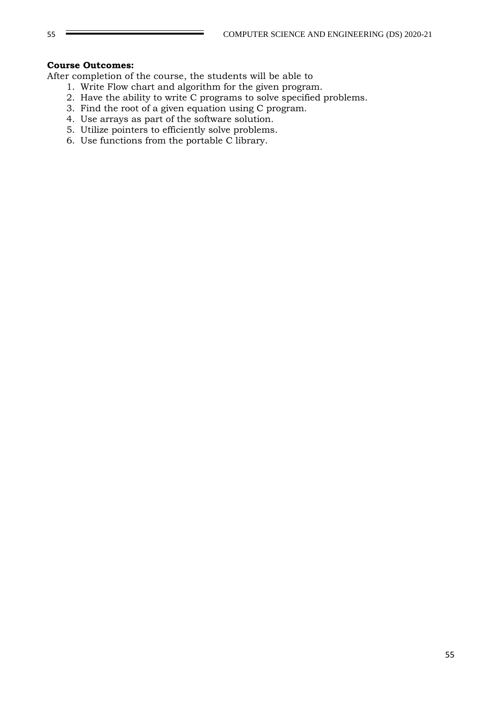### **Course Outcomes:**

After completion of the course, the students will be able to

- 1. Write Flow chart and algorithm for the given program.
- 2. Have the ability to write C programs to solve specified problems.
- 3. Find the root of a given equation using C program.
- 4. Use arrays as part of the software solution.
- 5. Utilize pointers to efficiently solve problems.
- 6. Use functions from the portable C library.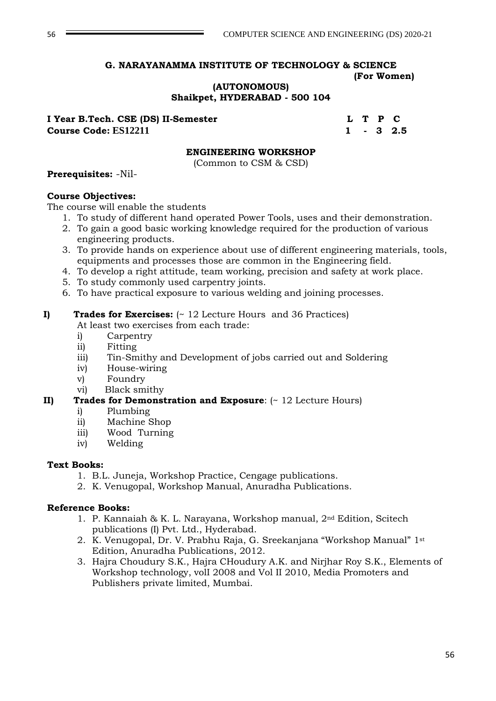### **(AUTONOMOUS) Shaikpet, HYDERABAD - 500 104**

**I Year B.Tech. CSE (DS) II-Semester L T P C Course Code: ES12211 1 - 3 2.5**

### **ENGINEERING WORKSHOP**

(Common to CSM & CSD)

### **Prerequisites:** -Nil-

#### **Course Objectives:**

The course will enable the students

- 1. To study of different hand operated Power Tools, uses and their demonstration.
- 2. To gain a good basic working knowledge required for the production of various engineering products.
- 3. To provide hands on experience about use of different engineering materials, tools, equipments and processes those are common in the Engineering field.
- 4. To develop a right attitude, team working, precision and safety at work place.
- 5. To study commonly used carpentry joints.
- 6. To have practical exposure to various welding and joining processes.

### **I) Trades for Exercises:** (~ 12 Lecture Hours and 36 Practices)

At least two exercises from each trade:

- i) Carpentry
- ii) Fitting
- iii) Tin-Smithy and Development of jobs carried out and Soldering
- iv) House-wiring
- v) Foundry
- vi) Black smithy

# **II) Trades for Demonstration and Exposure**: (~ 12 Lecture Hours)

- i) Plumbing
- ii) Machine Shop
- iii) Wood Turning
- iv) Welding

#### **Text Books:**

- 1. B.L. Juneja, Workshop Practice, Cengage publications.
- 2. K. Venugopal, Workshop Manual, Anuradha Publications.

### **Reference Books:**

- 1. P. Kannaiah & K. L. Narayana, Workshop manual, 2nd Edition, Scitech publications (I) Pvt. Ltd., Hyderabad.
- 2. K. Venugopal, Dr. V. Prabhu Raja, G. Sreekanjana "Workshop Manual" 1st Edition, Anuradha Publications, 2012.
- 3. Hajra Choudury S.K., Hajra CHoudury A.K. and Nirjhar Roy S.K., Elements of Workshop technology, volI 2008 and Vol II 2010, Media Promoters and Publishers private limited, Mumbai.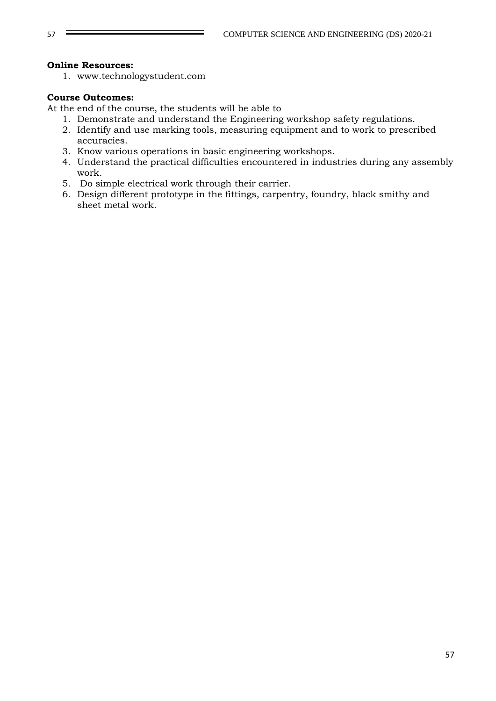### **Online Resources:**

1. www.technologystudent.com

### **Course Outcomes:**

At the end of the course, the students will be able to

- 1. Demonstrate and understand the Engineering workshop safety regulations.
- 2. Identify and use marking tools, measuring equipment and to work to prescribed accuracies.
- 3. Know various operations in basic engineering workshops.
- 4. Understand the practical difficulties encountered in industries during any assembly work.
- 5. Do simple electrical work through their carrier.
- 6. Design different prototype in the fittings, carpentry, foundry, black smithy and sheet metal work.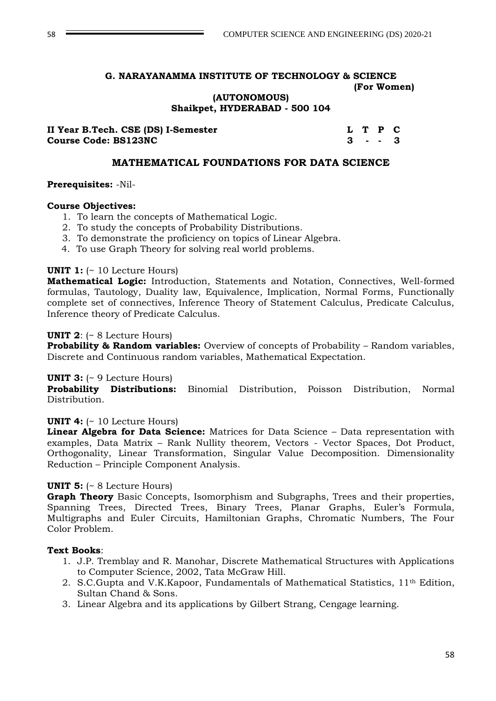**(AUTONOMOUS) Shaikpet, HYDERABAD - 500 104**

| II Year B.Tech. CSE (DS) I-Semester |  | L T P C   |  |
|-------------------------------------|--|-----------|--|
| <b>Course Code: BS123NC</b>         |  | $3 - - 3$ |  |

### **MATHEMATICAL FOUNDATIONS FOR DATA SCIENCE**

#### **Prerequisites:** -Nil-

#### **Course Objectives:**

- 1. To learn the concepts of Mathematical Logic.
- 2. To study the concepts of Probability Distributions.
- 3. To demonstrate the proficiency on topics of Linear Algebra.
- 4. To use Graph Theory for solving real world problems.

### **UNIT 1:** (~ 10 Lecture Hours)

**Mathematical Logic:** Introduction, Statements and Notation, Connectives, Well-formed formulas, Tautology, Duality law, Equivalence, Implication, Normal Forms, Functionally complete set of connectives, Inference Theory of Statement Calculus, Predicate Calculus, Inference theory of Predicate Calculus.

#### **UNIT 2**: (~ 8 Lecture Hours)

**Probability & Random variables:** Overview of concepts of Probability – Random variables, Discrete and Continuous random variables, Mathematical Expectation.

### **UNIT 3:** (~ 9 Lecture Hours)

**Probability Distributions:** Binomial Distribution, Poisson Distribution, Normal Distribution.

#### **UNIT 4:** (~ 10 Lecture Hours)

**Linear Algebra for Data Science:** Matrices for Data Science – Data representation with examples, Data Matrix – Rank Nullity theorem, Vectors - Vector Spaces, Dot Product, Orthogonality, Linear Transformation, Singular Value Decomposition. Dimensionality Reduction – Principle Component Analysis.

#### **UNIT 5:** (~ 8 Lecture Hours)

**Graph Theory** Basic Concepts, Isomorphism and Subgraphs, Trees and their properties, Spanning Trees, Directed Trees, Binary Trees, Planar Graphs, Euler's Formula, Multigraphs and Euler Circuits, Hamiltonian Graphs, Chromatic Numbers, The Four Color Problem.

#### **Text Books**:

- 1. J.P. Tremblay and R. Manohar, Discrete Mathematical Structures with Applications to Computer Science, 2002, Tata McGraw Hill.
- 2. S.C.Gupta and V.K.Kapoor, Fundamentals of Mathematical Statistics, 11th Edition, Sultan Chand & Sons.
- 3. Linear Algebra and its applications by Gilbert Strang, Cengage learning.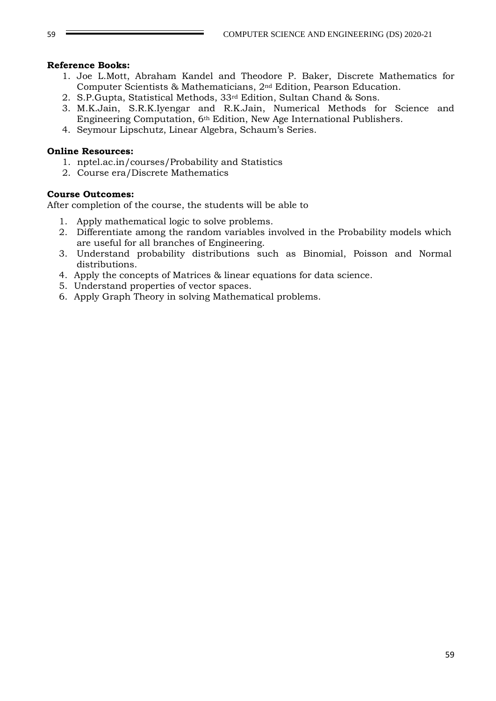### **Reference Books:**

- 1. Joe L.Mott, Abraham Kandel and Theodore P. Baker, Discrete Mathematics for Computer Scientists & Mathematicians, 2nd Edition, Pearson Education.
- 2. S.P.Gupta, Statistical Methods, 33rd Edition, Sultan Chand & Sons.
- 3. M.K.Jain, S.R.K.Iyengar and R.K.Jain, Numerical Methods for Science and Engineering Computation, 6th Edition, New Age International Publishers.
- 4. Seymour Lipschutz, Linear Algebra, Schaum's Series.

### **Online Resources:**

- 1. nptel.ac.in/courses/Probability and Statistics
- 2. Course era/Discrete Mathematics

### **Course Outcomes:**

After completion of the course, the students will be able to

- 1. Apply mathematical logic to solve problems.
- 2. Differentiate among the random variables involved in the Probability models which are useful for all branches of Engineering.
- 3. Understand probability distributions such as Binomial, Poisson and Normal distributions.
- 4. Apply the concepts of Matrices & linear equations for data science.
- 5. Understand properties of vector spaces.
- 6. Apply Graph Theory in solving Mathematical problems.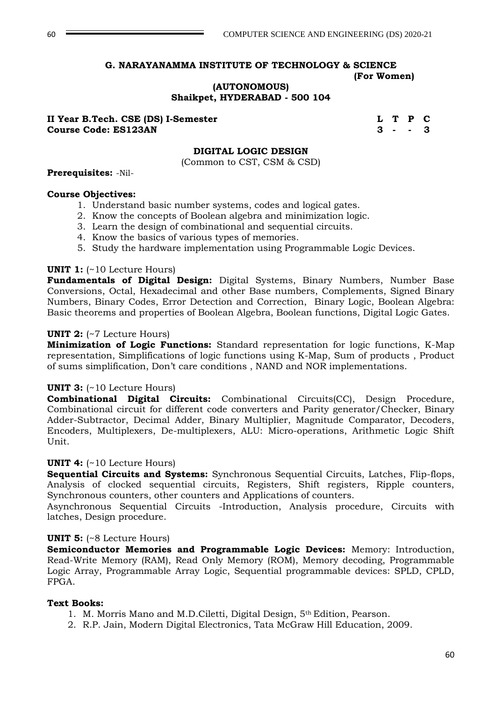**(AUTONOMOUS)**

**Shaikpet, HYDERABAD - 500 104**

**II Year B.Tech. CSE (DS) I-Semester Let Let A Let A Let A Let A Let A Let A Let A Let A Let A Let A Let A Let A Course Code: ES123AN 3 - - 3**

### **DIGITAL LOGIC DESIGN**

(Common to CST, CSM & CSD)

#### **Prerequisites:** -Nil-

#### **Course Objectives:**

- 1. Understand basic number systems, codes and logical gates.
- 2. Know the concepts of Boolean algebra and minimization logic.
- 3. Learn the design of combinational and sequential circuits.
- 4. Know the basics of various types of memories.
- 5. Study the hardware implementation using Programmable Logic Devices.

#### **UNIT 1:** (~10 Lecture Hours)

**Fundamentals of Digital Design:** Digital Systems, Binary Numbers, Number Base Conversions, Octal, Hexadecimal and other Base numbers, Complements, Signed Binary Numbers, Binary Codes, Error Detection and Correction, Binary Logic, Boolean Algebra: Basic theorems and properties of Boolean Algebra, Boolean functions, Digital Logic Gates.

#### **UNIT 2:** (~7 Lecture Hours)

**Minimization of Logic Functions:** Standard representation for logic functions, K-Map representation, Simplifications of logic functions using K-Map, Sum of products , Product of sums simplification, Don't care conditions , NAND and NOR implementations.

#### **UNIT 3:** (~10 Lecture Hours)

**Combinational Digital Circuits:** Combinational Circuits(CC), Design Procedure, Combinational circuit for different code converters and Parity generator/Checker, Binary Adder-Subtractor, Decimal Adder, Binary Multiplier, Magnitude Comparator, Decoders, Encoders, Multiplexers, De-multiplexers, ALU: Micro-operations, Arithmetic Logic Shift Unit.

#### **UNIT 4:** (~10 Lecture Hours)

**Sequential Circuits and Systems:** Synchronous Sequential Circuits, Latches, Flip-flops, Analysis of clocked sequential circuits, Registers, Shift registers, Ripple counters, Synchronous counters, other counters and Applications of counters.

Asynchronous Sequential Circuits -Introduction, Analysis procedure, Circuits with latches, Design procedure.

#### **UNIT 5:** (~8 Lecture Hours)

**Semiconductor Memories and Programmable Logic Devices:** Memory: Introduction, Read-Write Memory (RAM), Read Only Memory (ROM), Memory decoding, Programmable Logic Array, Programmable Array Logic, Sequential programmable devices: SPLD, CPLD, FPGA.

#### **Text Books:**

- 1. M. Morris Mano and M.D.Ciletti, Digital Design, 5th Edition, Pearson.
- 2. R.P. Jain, Modern Digital Electronics, Tata McGraw Hill Education, 2009.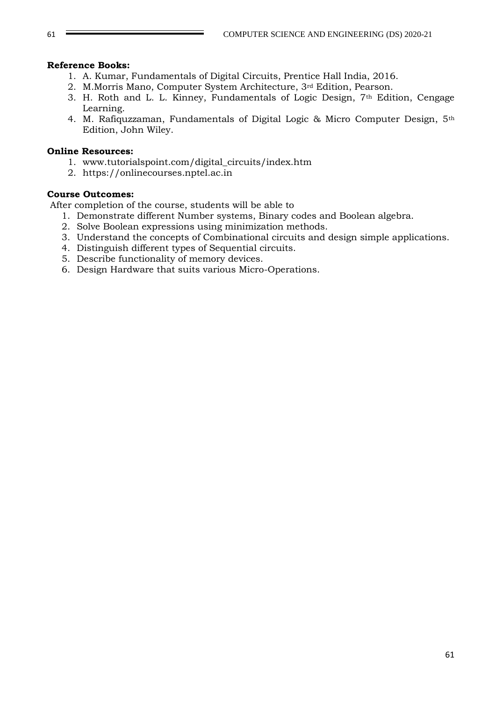### **Reference Books:**

- 1. A. Kumar, Fundamentals of Digital Circuits, Prentice Hall India, 2016.
- 2. M.Morris Mano, Computer System Architecture, 3rd Edition, Pearson.
- 3. H. Roth and L. L. Kinney, Fundamentals of Logic Design, 7th Edition, Cengage Learning.
- 4. M. Rafiquzzaman, Fundamentals of Digital Logic & Micro Computer Design, 5th Edition, John Wiley.

### **Online Resources:**

- 1. [www.tutorialspoint.com/digital\\_circuits/index.htm](http://www.tutorialspoint.com/digital_circuits/index.htm)
- 2. https://onlinecourses.nptel.ac.in

### **Course Outcomes:**

After completion of the course, students will be able to

- 1. Demonstrate different Number systems, Binary codes and Boolean algebra.
- 2. Solve Boolean expressions using minimization methods.
- 3. Understand the concepts of Combinational circuits and design simple applications.
- 4. Distinguish different types of Sequential circuits.
- 5. Describe functionality of memory devices.
- 6. Design Hardware that suits various Micro-Operations.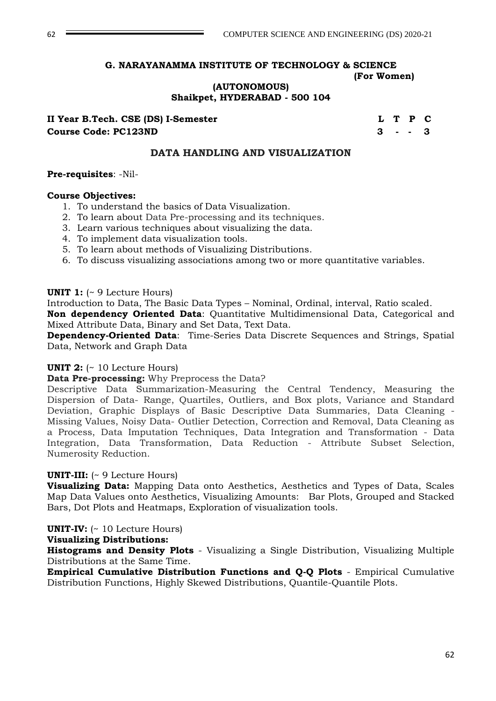**(AUTONOMOUS)**

**Shaikpet, HYDERABAD - 500 104**

**II Year B.Tech. CSE (DS) I-Semester LET P C Course Code: PC123ND 3 - - 3**

### **DATA HANDLING AND VISUALIZATION**

**Pre-requisites**: -Nil-

### **Course Objectives:**

- 1. To understand the basics of Data Visualization.
- 2. To learn about Data Pre-processing and its techniques.
- 3. Learn various techniques about visualizing the data.
- 4. To implement data visualization tools.
- 5. To learn about methods of Visualizing Distributions.
- 6. To discuss visualizing associations among two or more quantitative variables.

#### **UNIT 1:** (~ 9 Lecture Hours)

Introduction to Data, The Basic Data Types – Nominal, Ordinal, interval, Ratio scaled.

**Non dependency Oriented Data**: Quantitative Multidimensional Data, Categorical and Mixed Attribute Data, Binary and Set Data, Text Data.

**Dependency-Oriented Data**: Time-Series Data Discrete Sequences and Strings, Spatial Data, Network and Graph Data

#### **UNIT 2:** (~ 10 Lecture Hours)

**Data Pre-processing:** Why Preprocess the Data?

Descriptive Data Summarization-Measuring the Central Tendency, Measuring the Dispersion of Data- Range, Quartiles, Outliers, and Box plots, Variance and Standard Deviation, Graphic Displays of Basic Descriptive Data Summaries, Data Cleaning - Missing Values, Noisy Data- Outlier Detection, Correction and Removal, Data Cleaning as a Process, Data Imputation Techniques, Data Integration and Transformation - Data Integration, Data Transformation, Data Reduction - Attribute Subset Selection, Numerosity Reduction.

#### **UNIT-III:** (~ 9 Lecture Hours)

**Visualizing Data:** Mapping Data onto Aesthetics, Aesthetics and Types of Data, Scales Map Data Values onto Aesthetics, Visualizing Amounts: Bar Plots, Grouped and Stacked Bars, Dot Plots and Heatmaps, Exploration of visualization tools.

### **UNIT-IV:** (~ 10 Lecture Hours)

#### **Visualizing Distributions:**

**Histograms and Density Plots** - Visualizing a Single Distribution, Visualizing Multiple Distributions at the Same Time.

**Empirical Cumulative Distribution Functions and Q-Q Plots** - Empirical Cumulative Distribution Functions, Highly Skewed Distributions, Quantile-Quantile Plots.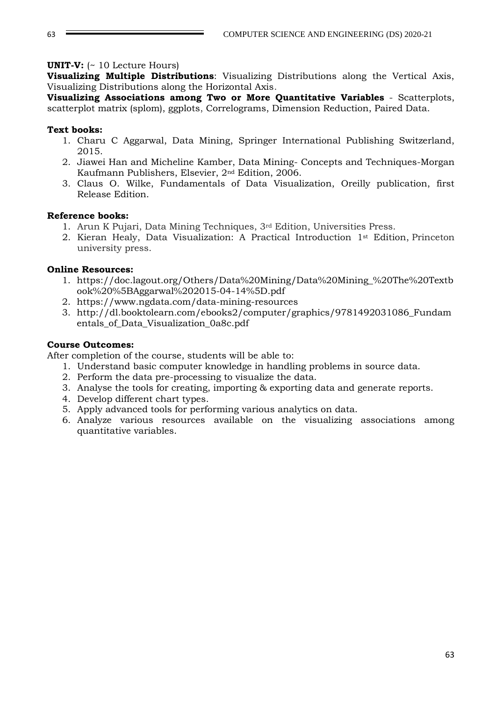### **UNIT-V:** (~ 10 Lecture Hours)

**Visualizing Multiple Distributions**: Visualizing Distributions along the Vertical Axis, Visualizing Distributions along the Horizontal Axis.

**Visualizing Associations among Two or More Quantitative Variables** - Scatterplots, scatterplot matrix (splom), ggplots, Correlograms, Dimension Reduction, Paired Data.

### **Text books:**

- 1. Charu C Aggarwal, Data Mining, Springer International Publishing Switzerland, 2015.
- 2. Jiawei Han and Micheline Kamber, Data Mining- Concepts and Techniques-Morgan Kaufmann Publishers, Elsevier, 2nd Edition, 2006.
- 3. Claus O. Wilke, Fundamentals of Data Visualization, Oreilly publication, first Release Edition.

### **Reference books:**

- 1. Arun K Pujari, Data Mining Techniques, 3rd Edition, Universities Press.
- 2. Kieran Healy, Data Visualization: A Practical Introduction 1st Edition, Princeton university press.

### **Online Resources:**

- 1. [https://doc.lagout.org/Others/Data%20Mining/Data%20Mining\\_%20The%20Textb](https://doc.lagout.org/Others/Data%20Mining/Data%20Mining_%20The%20Textbook%20%5BAggarwal%202015-04-14%5D.pdf) [ook%20%5BAggarwal%202015-04-14%5D.pdf](https://doc.lagout.org/Others/Data%20Mining/Data%20Mining_%20The%20Textbook%20%5BAggarwal%202015-04-14%5D.pdf)
- 2. https://www.ngdata.com/data-mining-resources
- 3. http://dl.booktolearn.com/ebooks2/computer/graphics/9781492031086\_Fundam entals\_of\_Data\_Visualization\_0a8c.pdf

### **Course Outcomes:**

After completion of the course, students will be able to:

- 1. Understand basic computer knowledge in handling problems in source data.
- 2. Perform the data pre-processing to visualize the data.
- 3. Analyse the tools for creating, importing & exporting data and generate reports.
- 4. Develop different chart types.
- 5. Apply advanced tools for performing various analytics on data.
- 6. Analyze various resources available on the visualizing associations among quantitative variables.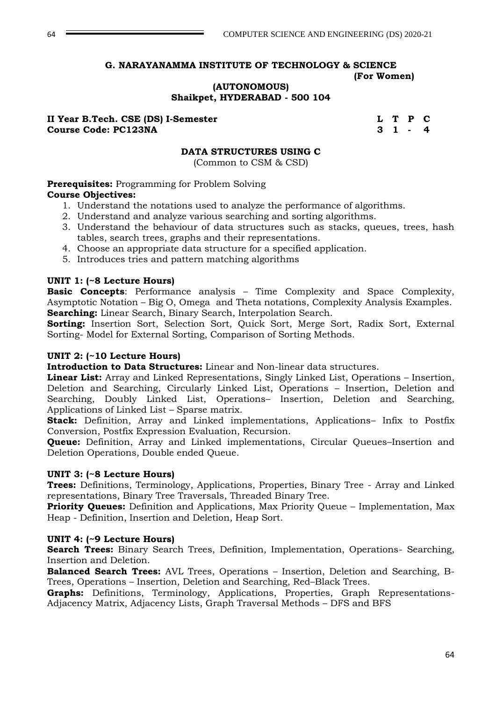### **(AUTONOMOUS) Shaikpet, HYDERABAD - 500 104**

**II Year B.Tech. CSE (DS) I-Semester L T P C Course Code: PC123NA 3 1 -**

### **DATA STRUCTURES USING C**

(Common to CSM & CSD)

**Prerequisites:** Programming for Problem Solving **Course Objectives:**

- 1. Understand the notations used to analyze the performance of algorithms.
- 2. Understand and analyze various searching and sorting algorithms.
- 3. Understand the behaviour of data structures such as stacks, queues, trees, hash tables, search trees, graphs and their representations.
- 4. Choose an appropriate data structure for a specified application.
- 5. Introduces tries and pattern matching algorithms

### **UNIT 1: (~8 Lecture Hours)**

**Basic Concepts**: Performance analysis – Time Complexity and Space Complexity, Asymptotic Notation – Big O, Omega and Theta notations, Complexity Analysis Examples. **Searching:** Linear Search, Binary Search, Interpolation Search.

**Sorting:** Insertion Sort, Selection Sort, Quick Sort, Merge Sort, Radix Sort, External Sorting- Model for External Sorting, Comparison of Sorting Methods.

### **UNIT 2: (~10 Lecture Hours)**

**Introduction to Data Structures:** Linear and Non-linear data structures.

**Linear List:** Array and Linked Representations, Singly Linked List, Operations – Insertion, Deletion and Searching, Circularly Linked List, Operations – Insertion, Deletion and Searching, Doubly Linked List, Operations– Insertion, Deletion and Searching, Applications of Linked List – Sparse matrix.

**Stack:** Definition, Array and Linked implementations, Applications– Infix to Postfix Conversion, Postfix Expression Evaluation, Recursion.

**Queue:** Definition, Array and Linked implementations, Circular Queues–Insertion and Deletion Operations, Double ended Queue.

### **UNIT 3: (~8 Lecture Hours)**

**Trees:** Definitions, Terminology, Applications, Properties, Binary Tree - Array and Linked representations, Binary Tree Traversals, Threaded Binary Tree.

**Priority Queues:** Definition and Applications, Max Priority Queue – Implementation, Max Heap - Definition, Insertion and Deletion, Heap Sort.

#### **UNIT 4: (~9 Lecture Hours)**

**Search Trees:** Binary Search Trees, Definition, Implementation, Operations- Searching, Insertion and Deletion.

**Balanced Search Trees:** AVL Trees, Operations – Insertion, Deletion and Searching, B-Trees, Operations – Insertion, Deletion and Searching, Red–Black Trees.

**Graphs:** Definitions, Terminology, Applications, Properties, Graph Representations-Adjacency Matrix, Adjacency Lists, Graph Traversal Methods – DFS and BFS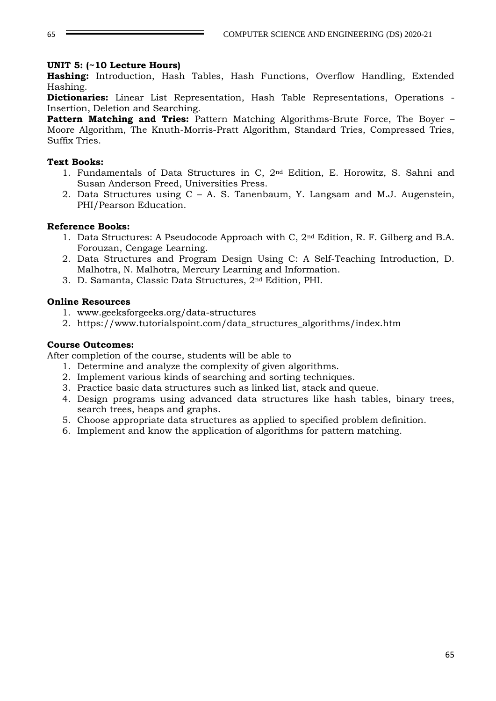### **UNIT 5: (~10 Lecture Hours)**

**Hashing:** Introduction, Hash Tables, Hash Functions, Overflow Handling, Extended Hashing.

**Dictionaries:** Linear List Representation, Hash Table Representations, Operations - Insertion, Deletion and Searching.

**Pattern Matching and Tries:** Pattern Matching Algorithms-Brute Force, The Boyer – Moore Algorithm, The Knuth-Morris-Pratt Algorithm, Standard Tries, Compressed Tries, Suffix Tries.

### **Text Books:**

- 1. Fundamentals of Data Structures in C, 2nd Edition, E. Horowitz, S. Sahni and Susan Anderson Freed, Universities Press.
- 2. Data Structures using C A. S. Tanenbaum, Y. Langsam and M.J. Augenstein, PHI/Pearson Education.

### **Reference Books:**

- 1. Data Structures: A Pseudocode Approach with C, 2nd Edition, R. F. Gilberg and B.A. Forouzan, Cengage Learning.
- 2. Data Structures and Program Design Using C: A Self-Teaching Introduction, D. Malhotra, N. Malhotra, Mercury Learning and Information.
- 3. D. Samanta, Classic Data Structures, 2nd Edition, PHI.

### **Online Resources**

- 1. www.geeksforgeeks.org/data-structures
- 2. https://www.tutorialspoint.com/data\_structures\_algorithms/index.htm

### **Course Outcomes:**

After completion of the course, students will be able to

- 1. Determine and analyze the complexity of given algorithms.
- 2. Implement various kinds of searching and sorting techniques.
- 3. Practice basic data structures such as linked list, stack and queue.
- 4. Design programs using advanced data structures like hash tables, binary trees, search trees, heaps and graphs.
- 5. Choose appropriate data structures as applied to specified problem definition.
- 6. Implement and know the application of algorithms for pattern matching.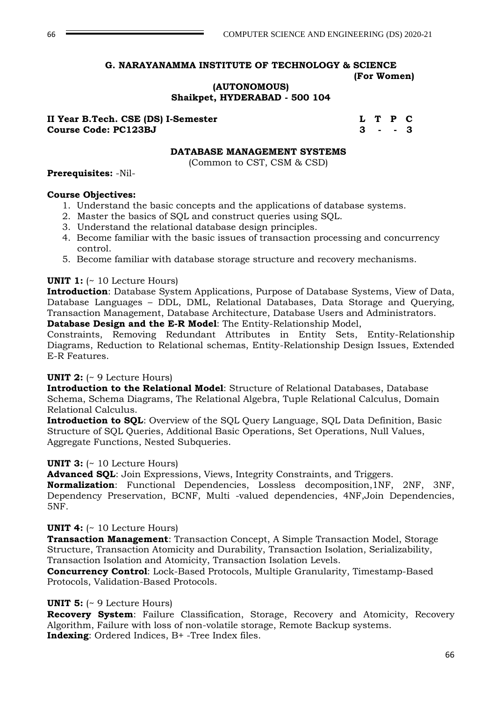**(AUTONOMOUS) Shaikpet, HYDERABAD - 500 104**

#### **II Year B.Tech. CSE (DS) I-Semester L T P C Course Code: PC123BJ 3 - - 3**

### **DATABASE MANAGEMENT SYSTEMS**

(Common to CST, CSM & CSD)

#### **Prerequisites:** -Nil-

#### **Course Objectives:**

- 1. Understand the basic concepts and the applications of database systems.
- 2. Master the basics of SQL and construct queries using SQL.
- 3. Understand the relational database design principles.
- 4. Become familiar with the basic issues of transaction processing and concurrency control.
- 5. Become familiar with database storage structure and recovery mechanisms.

#### **UNIT 1:** (~ 10 Lecture Hours)

**Introduction**: Database System Applications, Purpose of Database Systems, View of Data, Database Languages – DDL, DML, Relational Databases, Data Storage and Querying, Transaction Management, Database Architecture, Database Users and Administrators. **Database Design and the E-R Model**: The Entity-Relationship Model,

Constraints, Removing Redundant Attributes in Entity Sets, Entity-Relationship

Diagrams, Reduction to Relational schemas, Entity-Relationship Design Issues, Extended E-R Features.

### **UNIT 2:** (~ 9 Lecture Hours)

**Introduction to the Relational Model**: Structure of Relational Databases, Database Schema, Schema Diagrams, The Relational Algebra, Tuple Relational Calculus, Domain Relational Calculus.

**Introduction to SQL**: Overview of the SQL Query Language, SQL Data Definition, Basic Structure of SQL Queries, Additional Basic Operations, Set Operations, Null Values, Aggregate Functions, Nested Subqueries.

#### **UNIT 3:** (~ 10 Lecture Hours)

**Advanced SQL**: Join Expressions, Views, Integrity Constraints, and Triggers.

**Normalization**: Functional Dependencies, Lossless decomposition,1NF, 2NF, 3NF, Dependency Preservation, BCNF, Multi -valued dependencies, 4NF,Join Dependencies, 5NF.

#### **UNIT 4:** (~ 10 Lecture Hours)

**Transaction Management**: Transaction Concept, A Simple Transaction Model, Storage Structure, Transaction Atomicity and Durability, Transaction Isolation, Serializability, Transaction Isolation and Atomicity, Transaction Isolation Levels.

**Concurrency Control**: Lock-Based Protocols, Multiple Granularity, Timestamp-Based Protocols, Validation-Based Protocols.

#### **UNIT 5:** (~ 9 Lecture Hours)

**Recovery System**: Failure Classification, Storage, Recovery and Atomicity, Recovery Algorithm, Failure with loss of non-volatile storage, Remote Backup systems. **Indexing**: Ordered Indices, B+ -Tree Index files.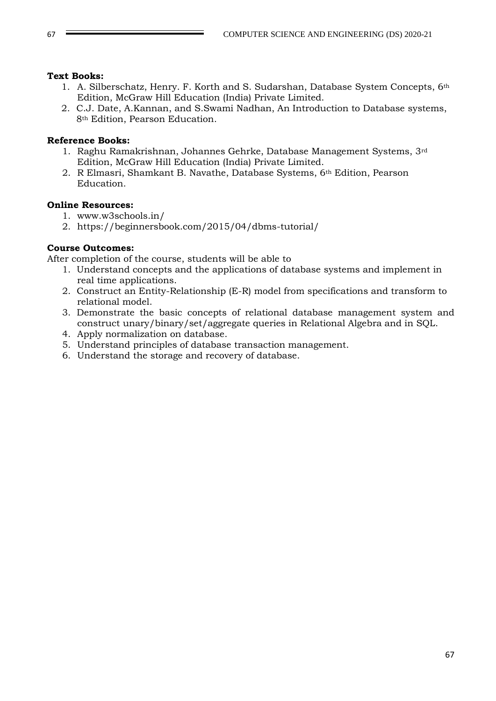### **Text Books:**

- 1. A. Silberschatz, Henry. F. Korth and S. Sudarshan, Database System Concepts, 6th Edition, McGraw Hill Education (India) Private Limited.
- 2. C.J. Date, A.Kannan, and S.Swami Nadhan, An Introduction to Database systems, 8th Edition, Pearson Education.

### **Reference Books:**

- 1. Raghu Ramakrishnan, Johannes Gehrke, Database Management Systems, 3rd Edition, McGraw Hill Education (India) Private Limited.
- 2. R Elmasri, Shamkant B. Navathe, Database Systems, 6<sup>th</sup> Edition, Pearson Education.

# **Online Resources:**

- 1. www.w3schools.in/
- 2. https://beginnersbook.com/2015/04/dbms-tutorial/

### **Course Outcomes:**

After completion of the course, students will be able to

- 1. Understand concepts and the applications of database systems and implement in real time applications.
- 2. Construct an Entity-Relationship (E-R) model from specifications and transform to relational model.
- 3. Demonstrate the basic concepts of relational database management system and construct unary/binary/set/aggregate queries in Relational Algebra and in SQL.
- 4. Apply normalization on database.
- 5. Understand principles of database transaction management.
- 6. Understand the storage and recovery of database.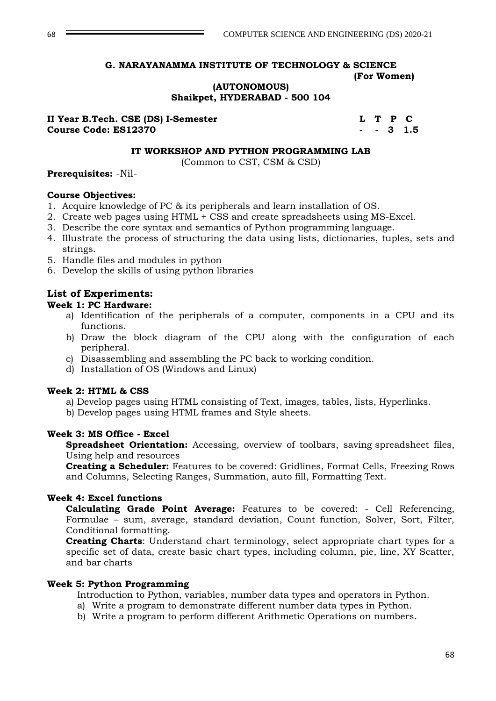#### **(AUTONOMOUS) Shaikpet, HYDERABAD - 500 104**

**II Year B.Tech. CSE (DS) I-Semester L T P C Course Code: ES12370 - - 3 1.5**

#### **IT WORKSHOP AND PYTHON PROGRAMMING LAB**

(Common to CST, CSM & CSD)

#### **Prerequisites:** -Nil-

### **Course Objectives:**

- 1. Acquire knowledge of PC & its peripherals and learn installation of OS.
- 2. Create web pages using HTML + CSS and create spreadsheets using MS-Excel.
- 3. Describe the core syntax and semantics of Python programming language.
- 4. Illustrate the process of structuring the data using lists, dictionaries, tuples, sets and strings.
- 5. Handle files and modules in python
- 6. Develop the skills of using python libraries

# **List of Experiments:**

- **Week 1: PC Hardware:**
	- a) Identification of the peripherals of a computer, components in a CPU and its functions.
	- b) Draw the block diagram of the CPU along with the configuration of each peripheral.
	- c) Disassembling and assembling the PC back to working condition.
	- d) Installation of OS (Windows and Linux)

#### **Week 2: HTML & CSS**

- a) Develop pages using HTML consisting of Text, images, tables, lists, Hyperlinks.
- b) Develop pages using HTML frames and Style sheets.

### **Week 3: MS Office - Excel**

**Spreadsheet Orientation:** Accessing, overview of toolbars, saving spreadsheet files, Using help and resources

**Creating a Scheduler:** Features to be covered: Gridlines, Format Cells, Freezing Rows and Columns, Selecting Ranges, Summation, auto fill, Formatting Text.

### **Week 4: Excel functions**

**Calculating Grade Point Average:** Features to be covered: - Cell Referencing, Formulae – sum, average, standard deviation, Count function, Solver, Sort, Filter, Conditional formatting.

**Creating Charts**: Understand chart terminology, select appropriate chart types for a specific set of data, create basic chart types, including column, pie, line, XY Scatter, and bar charts

#### **Week 5: Python Programming**

- Introduction to Python, variables, number data types and operators in Python.
- a) Write a program to demonstrate different number data types in Python.
- b) Write a program to perform different Arithmetic Operations on numbers.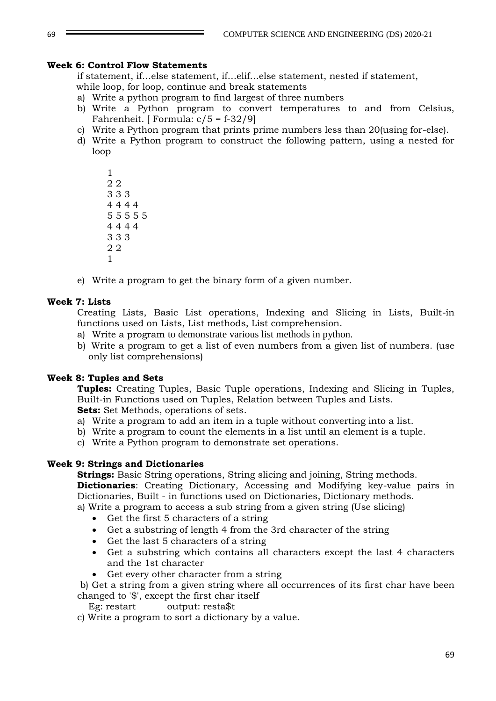### **Week 6: Control Flow Statements**

if statement, if…else statement, if…elif…else statement, nested if statement, while loop, for loop, continue and break statements

- a) Write a python program to find largest of three numbers
- b) Write a Python program to convert temperatures to and from Celsius, Fahrenheit. [ Formula:  $c/5 = f - 32/9$ ]
- c) Write a Python program that prints prime numbers less than 20(using for-else).
- d) Write a Python program to construct the following pattern, using a nested for loop

e) Write a program to get the binary form of a given number.

#### **Week 7: Lists**

Creating Lists, Basic List operations, Indexing and Slicing in Lists, Built-in functions used on Lists, List methods, List comprehension.

- a) Write a program to demonstrate various list methods in python.
- b) Write a program to get a list of even numbers from a given list of numbers. (use only list comprehensions)

### **Week 8: Tuples and Sets**

**Tuples:** Creating Tuples, Basic Tuple operations, Indexing and Slicing in Tuples, Built-in Functions used on Tuples, Relation between Tuples and Lists. **Sets:** Set Methods, operations of sets.

a) Write a program to add an item in a tuple without converting into a list.

- b) Write a program to count the elements in a list until an element is a tuple.
- c) Write a Python program to demonstrate set operations.

### **Week 9: Strings and Dictionaries**

**Strings:** Basic String operations, String slicing and joining, String methods. **Dictionaries**: Creating Dictionary, Accessing and Modifying key-value pairs in Dictionaries, Built - in functions used on Dictionaries, Dictionary methods. a) Write a program to access a sub string from a given string (Use slicing)

- Get the first 5 characters of a string
- Get a substring of length 4 from the 3rd character of the string
- Get the last 5 characters of a string
- Get a substring which contains all characters except the last 4 characters and the 1st character
- Get every other character from a string
- b) Get a string from a given string where all occurrences of its first char have been changed to '\$', except the first char itself

Eg: restart output: resta\$t

c) Write a program to sort a dictionary by a value.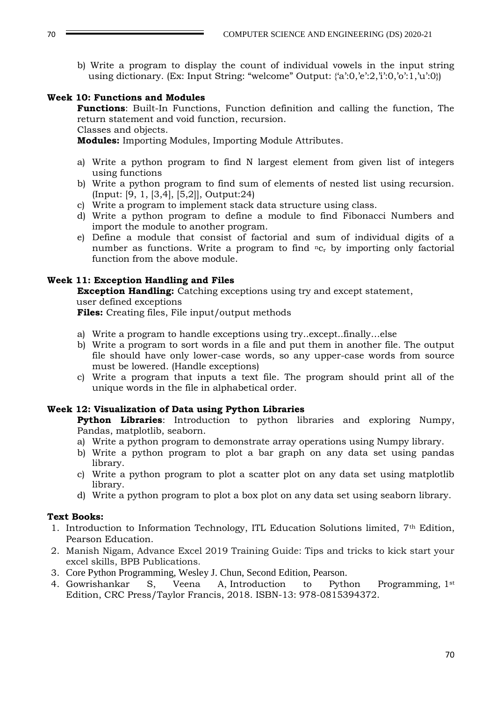b) Write a program to display the count of individual vowels in the input string using dictionary. (Ex: Input String: "welcome" Output: {'a':0,'e':2,'i':0,'o':1,'u':0})

### **Week 10: Functions and Modules**

**Functions**: Built-In Functions, Function definition and calling the function, The return statement and void function, recursion.

### Classes and objects.

**Modules:** Importing Modules, Importing Module Attributes.

- a) Write a python program to find N largest element from given list of integers using functions
- b) Write a python program to find sum of elements of nested list using recursion. (Input: [9, 1, [3,4], [5,2]], Output:24)
- c) Write a program to implement stack data structure using class.
- d) Write a python program to define a module to find Fibonacci Numbers and import the module to another program.
- e) Define a module that consist of factorial and sum of individual digits of a number as functions. Write a program to find  $nc_r$  by importing only factorial function from the above module.

### **Week 11: Exception Handling and Files**

**Exception Handling:** Catching exceptions using try and except statement, user defined exceptions

**Files:** Creating files, File input/output methods

- a) Write a program to handle exceptions using try..except..finally…else
- b) Write a program to sort words in a file and put them in another file. The output file should have only lower-case words, so any upper-case words from source must be lowered. (Handle exceptions)
- c) Write a program that inputs a text file. The program should print all of the unique words in the file in alphabetical order.

# **Week 12: Visualization of Data using Python Libraries**

**Python Libraries**: Introduction to python libraries and exploring Numpy, Pandas, matplotlib, seaborn.

- a) Write a python program to demonstrate array operations using Numpy library.
- b) Write a python program to plot a bar graph on any data set using pandas library.
- c) Write a python program to plot a scatter plot on any data set using matplotlib library.
- d) Write a python program to plot a box plot on any data set using seaborn library.

# **Text Books:**

- 1. Introduction to Information Technology, ITL Education Solutions limited, 7th Edition, Pearson Education.
- 2. Manish Nigam, Advance Excel 2019 Training Guide: Tips and tricks to kick start your excel skills, BPB Publications.
- 3. Core Python Programming, Wesley J. Chun, Second Edition, Pearson.
- 4. Gowrishankar S, Veena A, Introduction to Python Programming, 1<sup>st</sup> Edition, CRC Press/Taylor Francis, 2018. ISBN-13: 978-0815394372.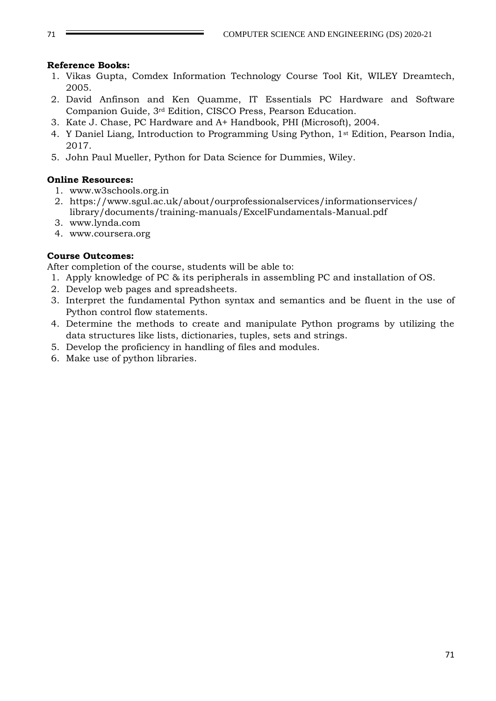### **Reference Books:**

- 1. Vikas Gupta, Comdex Information Technology Course Tool Kit, WILEY Dreamtech, 2005.
- 2. David Anfinson and Ken Quamme, IT Essentials PC Hardware and Software Companion Guide, 3rd Edition, CISCO Press, Pearson Education.
- 3. Kate J. Chase, PC Hardware and A+ Handbook, PHI (Microsoft), 2004.
- 4. Y Daniel Liang, Introduction to Programming Using Python, 1st Edition, Pearson India, 2017.
- 5. John Paul Mueller, Python for Data Science for Dummies, Wiley.

### **Online Resources:**

- 1. www.w3schools.org.in
- 2. https://www.sgul.ac.uk/about/ourprofessionalservices/informationservices/ library/documents/training-manuals/ExcelFundamentals-Manual.pdf
- 3. www.lynda.com
- 4. www.coursera.org

# **Course Outcomes:**

After completion of the course, students will be able to:

- 1. Apply knowledge of PC & its peripherals in assembling PC and installation of OS.
- 2. Develop web pages and spreadsheets.
- 3. Interpret the fundamental Python syntax and semantics and be fluent in the use of Python control flow statements.
- 4. Determine the methods to create and manipulate Python programs by utilizing the data structures like lists, dictionaries, tuples, sets and strings.
- 5. Develop the proficiency in handling of files and modules.
- 6. Make use of python libraries.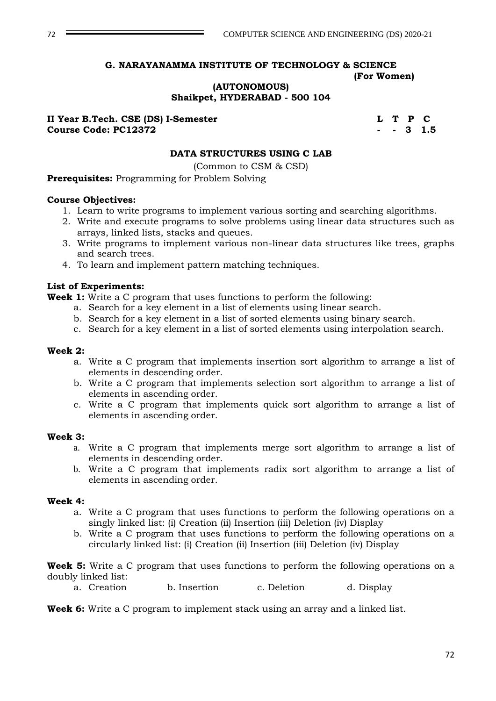### **(AUTONOMOUS) Shaikpet, HYDERABAD - 500 104**

**II Year B.Tech. CSE (DS) I-Semester L T P C Course Code: PC12372 - - 3 1.5**

### **DATA STRUCTURES USING C LAB**

(Common to CSM & CSD)

**Prerequisites:** Programming for Problem Solving

#### **Course Objectives:**

- 1. Learn to write programs to implement various sorting and searching algorithms.
- 2. Write and execute programs to solve problems using linear data structures such as arrays, linked lists, stacks and queues.
- 3. Write programs to implement various non-linear data structures like trees, graphs and search trees.
- 4. To learn and implement pattern matching techniques.

#### **List of Experiments:**

**Week 1:** Write a C program that uses functions to perform the following:

- a. Search for a key element in a list of elements using linear search.
- b. Search for a key element in a list of sorted elements using binary search.
- c. Search for a key element in a list of sorted elements using interpolation search.

#### **Week 2:**

- a. Write a C program that implements insertion sort algorithm to arrange a list of elements in descending order.
- b. Write a C program that implements selection sort algorithm to arrange a list of elements in ascending order.
- c. Write a C program that implements quick sort algorithm to arrange a list of elements in ascending order.

#### **Week 3:**

- a. Write a C program that implements merge sort algorithm to arrange a list of elements in descending order.
- b. Write a C program that implements radix sort algorithm to arrange a list of elements in ascending order.

#### **Week 4:**

- a. Write a C program that uses functions to perform the following operations on a singly linked list: (i) Creation (ii) Insertion (iii) Deletion (iv) Display
- b. Write a C program that uses functions to perform the following operations on a circularly linked list: (i) Creation (ii) Insertion (iii) Deletion (iv) Display

**Week 5:** Write a C program that uses functions to perform the following operations on a doubly linked list:

a. Creation b. Insertion c. Deletion d. Display

**Week 6:** Write a C program to implement stack using an array and a linked list.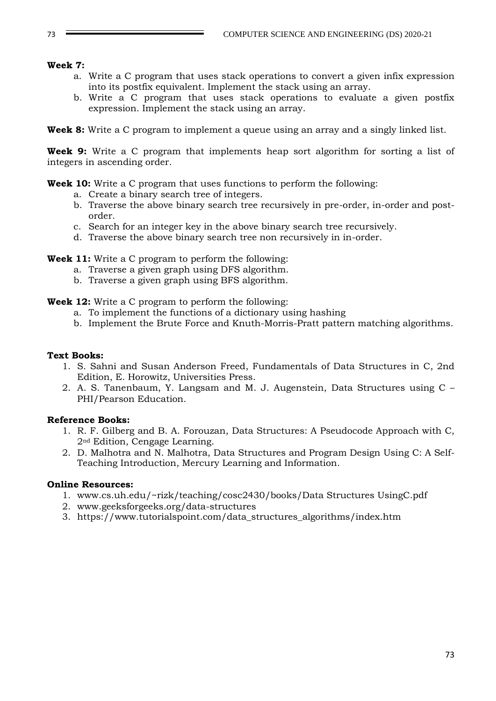#### **Week 7:**

- a. Write a C program that uses stack operations to convert a given infix expression into its postfix equivalent. Implement the stack using an array.
- b. Write a C program that uses stack operations to evaluate a given postfix expression. Implement the stack using an array.

**Week 8:** Write a C program to implement a queue using an array and a singly linked list.

**Week 9:** Write a C program that implements heap sort algorithm for sorting a list of integers in ascending order.

**Week 10:** Write a C program that uses functions to perform the following:

- a. Create a binary search tree of integers.
- b. Traverse the above binary search tree recursively in pre-order, in-order and postorder.
- c. Search for an integer key in the above binary search tree recursively.
- d. Traverse the above binary search tree non recursively in in-order.

**Week 11:** Write a C program to perform the following:

- a. Traverse a given graph using DFS algorithm.
- b. Traverse a given graph using BFS algorithm.

**Week 12:** Write a C program to perform the following:

- a. To implement the functions of a dictionary using hashing
- b. Implement the Brute Force and Knuth-Morris-Pratt pattern matching algorithms.

#### **Text Books:**

- 1. S. Sahni and Susan Anderson Freed, Fundamentals of Data Structures in C, 2nd Edition, E. Horowitz, Universities Press.
- 2. A. S. Tanenbaum, Y. Langsam and M. J. Augenstein, Data Structures using C PHI/Pearson Education.

## **Reference Books:**

- 1. R. F. Gilberg and B. A. Forouzan, Data Structures: A Pseudocode Approach with C, 2nd Edition, Cengage Learning.
- 2. D. Malhotra and N. Malhotra, Data Structures and Program Design Using C: A Self-Teaching Introduction, Mercury Learning and Information.

#### **Online Resources:**

- 1. www.cs.uh.edu/~rizk/teaching/cosc2430/books/Data Structures UsingC.pdf
- 2. www.geeksforgeeks.org/data-structures
- 3. https://www.tutorialspoint.com/data\_structures\_algorithms/index.htm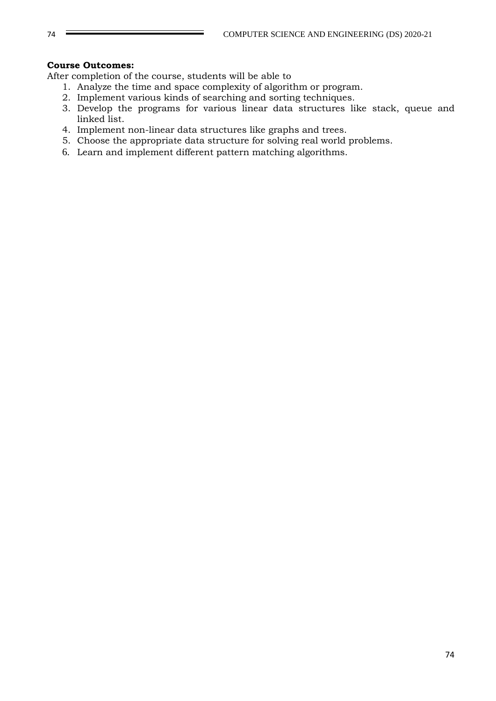### **Course Outcomes:**

- 1. Analyze the time and space complexity of algorithm or program.
- 2. Implement various kinds of searching and sorting techniques.
- 3. Develop the programs for various linear data structures like stack, queue and linked list.
- 4. Implement non-linear data structures like graphs and trees.
- 5. Choose the appropriate data structure for solving real world problems.
- 6. Learn and implement different pattern matching algorithms.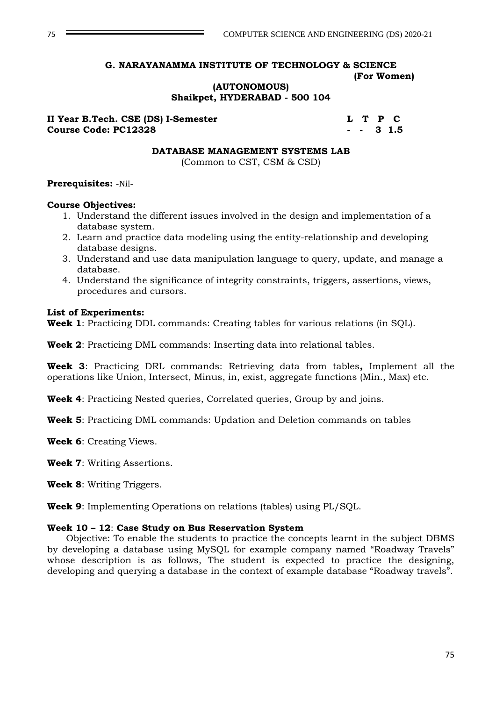### **(AUTONOMOUS) Shaikpet, HYDERABAD - 500 104**

**II Year B.Tech. CSE (DS) I-Semester L T P C Course Code: PC12328 - - 3 1.5**

#### **DATABASE MANAGEMENT SYSTEMS LAB**

(Common to CST, CSM & CSD)

#### **Prerequisites:** -Nil-

#### **Course Objectives:**

- 1. Understand the different issues involved in the design and implementation of a database system.
- 2. Learn and practice data modeling using the entity-relationship and developing database designs.
- 3. Understand and use data manipulation language to query, update, and manage a database.
- 4. Understand the significance of integrity constraints, triggers, assertions, views, procedures and cursors.

### **List of Experiments:**

**Week 1**: Practicing DDL commands: Creating tables for various relations (in SQL).

**Week 2**: Practicing DML commands: Inserting data into relational tables.

**Week 3**: Practicing DRL commands: Retrieving data from tables**,** Implement all the operations like Union, Intersect, Minus, in, exist, aggregate functions (Min., Max) etc.

**Week 4**: Practicing Nested queries, Correlated queries, Group by and joins.

**Week 5**: Practicing DML commands: Updation and Deletion commands on tables

**Week 6**: Creating Views.

**Week 7**: Writing Assertions.

**Week 8**: Writing Triggers.

**Week 9**: Implementing Operations on relations (tables) using PL/SQL.

## **Week 10 – 12**: **Case Study on Bus Reservation System**

Objective: To enable the students to practice the concepts learnt in the subject DBMS by developing a database using MySQL for example company named "Roadway Travels" whose description is as follows, The student is expected to practice the designing, developing and querying a database in the context of example database "Roadway travels".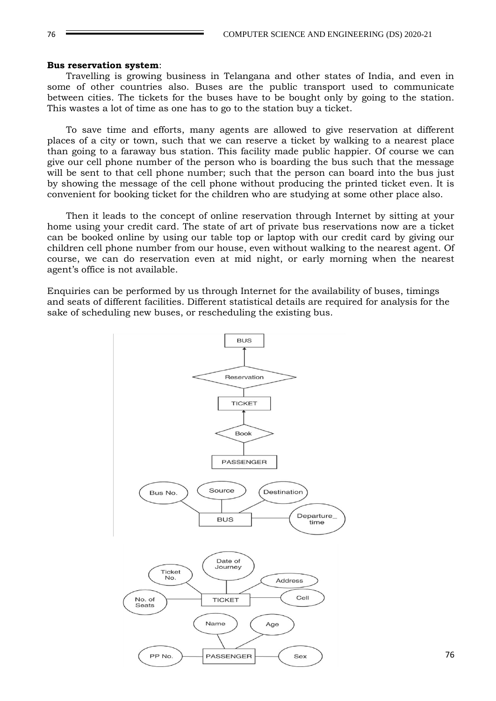#### **Bus reservation system**:

Travelling is growing business in Telangana and other states of India, and even in some of other countries also. Buses are the public transport used to communicate between cities. The tickets for the buses have to be bought only by going to the station. This wastes a lot of time as one has to go to the station buy a ticket.

To save time and efforts, many agents are allowed to give reservation at different places of a city or town, such that we can reserve a ticket by walking to a nearest place than going to a faraway bus station. This facility made public happier. Of course we can give our cell phone number of the person who is boarding the bus such that the message will be sent to that cell phone number; such that the person can board into the bus just by showing the message of the cell phone without producing the printed ticket even. It is convenient for booking ticket for the children who are studying at some other place also.

Then it leads to the concept of online reservation through Internet by sitting at your home using your credit card. The state of art of private bus reservations now are a ticket can be booked online by using our table top or laptop with our credit card by giving our children cell phone number from our house, even without walking to the nearest agent. Of course, we can do reservation even at mid night, or early morning when the nearest agent's office is not available.

Enquiries can be performed by us through Internet for the availability of buses, timings and seats of different facilities. Different statistical details are required for analysis for the sake of scheduling new buses, or rescheduling the existing bus.

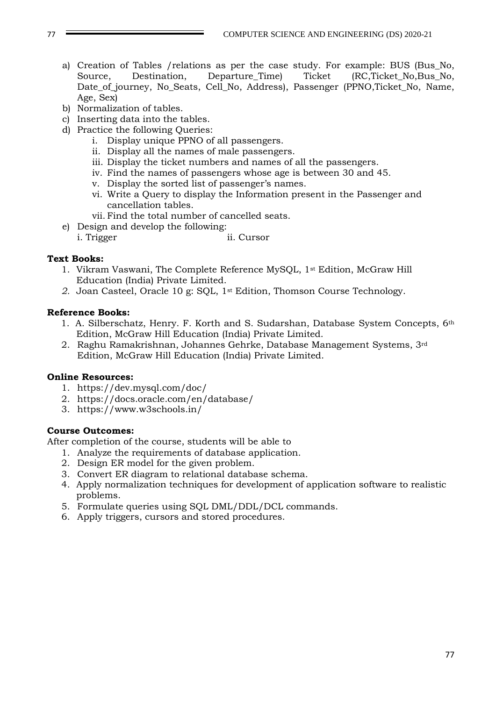- a) Creation of Tables /relations as per the case study. For example: BUS (Bus\_No, Source, Destination, Departure\_Time) Ticket (RC,Ticket\_No,Bus\_No, Date\_of\_journey, No\_Seats, Cell\_No, Address), Passenger (PPNO,Ticket\_No, Name, Age, Sex)
- b) Normalization of tables.
- c) Inserting data into the tables.
- d) Practice the following Queries:
	- i. Display unique PPNO of all passengers.
	- ii. Display all the names of male passengers.
	- iii. Display the ticket numbers and names of all the passengers.
	- iv. Find the names of passengers whose age is between 30 and 45.
	- v. Display the sorted list of passenger's names.
	- vi. Write a Query to display the Information present in the Passenger and cancellation tables.
	- vii. Find the total number of cancelled seats.
- e) Design and develop the following:
	- i. Trigger ii. Cursor

## **Text Books:**

- 1. Vikram Vaswani, The Complete Reference MySQL, 1st Edition, McGraw Hill Education (India) Private Limited.
- *2.* Joan Casteel, Oracle 10 g: SQL, 1st Edition, Thomson Course Technology.

## **Reference Books:**

- 1. A. Silberschatz, Henry. F. Korth and S. Sudarshan, Database System Concepts, 6th Edition, McGraw Hill Education (India) Private Limited.
- 2. Raghu Ramakrishnan, Johannes Gehrke, Database Management Systems, 3rd Edition, McGraw Hill Education (India) Private Limited.

## **Online Resources:**

- 1. https://dev.mysql.com/doc/
- 2. https://docs.oracle.com/en/database/
- 3. https://www.w3schools.in/

## **Course Outcomes:**

- 1. Analyze the requirements of database application.
- 2. Design ER model for the given problem.
- 3. Convert ER diagram to relational database schema.
- 4. Apply normalization techniques for development of application software to realistic problems.
- 5. Formulate queries using SQL DML/DDL/DCL commands.
- 6. Apply triggers, cursors and stored procedures.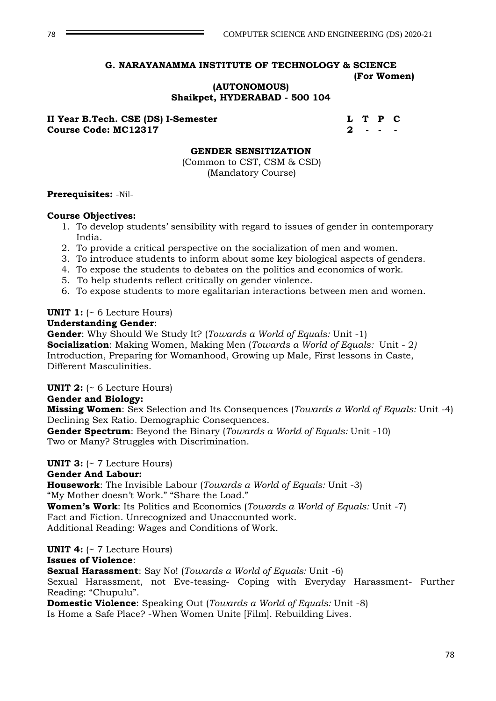## **(AUTONOMOUS) Shaikpet, HYDERABAD - 500 104**

**II Year B.Tech. CSE (DS) I-Semester L T P C Course Code: MC12317 2 2** 

### **GENDER SENSITIZATION**

(Common to CST, CSM & CSD) (Mandatory Course)

### **Prerequisites:** -Nil-

### **Course Objectives:**

- 1. To develop students' sensibility with regard to issues of gender in contemporary India.
- 2. To provide a critical perspective on the socialization of men and women.
- 3. To introduce students to inform about some key biological aspects of genders.
- 4. To expose the students to debates on the politics and economics of work.
- 5. To help students reflect critically on gender violence.
- 6. To expose students to more egalitarian interactions between men and women.

## **UNIT 1:** (~ 6 Lecture Hours)

#### **Understanding Gender**:

**Gender**: Why Should We Study It? (*Towards a World of Equals:* Unit -1)

**Socialization**: Making Women, Making Men (*Towards a World of Equals:* Unit - 2*)* Introduction, Preparing for Womanhood, Growing up Male, First lessons in Caste, Different Masculinities.

**UNIT 2:** (~ 6 Lecture Hours)

## **Gender and Biology:**

**Missing Women**: Sex Selection and Its Consequences (*Towards a World of Equals:* Unit -4) Declining Sex Ratio. Demographic Consequences.

**Gender Spectrum**: Beyond the Binary (*Towards a World of Equals:* Unit -10) Two or Many? Struggles with Discrimination.

## **UNIT 3:** (~ 7 Lecture Hours)

## **Gender And Labour:**

**Housework**: The Invisible Labour (*Towards a World of Equals:* Unit -3) "My Mother doesn't Work." "Share the Load." **Women's Work**: Its Politics and Economics (*Towards a World of Equals:* Unit -7) Fact and Fiction. Unrecognized and Unaccounted work.

Additional Reading: Wages and Conditions of Work.

## **UNIT 4:** (~ 7 Lecture Hours)

## **Issues of Violence**:

**Sexual Harassment**: Say No! (*Towards a World of Equals:* Unit -6)

Sexual Harassment, not Eve-teasing- Coping with Everyday Harassment- Further Reading: "Chupulu".

**Domestic Violence**: Speaking Out (*Towards a World of Equals:* Unit -8) Is Home a Safe Place? -When Women Unite [Film]. Rebuilding Lives.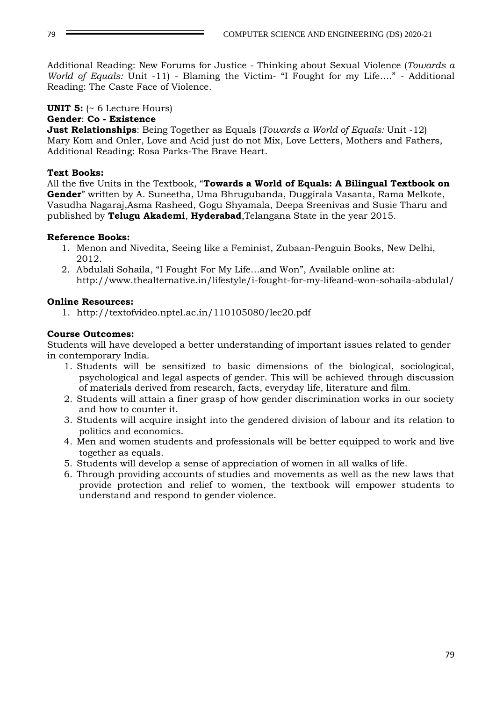Additional Reading: New Forums for Justice - Thinking about Sexual Violence (*Towards a World of Equals:* Unit -11) - Blaming the Victim- "I Fought for my Life…." - Additional Reading: The Caste Face of Violence.

# **UNIT 5:** (~ 6 Lecture Hours)

## **Gender**: **Co - Existence**

**Just Relationships**: Being Together as Equals (*Towards a World of Equals:* Unit -12) Mary Kom and Onler, Love and Acid just do not Mix, Love Letters, Mothers and Fathers, Additional Reading: Rosa Parks-The Brave Heart.

## **Text Books:**

All the five Units in the Textbook, "**Towards a World of Equals: A Bilingual Textbook on Gender**" written by A. Suneetha, Uma Bhrugubanda, Duggirala Vasanta, Rama Melkote, Vasudha Nagaraj,Asma Rasheed, Gogu Shyamala, Deepa Sreenivas and Susie Tharu and published by **Telugu Akademi**, **Hyderabad**,Telangana State in the year 2015.

## **Reference Books:**

- 1. Menon and Nivedita, Seeing like a Feminist, Zubaan-Penguin Books, New Delhi, 2012.
- 2. Abdulali Sohaila, "I Fought For My Life…and Won", Available online at: http://www.thealternative.in/lifestyle/i-fought-for-my-lifeand-won-sohaila-abdulal/

## **Online Resources:**

1. http://textofvideo.nptel.ac.in/110105080/lec20.pdf

## **Course Outcomes:**

Students will have developed a better understanding of important issues related to gender in contemporary India.

- 1. Students will be sensitized to basic dimensions of the biological, sociological, psychological and legal aspects of gender. This will be achieved through discussion of materials derived from research, facts, everyday life, literature and film.
- 2. Students will attain a finer grasp of how gender discrimination works in our society and how to counter it.
- 3. Students will acquire insight into the gendered division of labour and its relation to politics and economics.
- 4. Men and women students and professionals will be better equipped to work and live together as equals.
- 5. Students will develop a sense of appreciation of women in all walks of life.
- 6. Through providing accounts of studies and movements as well as the new laws that provide protection and relief to women, the textbook will empower students to understand and respond to gender violence.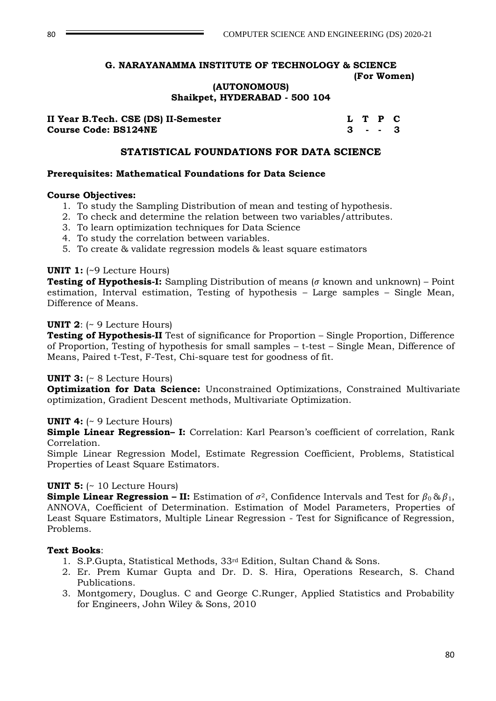## **(AUTONOMOUS) Shaikpet, HYDERABAD - 500 104**

| II Year B.Tech. CSE (DS) II-Semester |  | L T P C   |  |
|--------------------------------------|--|-----------|--|
| <b>Course Code: BS124NE</b>          |  | $3 - - 3$ |  |

### **STATISTICAL FOUNDATIONS FOR DATA SCIENCE**

### **Prerequisites: Mathematical Foundations for Data Science**

### **Course Objectives:**

- 1. To study the Sampling Distribution of mean and testing of hypothesis.
- 2. To check and determine the relation between two variables/attributes.
- 3. To learn optimization techniques for Data Science
- 4. To study the correlation between variables.
- 5. To create & validate regression models & least square estimators

### **UNIT 1:** (~9 Lecture Hours)

**Testing of Hypothesis-I:** Sampling Distribution of means ( $\sigma$  known and unknown) – Point estimation, Interval estimation, Testing of hypothesis – Large samples – Single Mean, Difference of Means.

### **UNIT 2**: (~ 9 Lecture Hours)

**Testing of Hypothesis-II** Test of significance for Proportion – Single Proportion, Difference of Proportion, Testing of hypothesis for small samples – t-test – Single Mean, Difference of Means, Paired t-Test, F-Test, Chi-square test for goodness of fit.

## **UNIT 3:** (~ 8 Lecture Hours)

**Optimization for Data Science:** Unconstrained Optimizations, Constrained Multivariate optimization, Gradient Descent methods, Multivariate Optimization.

## **UNIT 4:** (~ 9 Lecture Hours)

**Simple Linear Regression– I:** Correlation: Karl Pearson's coefficient of correlation, Rank Correlation.

Simple Linear Regression Model, Estimate Regression Coefficient, Problems, Statistical Properties of Least Square Estimators.

## **UNIT 5:** (~ 10 Lecture Hours)

**Simple Linear Regression – II:** Estimation of  $\sigma^2$ , Confidence Intervals and Test for  $\beta_0 \& \beta_1$ , ANNOVA, Coefficient of Determination. Estimation of Model Parameters, Properties of Least Square Estimators, Multiple Linear Regression - Test for Significance of Regression, Problems.

## **Text Books**:

- 1. S.P.Gupta, Statistical Methods, 33rd Edition, Sultan Chand & Sons.
- 2. Er. Prem Kumar Gupta and Dr. D. S. Hira, Operations Research, S. Chand Publications.
- 3. Montgomery, Douglus. C and George C.Runger, Applied Statistics and Probability for Engineers, John Wiley & Sons, 2010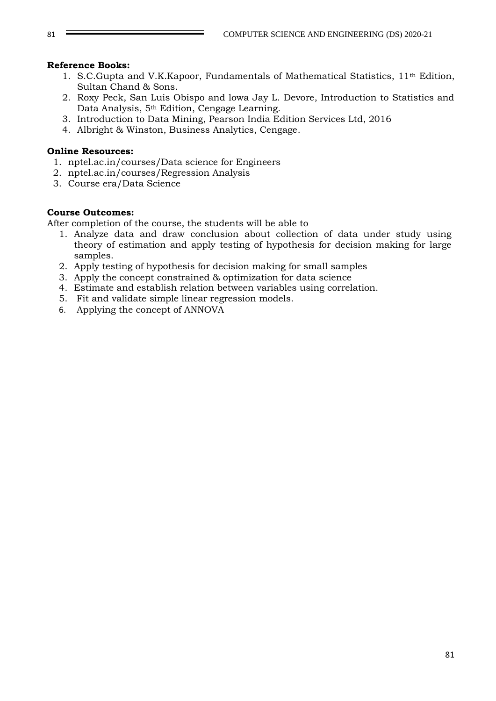#### **Reference Books:**

- 1. S.C.Gupta and V.K.Kapoor, Fundamentals of Mathematical Statistics,  $11<sup>th</sup>$  Edition, Sultan Chand & Sons.
- 2. Roxy Peck, San Luis Obispo and lowa Jay L. Devore, Introduction to Statistics and Data Analysis, 5th Edition, Cengage Learning.
- 3. Introduction to Data Mining, Pearson India Edition Services Ltd, 2016
- 4. Albright & Winston, Business Analytics, Cengage.

#### **Online Resources:**

- 1. nptel.ac.in/courses/Data science for Engineers
- 2. nptel.ac.in/courses/Regression Analysis
- 3. Course era/Data Science

### **Course Outcomes:**

- 1. Analyze data and draw conclusion about collection of data under study using theory of estimation and apply testing of hypothesis for decision making for large samples.
- 2. Apply testing of hypothesis for decision making for small samples
- 3. Apply the concept constrained & optimization for data science
- 4. Estimate and establish relation between variables using correlation.
- 5. Fit and validate simple linear regression models.
- 6. Applying the concept of ANNOVA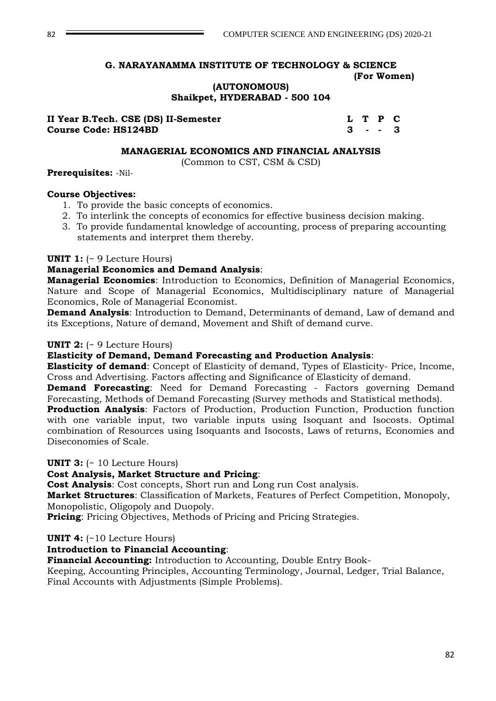## **(AUTONOMOUS) Shaikpet, HYDERABAD - 500 104**

| II Year B.Tech. CSE (DS) II-Semester |  | L T P C |  |
|--------------------------------------|--|---------|--|
| <b>Course Code: HS124BD</b>          |  | 3 - - 3 |  |

#### **MANAGERIAL ECONOMICS AND FINANCIAL ANALYSIS**

(Common to CST, CSM & CSD)

#### **Prerequisites:** -Nil-

#### **Course Objectives:**

- 1. To provide the basic concepts of economics.
- 2. To interlink the concepts of economics for effective business decision making.
- 3. To provide fundamental knowledge of accounting, process of preparing accounting statements and interpret them thereby.

### **UNIT 1:** (~ 9 Lecture Hours)

## **Managerial Economics and Demand Analysis**:

**Managerial Economics**: Introduction to Economics, Definition of Managerial Economics, Nature and Scope of Managerial Economics, Multidisciplinary nature of Managerial Economics, Role of Managerial Economist.

**Demand Analysis**: Introduction to Demand, Determinants of demand, Law of demand and its Exceptions, Nature of demand, Movement and Shift of demand curve.

### **UNIT 2:** (~ 9 Lecture Hours)

#### **Elasticity of Demand, Demand Forecasting and Production Analysis**:

**Elasticity of demand**: Concept of Elasticity of demand, Types of Elasticity- Price, Income, Cross and Advertising. Factors affecting and Significance of Elasticity of demand.

**Demand Forecasting**: Need for Demand Forecasting - Factors governing Demand Forecasting, Methods of Demand Forecasting (Survey methods and Statistical methods).

**Production Analysis**: Factors of Production, Production Function, Production function with one variable input, two variable inputs using Isoquant and Isocosts. Optimal combination of Resources using Isoquants and Isocosts, Laws of returns, Economies and Diseconomies of Scale.

#### **UNIT 3:** (~ 10 Lecture Hours)

## **Cost Analysis, Market Structure and Pricing**:

**Cost Analysis**: Cost concepts, Short run and Long run Cost analysis.

**Market Structures**: Classification of Markets, Features of Perfect Competition, Monopoly, Monopolistic, Oligopoly and Duopoly.

**Pricing**: Pricing Objectives, Methods of Pricing and Pricing Strategies.

#### **UNIT 4:** (~10 Lecture Hours)

## **Introduction to Financial Accounting**:

**Financial Accounting:** Introduction to Accounting, Double Entry Book-

Keeping, Accounting Principles, Accounting Terminology, Journal, Ledger, Trial Balance, Final Accounts with Adjustments (Simple Problems).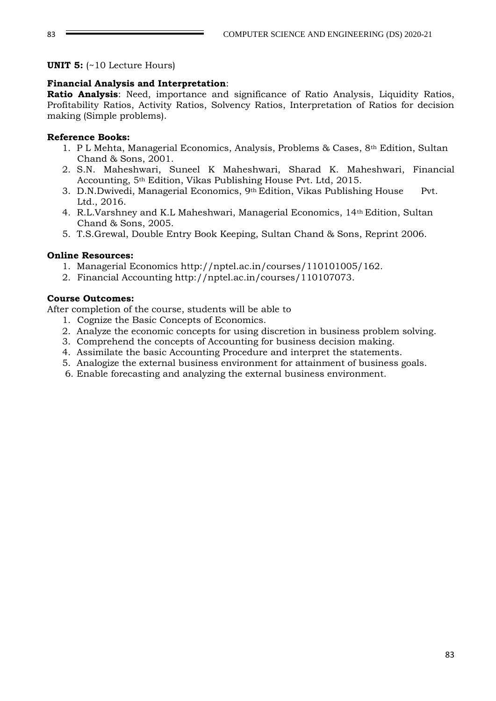**UNIT 5:** (~10 Lecture Hours)

### **Financial Analysis and Interpretation**:

**Ratio Analysis**: Need, importance and significance of Ratio Analysis, Liquidity Ratios, Profitability Ratios, Activity Ratios, Solvency Ratios, Interpretation of Ratios for decision making (Simple problems).

### **Reference Books:**

- 1. P L Mehta, Managerial Economics, Analysis, Problems & Cases, 8th Edition, Sultan Chand & Sons, 2001.
- 2. S.N. Maheshwari, Suneel K Maheshwari, Sharad K. Maheshwari, Financial Accounting, 5th Edition, Vikas Publishing House Pvt. Ltd, 2015.
- 3. D.N.Dwivedi, Managerial Economics, 9th Edition, Vikas Publishing House Pvt. Ltd., 2016.
- 4. R.L.Varshney and K.L Maheshwari, Managerial Economics, 14th Edition, Sultan Chand & Sons, 2005.
- 5. T.S.Grewal, Double Entry Book Keeping, Sultan Chand & Sons, Reprint 2006.

### **Online Resources:**

- 1. Managerial Economics http://nptel.ac.in/courses/110101005/162.
- 2. Financial Accounting http://nptel.ac.in/courses/110107073.

### **Course Outcomes:**

- 1. Cognize the Basic Concepts of Economics.
- 2. Analyze the economic concepts for using discretion in business problem solving.
- 3. Comprehend the concepts of Accounting for business decision making.
- 4. Assimilate the basic Accounting Procedure and interpret the statements.
- 5. Analogize the external business environment for attainment of business goals.
- 6. Enable forecasting and analyzing the external business environment.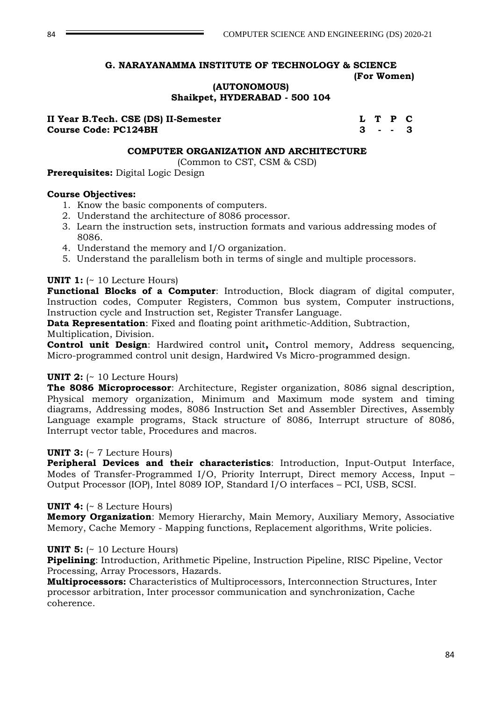**(AUTONOMOUS)**

**Shaikpet, HYDERABAD - 500 104**

| II Year B.Tech. CSE (DS) II-Semester |  | L T P C |  |
|--------------------------------------|--|---------|--|
| <b>Course Code: PC124BH</b>          |  | 3 - - 3 |  |

#### **COMPUTER ORGANIZATION AND ARCHITECTURE**

(Common to CST, CSM & CSD)

**Prerequisites:** Digital Logic Design

#### **Course Objectives:**

- 1. Know the basic components of computers.
- 2. Understand the architecture of 8086 processor.
- 3. Learn the instruction sets, instruction formats and various addressing modes of 8086.
- 4. Understand the memory and I/O organization.
- 5. Understand the parallelism both in terms of single and multiple processors.

#### **UNIT 1:** (~ 10 Lecture Hours)

**Functional Blocks of a Computer**: Introduction, Block diagram of digital computer, Instruction codes, Computer Registers, Common bus system, Computer instructions, Instruction cycle and Instruction set, Register Transfer Language.

**Data Representation**: Fixed and floating point arithmetic-Addition, Subtraction, Multiplication, Division.

**Control unit Design**: Hardwired control unit**,** Control memory, Address sequencing, Micro-programmed control unit design, Hardwired Vs Micro-programmed design.

#### **UNIT 2:** (~ 10 Lecture Hours)

**The 8086 Microprocessor**: Architecture, Register organization, 8086 signal description, Physical memory organization, Minimum and Maximum mode system and timing diagrams, Addressing modes, 8086 Instruction Set and Assembler Directives, Assembly Language example programs, Stack structure of 8086, Interrupt structure of 8086, Interrupt vector table, Procedures and macros.

#### **UNIT 3:** (~ 7 Lecture Hours)

**Peripheral Devices and their characteristics**: Introduction, Input-Output Interface, Modes of Transfer-Programmed I/O, Priority Interrupt, Direct memory Access, Input – Output Processor (IOP), Intel 8089 IOP, Standard I/O interfaces – PCI, USB, SCSI.

#### **UNIT 4:** (~ 8 Lecture Hours)

**Memory Organization**: Memory Hierarchy, Main Memory, Auxiliary Memory, Associative Memory, Cache Memory - Mapping functions, Replacement algorithms, Write policies.

#### **UNIT 5:** (~ 10 Lecture Hours)

**Pipelining**: Introduction, Arithmetic Pipeline, Instruction Pipeline, RISC Pipeline, Vector Processing, Array Processors, Hazards.

**Multiprocessors:** Characteristics of Multiprocessors, Interconnection Structures, Inter processor arbitration, Inter processor communication and synchronization, Cache coherence.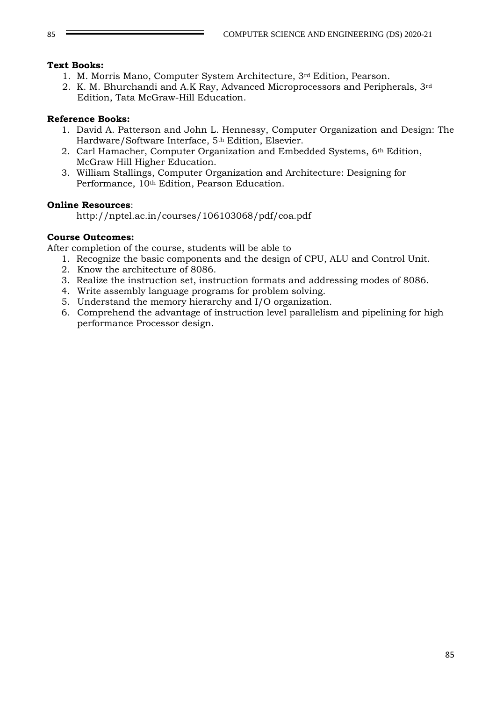## **Text Books:**

- 1. M. Morris Mano, Computer System Architecture, 3rd Edition, Pearson.
- 2. K. M. Bhurchandi and A.K Ray, Advanced Microprocessors and Peripherals, 3rd Edition, Tata McGraw-Hill Education.

## **Reference Books:**

- 1. David A. Patterson and John L. Hennessy, Computer Organization and Design: The Hardware/Software Interface, 5th Edition, Elsevier.
- 2. Carl Hamacher, Computer Organization and Embedded Systems, 6th Edition, McGraw Hill Higher Education.
- 3. William Stallings, Computer Organization and Architecture: Designing for Performance, 10<sup>th</sup> Edition, Pearson Education.

## **Online Resources**:

http://nptel.ac.in/courses/106103068/pdf/coa.pdf

## **Course Outcomes:**

- 1. Recognize the basic components and the design of CPU, ALU and Control Unit.
- 2. Know the architecture of 8086.
- 3. Realize the instruction set, instruction formats and addressing modes of 8086.
- 4. Write assembly language programs for problem solving.
- 5. Understand the memory hierarchy and I/O organization.
- 6. Comprehend the advantage of instruction level parallelism and pipelining for high performance Processor design.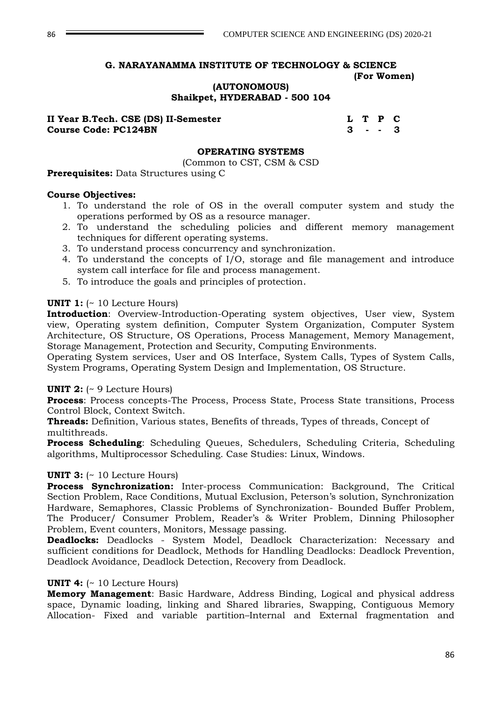## **(AUTONOMOUS) Shaikpet, HYDERABAD - 500 104**

**II Year B.Tech. CSE (DS) II-Semester L T P C Course Code: PC124BN 3 - - 3**

#### **OPERATING SYSTEMS**

(Common to CST, CSM & CSD

**Prerequisites:** Data Structures using C

#### **Course Objectives:**

- 1. To understand the role of OS in the overall computer system and study the operations performed by OS as a resource manager.
- 2. To understand the scheduling policies and different memory management techniques for different operating systems.
- 3. To understand process concurrency and synchronization.
- 4. To understand the concepts of I/O, storage and file management and introduce system call interface for file and process management.
- 5. To introduce the goals and principles of protection.

#### **UNIT 1:** (~ 10 Lecture Hours)

**Introduction**: Overview-Introduction-Operating system objectives, User view, System view, Operating system definition, Computer System Organization, Computer System Architecture, OS Structure, OS Operations, Process Management, Memory Management, Storage Management, Protection and Security, Computing Environments.

Operating System services, User and OS Interface, System Calls, Types of System Calls, System Programs, Operating System Design and Implementation, OS Structure.

#### **UNIT 2:** (~ 9 Lecture Hours)

**Process**: Process concepts-The Process, Process State, Process State transitions, Process Control Block, Context Switch.

**Threads:** Definition, Various states, Benefits of threads, Types of threads, Concept of multithreads.

**Process Scheduling**: Scheduling Queues, Schedulers, Scheduling Criteria, Scheduling algorithms, Multiprocessor Scheduling. Case Studies: Linux, Windows.

#### **UNIT 3:** (~ 10 Lecture Hours)

**Process Synchronization:** Inter-process Communication: Background, The Critical Section Problem, Race Conditions, Mutual Exclusion, Peterson's solution, Synchronization Hardware, Semaphores, Classic Problems of Synchronization- Bounded Buffer Problem, The Producer/ Consumer Problem, Reader's & Writer Problem, Dinning Philosopher Problem, Event counters, Monitors, Message passing.

**Deadlocks:** Deadlocks - System Model, Deadlock Characterization: Necessary and sufficient conditions for Deadlock, Methods for Handling Deadlocks: Deadlock Prevention, Deadlock Avoidance, Deadlock Detection, Recovery from Deadlock.

#### **UNIT 4:** (~ 10 Lecture Hours)

**Memory Management**: Basic Hardware, Address Binding, Logical and physical address space, Dynamic loading, linking and Shared libraries, Swapping, Contiguous Memory Allocation- Fixed and variable partition–Internal and External fragmentation and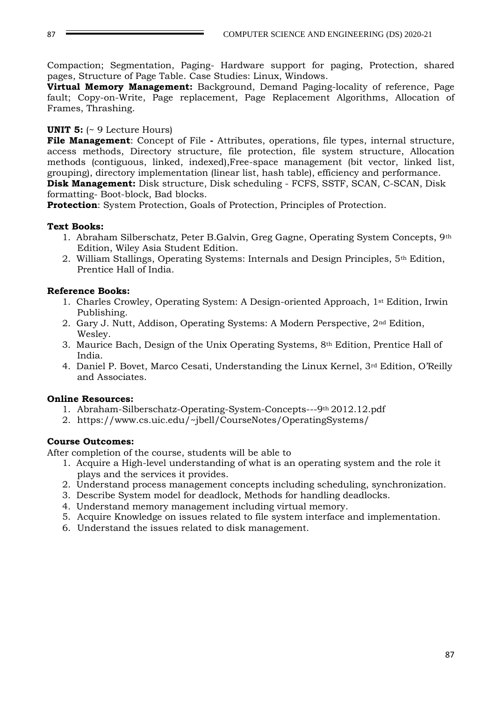87 COMPUTER SCIENCE AND ENGINEERING (DS) 2020-21

Compaction; Segmentation, Paging- Hardware support for paging, Protection, shared pages, Structure of Page Table. Case Studies: Linux, Windows.

**Virtual Memory Management:** Background, Demand Paging-locality of reference, Page fault; Copy-on-Write, Page replacement, Page Replacement Algorithms, Allocation of Frames, Thrashing.

## **UNIT 5:** (~ 9 Lecture Hours)

**File Management**: Concept of File **-** Attributes, operations, file types, internal structure, access methods, Directory structure, file protection, file system structure, Allocation methods (contiguous, linked, indexed),Free-space management (bit vector, linked list, grouping), directory implementation (linear list, hash table), efficiency and performance. **Disk Management:** Disk structure, Disk scheduling - FCFS, SSTF, SCAN, C-SCAN, Disk formatting- Boot-block, Bad blocks.

**Protection**: System Protection, Goals of Protection, Principles of Protection.

## **Text Books:**

- 1. Abraham Silberschatz, Peter B.Galvin, Greg Gagne, Operating System Concepts, 9th Edition, Wiley Asia Student Edition.
- 2. William Stallings, Operating Systems: Internals and Design Principles, 5th Edition, Prentice Hall of India.

## **Reference Books:**

- 1. Charles Crowley, Operating System: A Design-oriented Approach, 1st Edition, Irwin Publishing.
- 2. Gary J. Nutt, Addison, Operating Systems: A Modern Perspective, 2nd Edition, Wesley.
- 3. Maurice Bach, Design of the Unix Operating Systems,  $8<sup>th</sup>$  Edition, Prentice Hall of India.
- 4. Daniel P. Bovet, Marco Cesati, Understanding the Linux Kernel, 3rd Edition, O'Reilly and Associates.

## **Online Resources:**

- 1. Abraham-Silberschatz-Operating-System-Concepts---9th 2012.12.pdf
- 2. https://www.cs.uic.edu/~jbell/CourseNotes/OperatingSystems/

## **Course Outcomes:**

- 1. Acquire a High-level understanding of what is an operating system and the role it plays and the services it provides.
- 2. Understand process management concepts including scheduling, synchronization.
- 3. Describe System model for deadlock, Methods for handling deadlocks.
- 4. Understand memory management including virtual memory.
- 5. Acquire Knowledge on issues related to file system interface and implementation.
- 6. Understand the issues related to disk management.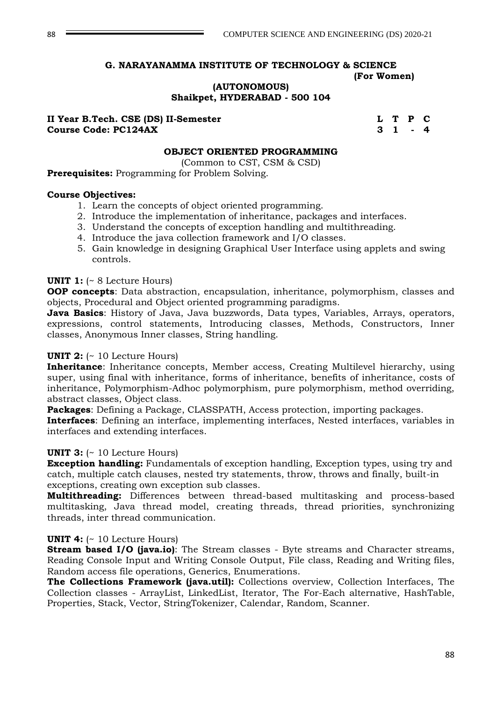**(AUTONOMOUS) Shaikpet, HYDERABAD - 500 104**

#### **II Year B.Tech. CSE (DS) II-Semester L T P C Course Code: PC124AX 3 1**

### **OBJECT ORIENTED PROGRAMMING**

(Common to CST, CSM & CSD)

**Prerequisites:** Programming for Problem Solving.

### **Course Objectives:**

- 1. Learn the concepts of object oriented programming.
- 2. Introduce the implementation of inheritance, packages and interfaces.
- 3. Understand the concepts of exception handling and multithreading.
- 4. Introduce the java collection framework and I/O classes.
- 5. Gain knowledge in designing Graphical User Interface using applets and swing controls.

### **UNIT 1:** (~ 8 Lecture Hours)

**OOP concepts**: Data abstraction, encapsulation, inheritance, polymorphism, classes and objects, Procedural and Object oriented programming paradigms.

**Java Basics**: History of Java, Java buzzwords, Data types, Variables, Arrays, operators, expressions, control statements, Introducing classes, Methods, Constructors, Inner classes, Anonymous Inner classes, String handling.

## **UNIT 2:** (~ 10 Lecture Hours)

**Inheritance**: Inheritance concepts, Member access, Creating Multilevel hierarchy, using super, using final with inheritance, forms of inheritance, benefits of inheritance, costs of inheritance, Polymorphism-Adhoc polymorphism, pure polymorphism, method overriding, abstract classes, Object class.

**Packages**: Defining a Package, CLASSPATH, Access protection, importing packages.

**Interfaces**: Defining an interface, implementing interfaces, Nested interfaces, variables in interfaces and extending interfaces.

## **UNIT 3:** (~ 10 Lecture Hours)

**Exception handling:** Fundamentals of exception handling, Exception types, using try and catch, multiple catch clauses, nested try statements, throw, throws and finally, built-in exceptions, creating own exception sub classes.

**Multithreading:** Differences between thread-based multitasking and process-based multitasking, Java thread model, creating threads, thread priorities, synchronizing threads, inter thread communication.

## **UNIT 4:** (~ 10 Lecture Hours)

**Stream based I/O (java.io)**: The Stream classes - Byte streams and Character streams, Reading Console Input and Writing Console Output, File class, Reading and Writing files, Random access file operations, Generics, Enumerations.

**The Collections Framework (java.util):** Collections overview, Collection Interfaces, The Collection classes - ArrayList, LinkedList, Iterator, The For-Each alternative, HashTable, Properties, Stack, Vector, StringTokenizer, Calendar, Random, Scanner.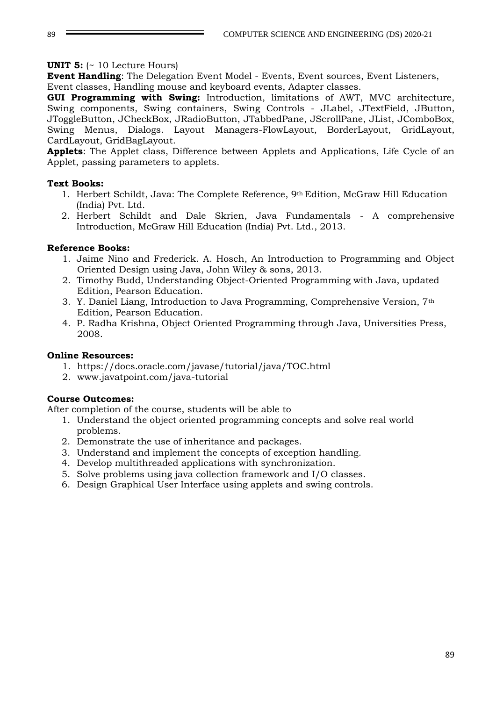### **UNIT 5:** (~ 10 Lecture Hours)

**Event Handling**: The Delegation Event Model - Events, Event sources, Event Listeners, Event classes, Handling mouse and keyboard events, Adapter classes.

**GUI Programming with Swing:** Introduction, limitations of AWT, MVC architecture, Swing components, Swing containers, Swing Controls - JLabel, JTextField, JButton, JToggleButton, JCheckBox, JRadioButton, JTabbedPane, JScrollPane, JList, JComboBox, Swing Menus, Dialogs. Layout Managers-FlowLayout, BorderLayout, GridLayout, CardLayout, GridBagLayout.

**Applets**: The Applet class, Difference between Applets and Applications, Life Cycle of an Applet, passing parameters to applets.

### **Text Books:**

- 1. Herbert Schildt, Java: The Complete Reference, 9th Edition, McGraw Hill Education (India) Pvt. Ltd.
- 2. Herbert Schildt and Dale Skrien, Java Fundamentals A comprehensive Introduction, McGraw Hill Education (India) Pvt. Ltd., 2013.

### **Reference Books:**

- 1. Jaime Nino and Frederick. A. Hosch, An Introduction to Programming and Object Oriented Design using Java, John Wiley & sons, 2013.
- 2. Timothy Budd, Understanding Object-Oriented Programming with Java, updated Edition, Pearson Education.
- 3. Y. Daniel Liang, Introduction to Java Programming, Comprehensive Version, 7th Edition, Pearson Education.
- 4. P. Radha Krishna, Object Oriented Programming through Java, Universities Press, 2008.

#### **Online Resources:**

- 1. https://docs.oracle.com/javase/tutorial/java/TOC.html
- 2. www.javatpoint.com/java-tutorial

#### **Course Outcomes:**

- 1. Understand the object oriented programming concepts and solve real world problems.
- 2. Demonstrate the use of inheritance and packages.
- 3. Understand and implement the concepts of exception handling.
- 4. Develop multithreaded applications with synchronization.
- 5. Solve problems using java collection framework and I/O classes.
- 6. Design Graphical User Interface using applets and swing controls.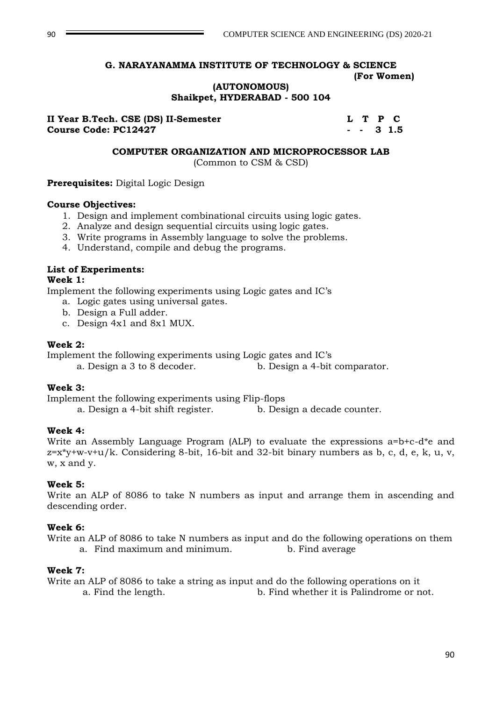## **(AUTONOMOUS) Shaikpet, HYDERABAD - 500 104**

**II Year B.Tech. CSE (DS) II-Semester L T P C Course Code: PC12427 - - 3 1.5**

#### **COMPUTER ORGANIZATION AND MICROPROCESSOR LAB**

(Common to CSM & CSD)

**Prerequisites:** Digital Logic Design

#### **Course Objectives:**

- 1. Design and implement combinational circuits using logic gates.
- 2. Analyze and design sequential circuits using logic gates.
- 3. Write programs in Assembly language to solve the problems.
- 4. Understand, compile and debug the programs.

### **List of Experiments:**

### **Week 1:**

Implement the following experiments using Logic gates and IC's

- a. Logic gates using universal gates.
- b. Design a Full adder.
- c. Design 4x1 and 8x1 MUX.

### **Week 2:**

Implement the following experiments using Logic gates and IC's

a. Design a 3 to 8 decoder. b. Design a 4-bit comparator.

#### **Week 3:**

Implement the following experiments using Flip-flops

a. Design a 4-bit shift register. b. Design a decade counter.

## **Week 4:**

Write an Assembly Language Program (ALP) to evaluate the expressions a=b+c-d\*e and  $z=x*y+w-v+u/k$ . Considering 8-bit, 16-bit and 32-bit binary numbers as b, c, d, e, k, u, v, w, x and y.

## **Week 5:**

Write an ALP of 8086 to take N numbers as input and arrange them in ascending and descending order.

## **Week 6:**

Write an ALP of 8086 to take N numbers as input and do the following operations on them a. Find maximum and minimum. b. Find average

#### **Week 7:**

Write an ALP of 8086 to take a string as input and do the following operations on it a. Find the length. b. Find whether it is Palindrome or not.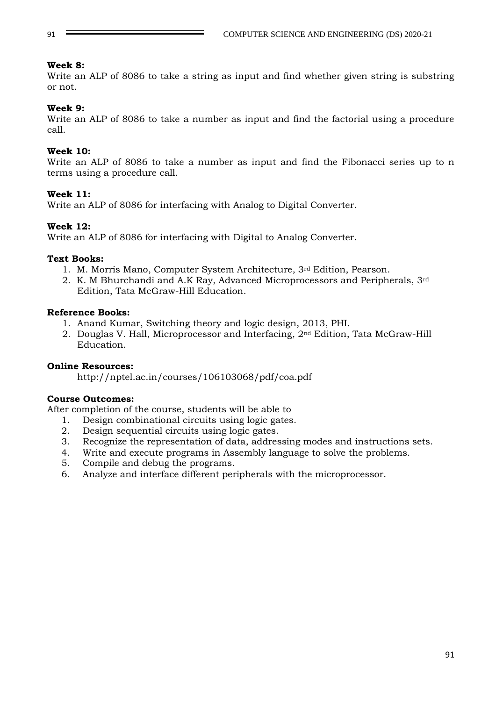## **Week 8:**

Write an ALP of 8086 to take a string as input and find whether given string is substring or not.

## **Week 9:**

Write an ALP of 8086 to take a number as input and find the factorial using a procedure call.

### **Week 10:**

Write an ALP of 8086 to take a number as input and find the Fibonacci series up to n terms using a procedure call.

### **Week 11:**

Write an ALP of 8086 for interfacing with Analog to Digital Converter.

### **Week 12:**

Write an ALP of 8086 for interfacing with Digital to Analog Converter.

### **Text Books:**

- 1. M. Morris Mano, Computer System Architecture, 3rd Edition, Pearson.
- 2. K. M Bhurchandi and A.K Ray, Advanced Microprocessors and Peripherals, 3rd Edition, Tata McGraw-Hill Education.

### **Reference Books:**

- 1. Anand Kumar, Switching theory and logic design, 2013, PHI.
- 2. Douglas V. Hall, Microprocessor and Interfacing, 2nd Edition, Tata McGraw-Hill Education.

#### **Online Resources:**

http://nptel.ac.in/courses/106103068/pdf/coa.pdf

## **Course Outcomes:**

- 1. Design combinational circuits using logic gates.
- 2. Design sequential circuits using logic gates.
- 3. Recognize the representation of data, addressing modes and instructions sets.
- 4. Write and execute programs in Assembly language to solve the problems.
- 5. Compile and debug the programs.
- 6. Analyze and interface different peripherals with the microprocessor.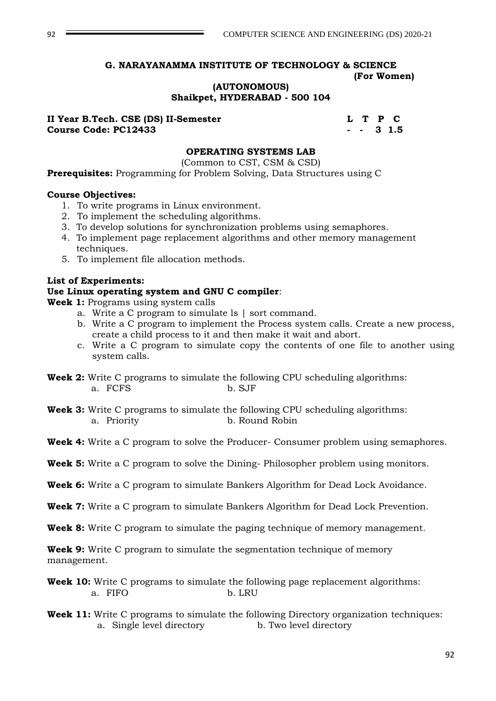### **(AUTONOMOUS) Shaikpet, HYDERABAD - 500 104**

**II Year B.Tech. CSE (DS) II-Semester L T P C Course Code: PC12433 - - 3 1.5**

## **OPERATING SYSTEMS LAB**

(Common to CST, CSM & CSD)

**Prerequisites:** Programming for Problem Solving, Data Structures using C

#### **Course Objectives:**

- 1. To write programs in Linux environment.
- 2. To implement the scheduling algorithms.
- 3. To develop solutions for synchronization problems using semaphores.
- 4. To implement page replacement algorithms and other memory management techniques.
- 5. To implement file allocation methods.

## **List of Experiments:**

#### **Use Linux operating system and GNU C compiler**:

**Week 1:** Programs using system calls

- a. Write a C program to simulate ls | sort command.
- b. Write a C program to implement the Process system calls. Create a new process, create a child process to it and then make it wait and abort.
- c. Write a C program to simulate copy the contents of one file to another using system calls.
- **Week 2:** Write C programs to simulate the following CPU scheduling algorithms: a. FCFS b. SJF
- **Week 3:** Write C programs to simulate the following CPU scheduling algorithms: a. Priority **b. Round Robin**
- **Week 4:** Write a C program to solve the Producer- Consumer problem using semaphores.
- **Week 5:** Write a C program to solve the Dining- Philosopher problem using monitors.
- **Week 6:** Write a C program to simulate Bankers Algorithm for Dead Lock Avoidance.
- **Week 7:** Write a C program to simulate Bankers Algorithm for Dead Lock Prevention.
- **Week 8:** Write C program to simulate the paging technique of memory management.

**Week 9:** Write C program to simulate the segmentation technique of memory management.

- **Week 10:** Write C programs to simulate the following page replacement algorithms: a. FIFO b. LRU
- **Week 11:** Write C programs to simulate the following Directory organization techniques: a. Single level directory b. Two level directory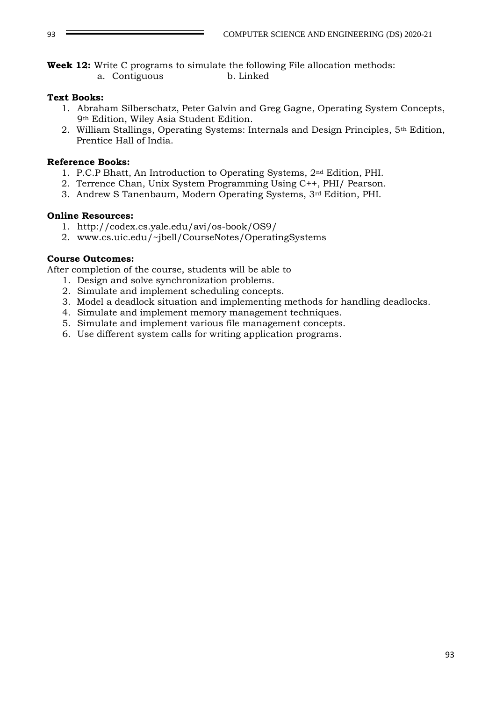**Week 12:** Write C programs to simulate the following File allocation methods: a. Contiguous b. Linked

### **Text Books:**

- 1. Abraham Silberschatz, Peter Galvin and Greg Gagne, Operating System Concepts, 9th Edition, Wiley Asia Student Edition.
- 2. William Stallings, Operating Systems: Internals and Design Principles, 5th Edition, Prentice Hall of India.

### **Reference Books:**

- 1. P.C.P Bhatt, An Introduction to Operating Systems, 2nd Edition, PHI.
- 2. Terrence Chan, Unix System Programming Using C++, PHI/ Pearson.
- 3. Andrew S Tanenbaum, Modern Operating Systems, 3rd Edition, PHI.

## **Online Resources:**

- 1. http://codex.cs.yale.edu/avi/os-book/OS9/
- 2. www.cs.uic.edu/~jbell/CourseNotes/OperatingSystems

### **Course Outcomes:**

- 1. Design and solve synchronization problems.
- 2. Simulate and implement scheduling concepts.
- 3. Model a deadlock situation and implementing methods for handling deadlocks.
- 4. Simulate and implement memory management techniques.
- 5. Simulate and implement various file management concepts.
- 6. Use different system calls for writing application programs.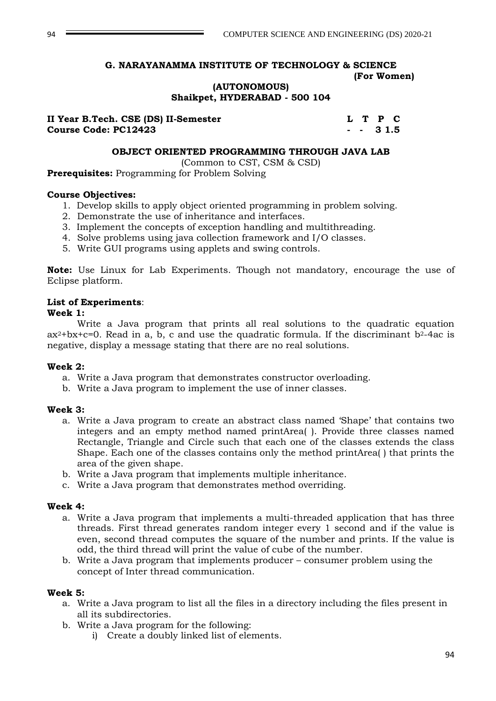## **(AUTONOMOUS) Shaikpet, HYDERABAD - 500 104**

| II Year B.Tech. CSE (DS) II-Semester |  | L T P C  |  |
|--------------------------------------|--|----------|--|
| <b>Course Code: PC12423</b>          |  | $- 31.5$ |  |

### **OBJECT ORIENTED PROGRAMMING THROUGH JAVA LAB**

(Common to CST, CSM & CSD)

**Prerequisites:** Programming for Problem Solving

#### **Course Objectives:**

- 1. Develop skills to apply object oriented programming in problem solving.
- 2. Demonstrate the use of inheritance and interfaces.
- 3. Implement the concepts of exception handling and multithreading.
- 4. Solve problems using java collection framework and I/O classes.
- 5. Write GUI programs using applets and swing controls.

**Note:** Use Linux for Lab Experiments. Though not mandatory, encourage the use of Eclipse platform.

## **List of Experiments**:

#### **Week 1:**

Write a Java program that prints all real solutions to the quadratic equation  $ax^2+bx+c=0$ . Read in a, b, c and use the quadratic formula. If the discriminant  $b^2-4ac$  is negative, display a message stating that there are no real solutions.

#### **Week 2:**

- a. Write a Java program that demonstrates constructor overloading.
- b. Write a Java program to implement the use of inner classes.

#### **Week 3:**

- a. Write a Java program to create an abstract class named 'Shape' that contains two integers and an empty method named printArea( ). Provide three classes named Rectangle, Triangle and Circle such that each one of the classes extends the class Shape. Each one of the classes contains only the method printArea( ) that prints the area of the given shape.
- b. Write a Java program that implements multiple inheritance.
- c. Write a Java program that demonstrates method overriding.

#### **Week 4:**

- a. Write a Java program that implements a multi-threaded application that has three threads. First thread generates random integer every 1 second and if the value is even, second thread computes the square of the number and prints. If the value is odd, the third thread will print the value of cube of the number.
- b. Write a Java program that implements producer consumer problem using the concept of Inter thread communication.

#### **Week 5:**

- a. Write a Java program to list all the files in a directory including the files present in all its subdirectories.
- b. Write a Java program for the following:
	- i) Create a doubly linked list of elements.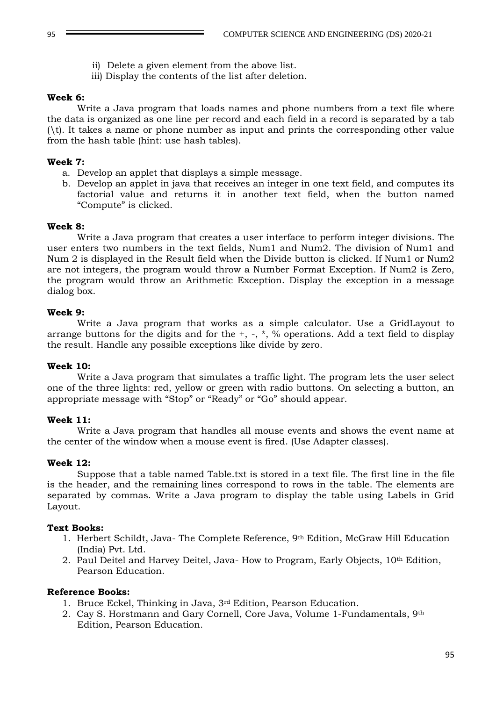- ii) Delete a given element from the above list.
- iii) Display the contents of the list after deletion.

### **Week 6:**

Write a Java program that loads names and phone numbers from a text file where the data is organized as one line per record and each field in a record is separated by a tab (\t). It takes a name or phone number as input and prints the corresponding other value from the hash table (hint: use hash tables).

### **Week 7:**

- a. Develop an applet that displays a simple message.
- b. Develop an applet in java that receives an integer in one text field, and computes its factorial value and returns it in another text field, when the button named "Compute" is clicked.

### **Week 8:**

Write a Java program that creates a user interface to perform integer divisions. The user enters two numbers in the text fields, Num1 and Num2. The division of Num1 and Num 2 is displayed in the Result field when the Divide button is clicked. If Num1 or Num2 are not integers, the program would throw a Number Format Exception. If Num2 is Zero, the program would throw an Arithmetic Exception. Display the exception in a message dialog box.

### **Week 9:**

Write a Java program that works as a simple calculator. Use a GridLayout to arrange buttons for the digits and for the  $+$ ,  $-$ ,  $*$ ,  $\%$  operations. Add a text field to display the result. Handle any possible exceptions like divide by zero.

## **Week 10:**

Write a Java program that simulates a traffic light. The program lets the user select one of the three lights: red, yellow or green with radio buttons. On selecting a button, an appropriate message with "Stop" or "Ready" or "Go" should appear.

## **Week 11:**

Write a Java program that handles all mouse events and shows the event name at the center of the window when a mouse event is fired. (Use Adapter classes).

## **Week 12:**

Suppose that a table named Table.txt is stored in a text file. The first line in the file is the header, and the remaining lines correspond to rows in the table. The elements are separated by commas. Write a Java program to display the table using Labels in Grid Layout.

#### **Text Books:**

- 1. Herbert Schildt, Java- The Complete Reference, 9th Edition, McGraw Hill Education (India) Pvt. Ltd.
- 2. Paul Deitel and Harvey Deitel, Java- How to Program, Early Objects, 10<sup>th</sup> Edition, Pearson Education.

## **Reference Books:**

- 1. Bruce Eckel, Thinking in Java, 3rd Edition, Pearson Education.
- 2. Cay S. Horstmann and Gary Cornell, Core Java, Volume 1-Fundamentals, 9th Edition, Pearson Education.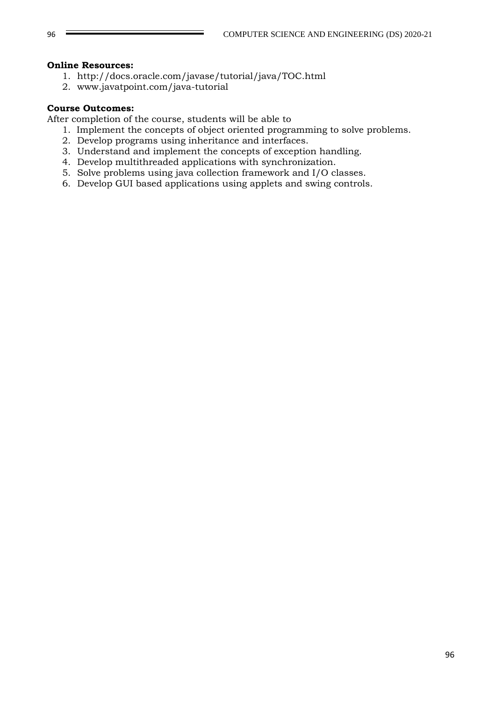### **Online Resources:**

- 1. http://docs.oracle.com/javase/tutorial/java/TOC.html
- 2. www.javatpoint.com/java-tutorial

## **Course Outcomes:**

- 1. Implement the concepts of object oriented programming to solve problems.
- 2. Develop programs using inheritance and interfaces.
- 3. Understand and implement the concepts of exception handling.
- 4. Develop multithreaded applications with synchronization.
- 5. Solve problems using java collection framework and I/O classes.
- 6. Develop GUI based applications using applets and swing controls.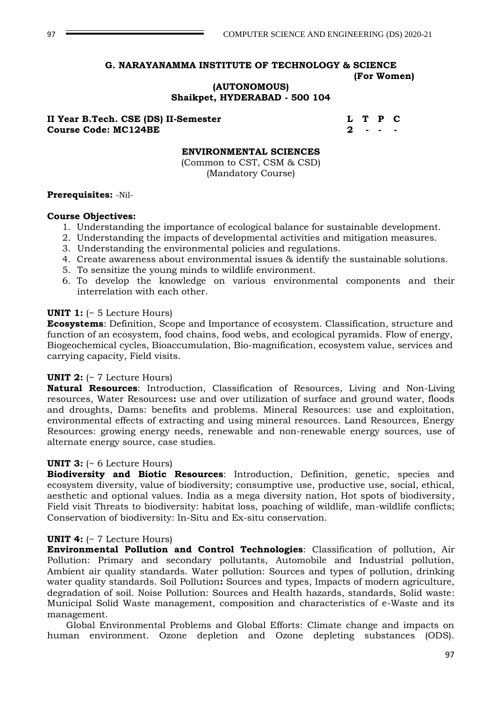## **(AUTONOMOUS) Shaikpet, HYDERABAD - 500 104**

**II Year B.Tech. CSE (DS) II-Semester L T P C Course Code: MC124BE 2 - - -**

#### **ENVIRONMENTAL SCIENCES**

(Common to CST, CSM & CSD) (Mandatory Course)

#### **Prerequisites:** -Nil-

#### **Course Objectives:**

- 1. Understanding the importance of ecological balance for sustainable development.
- 2. Understanding the impacts of developmental activities and mitigation measures.
- 3. Understanding the environmental policies and regulations.
- 4. Create awareness about environmental issues & identify the sustainable solutions.
- 5. To sensitize the young minds to wildlife environment.
- 6. To develop the knowledge on various environmental components and their interrelation with each other.

#### **UNIT 1:** (~ 5 Lecture Hours)

**Ecosystems**: Definition, Scope and Importance of ecosystem. Classification, structure and function of an ecosystem, food chains, food webs, and ecological pyramids. Flow of energy, Biogeochemical cycles, Bioaccumulation, Bio-magnification, ecosystem value, services and carrying capacity, Field visits.

#### **UNIT 2:** (~ 7 Lecture Hours)

**Natural Resources**: Introduction, Classification of Resources, Living and Non-Living resources, Water Resources**:** use and over utilization of surface and ground water, floods and droughts, Dams: benefits and problems. Mineral Resources: use and exploitation, environmental effects of extracting and using mineral resources. Land Resources, Energy Resources: growing energy needs, renewable and non-renewable energy sources, use of alternate energy source, case studies.

#### **UNIT 3:** (~ 6 Lecture Hours)

**Biodiversity and Biotic Resources**: Introduction, Definition, genetic, species and ecosystem diversity, value of biodiversity; consumptive use, productive use, social, ethical, aesthetic and optional values. India as a mega diversity nation, Hot spots of biodiversity, Field visit Threats to biodiversity: habitat loss, poaching of wildlife, man-wildlife conflicts; Conservation of biodiversity: In-Situ and Ex-situ conservation.

#### **UNIT 4:** (~ 7 Lecture Hours)

**Environmental Pollution and Control Technologies**: Classification of pollution, Air Pollution: Primary and secondary pollutants, Automobile and Industrial pollution, Ambient air quality standards. Water pollution: Sources and types of pollution, drinking water quality standards. Soil Pollution**:** Sources and types, Impacts of modern agriculture, degradation of soil. Noise Pollution: Sources and Health hazards, standards, Solid waste: Municipal Solid Waste management, composition and characteristics of e-Waste and its management.

Global Environmental Problems and Global Efforts: Climate change and impacts on human environment. Ozone depletion and Ozone depleting substances (ODS).